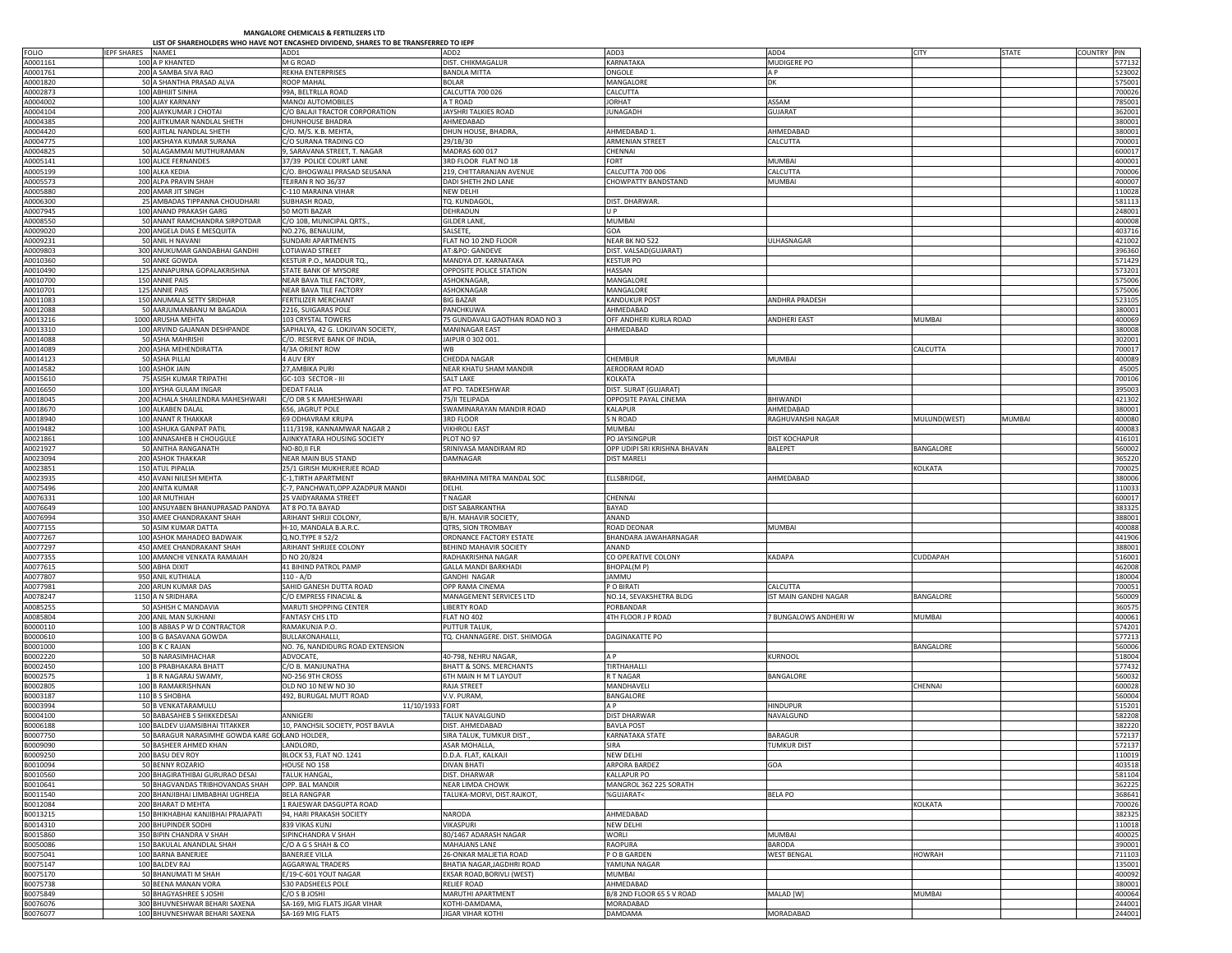## MANGALORE CHEMICALS & FERTILIZERS LTD

|  |  | HAREHOLDERS WHO HAVE NOT ENCASHED DIVIDEND. SHARES TO BE TRANSFERRED TO IE |  |  |
|--|--|----------------------------------------------------------------------------|--|--|
|  |  |                                                                            |  |  |

|                      | LIST OF SHAREHOLDERS WHO HAVE NOT ENCASHED DIVIDEND, SHARES TO BE TRANSFERRED TO IEPF |                                                         |                                                |                                                    |                              |               |              |                                                                                                                                                                                                                                                                                                                                                                      |
|----------------------|---------------------------------------------------------------------------------------|---------------------------------------------------------|------------------------------------------------|----------------------------------------------------|------------------------------|---------------|--------------|----------------------------------------------------------------------------------------------------------------------------------------------------------------------------------------------------------------------------------------------------------------------------------------------------------------------------------------------------------------------|
| <b>FOLIO</b>         | <b>IEPF SHARES</b><br>NAME1                                                           | ADD1                                                    | ADD <sub>2</sub>                               | ADD3                                               | ADD4                         | CITY          | <b>STATE</b> | COUNTRY PIN                                                                                                                                                                                                                                                                                                                                                          |
| A0001161             | 100 A P KHANTED                                                                       | M G ROAD                                                | DIST. CHIKMAGALUR                              | KARNATAKA                                          | MUDIGERE PO                  |               |              | 577132                                                                                                                                                                                                                                                                                                                                                               |
| A0001761             | 200 A SAMBA SIVA RAO                                                                  | REKHA ENTERPRISES                                       | <b>BANDLA MITTA</b>                            | ONGOLE                                             | A P                          |               |              | 523002                                                                                                                                                                                                                                                                                                                                                               |
| A0001820             | 50 A SHANTHA PRASAD ALVA                                                              | <b>ROOP MAHAL</b>                                       | BOLAR                                          | MANGALORE                                          | DK                           |               |              | 575001                                                                                                                                                                                                                                                                                                                                                               |
| A0002873             | 100 ABHUIT SINHA                                                                      | 99A, BELTRLLA ROAD                                      | CALCUTTA 700 026                               | CALCUTTA                                           |                              |               |              | 700026                                                                                                                                                                                                                                                                                                                                                               |
| A0004002             | 100 AJAY KARNANY                                                                      | MANOJ AUTOMOBILES                                       | A T ROAD                                       | <b>JORHAT</b>                                      | ASSAM                        |               |              | 785001                                                                                                                                                                                                                                                                                                                                                               |
| A0004104             | 200 AJAYKUMAR J CHOTAI                                                                | C/O BALAJI TRACTOR CORPORATION                          | JAYSHRI TALKIES ROAD                           | <b>JUNAGADH</b>                                    | <b>GUJARAT</b>               |               |              | 362001                                                                                                                                                                                                                                                                                                                                                               |
| A0004385             | 200 AJITKUMAR NANDLAL SHETH<br>600 AJITLAL NANDLAL SHETH                              | <b>DHUNHOUSE BHADRA</b>                                 | AHMEDABAD                                      | AHMEDABAD 1                                        |                              |               |              | 380001                                                                                                                                                                                                                                                                                                                                                               |
| A0004420<br>A0004775 | 100 AKSHAYA KUMAR SURANA                                                              | C/O. M/S. K.B. MEHTA<br>C/O SURANA TRADING CO           | DHUN HOUSE, BHADRA<br>29/1B/30                 | <b>ARMENIAN STREET</b>                             | AHMEDABAD<br>CALCUTTA        |               |              | 380001<br>700001                                                                                                                                                                                                                                                                                                                                                     |
| A0004825             | 50 ALAGAMMAI MUTHURAMAN                                                               | 9, SARAVANA STREET, T. NAGAR                            | MADRAS 600 017                                 | CHENNAI                                            |                              |               |              | 600017                                                                                                                                                                                                                                                                                                                                                               |
| A0005141             | 100 ALICE FERNANDES                                                                   | 37/39 POLICE COURT LANE                                 | 3RD FLOOR FLAT NO 18                           | <b>FORT</b>                                        | <b>MUMBAI</b>                |               |              | 400001                                                                                                                                                                                                                                                                                                                                                               |
| A0005199             | 100 ALKA KEDIA                                                                        | C/O. BHOGWALI PRASAD SEUSANA                            | 219, CHITTARANJAN AVENUE                       | CALCUTTA 700 006                                   | CALCUTTA                     |               |              | 700006                                                                                                                                                                                                                                                                                                                                                               |
| A0005573             | 200 ALPA PRAVIN SHAH                                                                  | TEJIRAN R NO 36/37                                      | DADI SHETH 2ND LANE                            | CHOWPATTY BANDSTAND                                | MUMBAI                       |               |              | 400007                                                                                                                                                                                                                                                                                                                                                               |
| A0005880             | 200 AMAR JIT SINGH                                                                    | C-110 MARAINA VIHAR                                     | NEW DELHI                                      |                                                    |                              |               |              | 110028                                                                                                                                                                                                                                                                                                                                                               |
| A0006300             | 25 AMBADAS TIPPANNA CHOUDHARI                                                         | SUBHASH ROAD,                                           | TQ. KUNDAGOL                                   | DIST. DHARWAR.                                     |                              |               |              | 581113                                                                                                                                                                                                                                                                                                                                                               |
| A0007945             | 100 ANAND PRAKASH GARG                                                                | 50 MOTI BAZAR                                           | DEHRADUN                                       | lu P                                               |                              |               |              | 248001                                                                                                                                                                                                                                                                                                                                                               |
| A0008550             | 50 ANANT RAMCHANDRA SIRPOTDAR                                                         | C/O 10B, MUNICIPAL QRTS.,                               | GILDER LANE,                                   | <b>MUMBAI</b>                                      |                              |               |              | 400008                                                                                                                                                                                                                                                                                                                                                               |
| A0009020             | 200 ANGELA DIAS E MESQUITA                                                            | NO.276, BENAULIM,                                       | SALSETE,                                       | <b>GOA</b>                                         |                              |               |              | 403716                                                                                                                                                                                                                                                                                                                                                               |
| A0009231             | 50 ANIL H NAVANI                                                                      | <b>SUNDARI APARTMENTS</b>                               | FLAT NO 10 2ND FLOOR                           | NEAR BK NO 522                                     | ULHASNAGAR                   |               |              | 421002                                                                                                                                                                                                                                                                                                                                                               |
| A0009803             | 300 ANUKUMAR GANDABHAI GANDHI                                                         | LOTIAWAD STREET                                         | AT:&PO: GANDEVE                                | DIST. VALSAD(GUJARAT)                              |                              |               |              | 396360                                                                                                                                                                                                                                                                                                                                                               |
| A0010360             | 50 ANKE GOWDA                                                                         | KESTUR P.O., MADDUR TQ.                                 | MANDYA DT. KARNATAKA                           | <b>KESTUR PO</b>                                   |                              |               |              | 571429                                                                                                                                                                                                                                                                                                                                                               |
| A0010490             | 125 ANNAPURNA GOPALAKRISHNA                                                           | STATE BANK OF MYSORE                                    | OPPOSITE POLICE STATION                        | HASSAN                                             |                              |               |              | 573201                                                                                                                                                                                                                                                                                                                                                               |
| A0010700<br>A0010701 | 150 ANNIE PAIS<br>125 ANNIE PAIS                                                      | NEAR BAVA TILE FACTORY<br><b>NEAR BAVA TILE FACTORY</b> | ASHOKNAGAR<br>ASHOKNAGAR                       | MANGALORE<br>MANGALORE                             |                              |               |              | 575006<br>575006                                                                                                                                                                                                                                                                                                                                                     |
| A0011083             | 150 ANUMALA SETTY SRIDHAR                                                             | FERTILIZER MERCHANT                                     | <b>BIG BAZAR</b>                               | <b>KANDUKUR POST</b>                               | ANDHRA PRADESH               |               |              | 523105                                                                                                                                                                                                                                                                                                                                                               |
| A0012088             | 50 AARJUMANBANU M BAGADIA                                                             | 2216, SUIGARAS POLE                                     | PANCHKUWA                                      | AHMEDABAD                                          |                              |               |              | 380001                                                                                                                                                                                                                                                                                                                                                               |
| A0013216             | 1000 ARUSHA MEHTA                                                                     | 103 CRYSTAL TOWERS                                      | 75 GUNDAVALI GAOTHAN ROAD NO 3                 | OFF ANDHERI KURLA ROAD                             | <b>ANDHERI EAST</b>          | MUMBAI        |              | 400069                                                                                                                                                                                                                                                                                                                                                               |
| A0013310             | 100 ARVIND GAJANAN DESHPANDE                                                          | SAPHALYA, 42 G. LOKJIVAN SOCIETY,                       | MANINAGAR EAST                                 | AHMEDABAD                                          |                              |               |              | 380008                                                                                                                                                                                                                                                                                                                                                               |
| A0014088             | 50 ASHA MAHRISHI                                                                      | C/O. RESERVE BANK OF INDIA,                             | JAIPUR 0 302 001                               |                                                    |                              |               |              | 302001                                                                                                                                                                                                                                                                                                                                                               |
| A0014089             | 200 ASHA MEHENDIRATTA                                                                 | 4/3A ORIENT ROW                                         | <b>WB</b>                                      |                                                    |                              | CALCUTTA      |              | 700017                                                                                                                                                                                                                                                                                                                                                               |
| A0014123             | 50 ASHA PILLAI                                                                        | 4 AUV ERY                                               | CHEDDA NAGAR                                   | <b>CHEMBUR</b>                                     | MUMBAI                       |               |              | 400089                                                                                                                                                                                                                                                                                                                                                               |
| A0014582             | 100 ASHOK JAIN                                                                        | 27, AMBIKA PURI                                         | NEAR KHATU SHAM MANDIR                         | AERODRAM ROAD                                      |                              |               |              | 45005                                                                                                                                                                                                                                                                                                                                                                |
| A0015610             | 75 ASISH KUMAR TRIPATHI                                                               | GC-103 SECTOR - III                                     | <b>SALT LAKE</b>                               | <b>KOLKATA</b>                                     |                              |               |              | 700106                                                                                                                                                                                                                                                                                                                                                               |
| A0016650             | 100 AYSHA GULAM INGAR                                                                 | <b>DEDAT FALIA</b>                                      | AT PO. TADKESHWAR                              | DIST. SURAT (GUJARAT)                              |                              |               |              | 395003                                                                                                                                                                                                                                                                                                                                                               |
| A0018045             | 200 ACHALA SHAILENDRA MAHESHWARI                                                      | C/O DR S K MAHESHWARI                                   | 75/II TELIPADA                                 | OPPOSITE PAYAL CINEMA                              | BHIWANDI                     |               |              | 421302                                                                                                                                                                                                                                                                                                                                                               |
| A0018670             | 100 ALKABEN DALAL                                                                     | 656, JAGRUT POLE                                        | SWAMINARAYAN MANDIR ROAD                       | <b>KALAPUR</b>                                     | AHMEDABAD                    |               |              | 380001                                                                                                                                                                                                                                                                                                                                                               |
| A0018940             | 100 ANANT R THAKKAR                                                                   | 69 ODHAVRAM KRUPA                                       | 3RD FLOOR                                      | <b>SN ROAD</b>                                     | RAGHUVANSHI NAGAR            | MULUND(WEST)  | MUMBAI       | 400080                                                                                                                                                                                                                                                                                                                                                               |
| A0019482             | 100 ASHUKA GANPAT PATIL                                                               | 111/3198, KANNAMWAR NAGAR 2                             | <b>VIKHROLI EAST</b>                           | <b>MUMBAI</b>                                      |                              |               |              | 400083                                                                                                                                                                                                                                                                                                                                                               |
| A0021861             | 100 ANNASAHEB H CHOUGULE                                                              | AJINKYATARA HOUSING SOCIETY                             | PLOT NO 97                                     | PO JAYSINGPUR                                      | DIST KOCHAPUR<br>BALEPET     |               |              | 416101                                                                                                                                                                                                                                                                                                                                                               |
| A0021927<br>A0023094 | 50 ANITHA RANGANATH<br>200 ASHOK THAKKAR                                              | NO-80, II FLR<br><b>NEAR MAIN BUS STAND</b>             | SRINIVASA MANDIRAM RD<br>DAMNAGAR              | OPP UDIPI SRI KRISHNA BHAVAN<br><b>DIST MARELI</b> |                              | BANGALORE     |              | 560002<br>365220                                                                                                                                                                                                                                                                                                                                                     |
| A0023851             | 150 ATUL PIPALIA                                                                      | 25/1 GIRISH MUKHERJEE ROAD                              |                                                |                                                    |                              | KOLKATA       |              | 700025                                                                                                                                                                                                                                                                                                                                                               |
| A0023935             | 450 AVANI NILESH MEHTA                                                                | C-1, TIRTH APARTMENT                                    | BRAHMINA MITRA MANDAL SOC                      | ELLSBRIDGE,                                        | AHMEDABAD                    |               |              | 380006                                                                                                                                                                                                                                                                                                                                                               |
| A0075496             | 200 ANITA KUMAR                                                                       | C-7, PANCHWATI, OPP.AZADPUR MANDI                       | DELHI.                                         |                                                    |                              |               |              | 110033                                                                                                                                                                                                                                                                                                                                                               |
| A0076331             | 100 AR MUTHIAH                                                                        | 25 VAIDYARAMA STREET                                    | T NAGAR                                        | CHENNAI                                            |                              |               |              | 600017                                                                                                                                                                                                                                                                                                                                                               |
| A0076649             | 100 ANSUYABEN BHANUPRASAD PANDYA                                                      | AT 8 PO.TA BAYAD                                        | DIST SABARKANTHA                               | BAYAD                                              |                              |               |              | 383325                                                                                                                                                                                                                                                                                                                                                               |
| A0076994             | 350 AMEE CHANDRAKANT SHAH                                                             | ARIHANT SHRIJI COLONY                                   | B/H. MAHAVIR SOCIETY                           | ANAND                                              |                              |               |              | 388001                                                                                                                                                                                                                                                                                                                                                               |
| A0077155             | 50 ASIM KUMAR DATTA                                                                   | H-10, MANDALA B.A.R.C.                                  | QTRS, SION TROMBAY                             | ROAD DEONAR                                        | MUMBAI                       |               |              | 400088                                                                                                                                                                                                                                                                                                                                                               |
| A0077267             |                                                                                       |                                                         |                                                |                                                    |                              |               |              |                                                                                                                                                                                                                                                                                                                                                                      |
|                      | 100 ASHOK MAHADEO BADWAIK                                                             | Q.NO.TYPE II 52/2                                       | ORDNANCE FACTORY ESTATE                        | BHANDARA JAWAHARNAGAR                              |                              |               |              |                                                                                                                                                                                                                                                                                                                                                                      |
| A0077297             | 450 AMEE CHANDRAKANT SHAH                                                             | ARIHANT SHRIJEE COLONY                                  | BEHIND MAHAVIR SOCIETY                         | ANAND                                              |                              |               |              |                                                                                                                                                                                                                                                                                                                                                                      |
| A0077355             | 100 AMANCHI VENKATA RAMAIAH                                                           | D NO 20/824                                             | RADHAKRISHNA NAGAR                             | CO OPERATIVE COLONY                                | <b>KADAPA</b>                | CUDDAPAH      |              |                                                                                                                                                                                                                                                                                                                                                                      |
| A0077615             | 500 ABHA DIXIT                                                                        | 41 BIHIND PATROL PAMP                                   | GALLA MANDI BARKHADI                           | BHOPAL(MP)                                         |                              |               |              |                                                                                                                                                                                                                                                                                                                                                                      |
| A0077807             | 950 ANIL KUTHIALA                                                                     | $110 - A/D$                                             | <b>GANDHI NAGAR</b>                            | <b>JAMMU</b>                                       |                              |               |              |                                                                                                                                                                                                                                                                                                                                                                      |
| A0077981             | 200 ARUN KUMAR DAS                                                                    | SAHID GANESH DUTTA ROAD                                 | OPP RAMA CINEMA                                | P O BIRATI                                         | CALCUTTA                     |               |              |                                                                                                                                                                                                                                                                                                                                                                      |
| A0078247             | 1150 A N SRIDHARA                                                                     | C/O EMPRESS FINACIAL &                                  | MANAGEMENT SERVICES LTD                        | NO.14, SEVAKSHETRA BLDG                            | <b>IST MAIN GANDHI NAGAR</b> | BANGALORE     |              |                                                                                                                                                                                                                                                                                                                                                                      |
| A0085255             | 50 ASHISH C MANDAVIA                                                                  | MARUTI SHOPPING CENTER                                  | <b>IBERTY ROAD</b>                             | PORBANDAR                                          |                              |               |              |                                                                                                                                                                                                                                                                                                                                                                      |
| A0085804             | 200 ANIL MAN SUKHANI                                                                  | <b>FANTASY CHS LTD</b>                                  | FLAT NO 402                                    | 4TH FLOOR J P ROAD                                 | 7 BUNGALOWS ANDHERI W        | MUMBAI        |              |                                                                                                                                                                                                                                                                                                                                                                      |
| B0000110             | 100 B ABBAS P W D CONTRACTOR                                                          | RAMAKUNJA P.O                                           | <b>PUTTUR TALUK</b>                            |                                                    |                              |               |              |                                                                                                                                                                                                                                                                                                                                                                      |
| B0000610             | 100 B G BASAVANA GOWDA                                                                | BULLAKONAHALLI                                          | TQ. CHANNAGERE. DIST. SHIMOGA                  | <b>DAGINAKATTE PO</b>                              |                              |               |              |                                                                                                                                                                                                                                                                                                                                                                      |
| B0001000<br>B0002220 | 100 B K C RAJAN<br>50 B NARASIMHACHAR                                                 | NO. 76, NANDIDURG ROAD EXTENSION<br>ADVOCATE,           | 40-798, NEHRU NAGAR                            | A P                                                | KURNOOL                      | BANGALORE     |              |                                                                                                                                                                                                                                                                                                                                                                      |
| B0002450             | 100 B PRABHAKARA BHATT                                                                | C/O B. MANJUNATHA                                       | BHATT & SONS. MERCHANTS                        | TIRTHAHALLI                                        |                              |               |              |                                                                                                                                                                                                                                                                                                                                                                      |
| B0002575             | 1 B R NAGARAJ SWAMY,                                                                  | NO-256 9TH CROSS                                        | 6TH MAIN H M T LAYOUT                          | R T NAGAR                                          | BANGALORE                    |               |              |                                                                                                                                                                                                                                                                                                                                                                      |
| B0002805             | 100 B RAMAKRISHNAN                                                                    | OLD NO 10 NEW NO 30                                     | RAJA STREET                                    | MANDHAVELI                                         |                              | CHENNAI       |              |                                                                                                                                                                                                                                                                                                                                                                      |
| B0003187             | 110 B S SHOBHA                                                                        | 492, BURUGAL MUTT ROAD                                  | V.V. PURAM                                     | BANGALORE                                          |                              |               |              |                                                                                                                                                                                                                                                                                                                                                                      |
| B0003994             | 50 B VENKATARAMULU                                                                    | 11/10/1933                                              | FORT                                           | A P                                                | HINDUPUR                     |               |              |                                                                                                                                                                                                                                                                                                                                                                      |
| B0004100             | 50 BABASAHEB S SHIKKEDESAI                                                            | ANNIGERI                                                | TALUK NAVALGUND                                | <b>DIST DHARWAR</b>                                | NAVALGUND                    |               |              |                                                                                                                                                                                                                                                                                                                                                                      |
| B0006188             | 100 BALDEV UJAMSIBHAI TITAKKER                                                        | 10, PANCHSIL SOCIETY, POST BAVLA                        | DIST. AHMEDABAD                                | <b>BAVLA POST</b>                                  |                              |               |              |                                                                                                                                                                                                                                                                                                                                                                      |
| B0007750             | 50 BARAGUR NARASIMHE GOWDA KARE GO LAND HOLDER,                                       |                                                         | SIRA TALUK, TUMKUR DIST.,                      | <b>KARNATAKA STATE</b>                             | <b>BARAGUR</b>               |               |              |                                                                                                                                                                                                                                                                                                                                                                      |
| B0009090             | 50 BASHEER AHMED KHAN                                                                 | LANDLORD,                                               | ASAR MOHALLA,                                  | SIRA                                               | TUMKUR DIST                  |               |              |                                                                                                                                                                                                                                                                                                                                                                      |
| B0009250             | 200 BASU DEV ROY                                                                      | BLOCK 53, FLAT NO. 1241                                 | D.D.A. FLAT. KALKAJI                           | <b>NEW DELHI</b>                                   |                              |               |              |                                                                                                                                                                                                                                                                                                                                                                      |
| B0010094             | 50 BENNY ROZARIO                                                                      | HOUSE NO 158                                            | <b>DIVAN BHATI</b>                             | <b>ARPORA BARDEZ</b>                               | GOA                          |               |              |                                                                                                                                                                                                                                                                                                                                                                      |
| B0010560             | 200 BHAGIRATHIBAI GURURAO DESAI                                                       | <b>TALUK HANGAL</b>                                     | <b>DIST, DHARWAR</b>                           | <b>KALLAPUR PO</b>                                 |                              |               |              |                                                                                                                                                                                                                                                                                                                                                                      |
| B0010641<br>B0011540 | 50 BHAGVANDAS TRIBHOVANDAS SHAH<br>200 BHANJIBHAI LIMBABHAI UGHREJA                   | OPP. BAL MANDIR<br><b>BELA RANGPAR</b>                  | NEAR LIMDA CHOWK<br>TALUKA-MORVI, DIST.RAJKOT, | MANGROL 362 225 SORATH<br>%GUJARAT<                | <b>BELA PO</b>               |               |              |                                                                                                                                                                                                                                                                                                                                                                      |
| B0012084             | 200 BHARAT D MEHTA                                                                    | 1 RAJESWAR DASGUPTA ROAD                                |                                                |                                                    |                              | KOLKATA       |              |                                                                                                                                                                                                                                                                                                                                                                      |
| B0013215             | 150 BHIKHABHAI KANJIBHAI PRAJAPATI                                                    | 94, HARI PRAKASH SOCIETY                                | NARODA                                         | AHMEDABAD                                          |                              |               |              |                                                                                                                                                                                                                                                                                                                                                                      |
| B0014310             | 200 BHUPINDER SODHI                                                                   | 839 VIKAS KUNJ                                          | VIKASPURI                                      | <b>NEW DELHI</b>                                   |                              |               |              |                                                                                                                                                                                                                                                                                                                                                                      |
| B0015860             | 350 BIPIN CHANDRA V SHAH                                                              | SIPINCHANDRA V SHAH                                     | 80/1467 ADARASH NAGAR                          | WORLI                                              | <b>MUMBAI</b>                |               |              |                                                                                                                                                                                                                                                                                                                                                                      |
| B0050086             | 150 BAKULAL ANANDLAL SHAH                                                             | C/O A G S SHAH & CO                                     | MAHAJANS LANE                                  | <b>RAOPURA</b>                                     | <b>BARODA</b>                |               |              |                                                                                                                                                                                                                                                                                                                                                                      |
| B0075041             | 100 BARNA BANERJEE                                                                    | <b>BANERJEE VILLA</b>                                   | 26-ONKAR MALJETIA ROAD                         | P O B GARDEN                                       | <b>WEST BENGAL</b>           | <b>HOWRAH</b> |              |                                                                                                                                                                                                                                                                                                                                                                      |
| B0075147             | 100 BALDEV RAJ                                                                        | AGGARWAL TRADERS                                        | BHATIA NAGAR, JAGDHRI ROAD                     | YAMUNA NAGAR                                       |                              |               |              |                                                                                                                                                                                                                                                                                                                                                                      |
| B0075170             | 50 BHANUMATI M SHAH                                                                   | E/19-C-601 YOUT NAGAR                                   | EKSAR ROAD, BORIVLI (WEST)                     | <b>MUMBAI</b>                                      |                              |               |              |                                                                                                                                                                                                                                                                                                                                                                      |
| B0075738             | 50 BEENA MANAN VORA                                                                   | 530 PADSHEELS POLE                                      | RELIEF ROAD                                    | AHMEDABAD                                          |                              |               |              | 441906<br>388001<br>516001<br>462008<br>180004<br>700051<br>560009<br>360575<br>400061<br>574201<br>577213<br>560006<br>518004<br>577432<br>560032<br>600028<br>560004<br>515201<br>582208<br>382220<br>572137<br>572137<br>110019<br>403518<br>581104<br>362225<br>368641<br>700026<br>382325<br>110018<br>400025<br>390001<br>711103<br>135001<br>400092<br>380001 |
| B0075849             | 50 BHAGYASHREE S JOSHI                                                                | C/O S B JOSHI                                           | MARUTHI APARTMENT                              | B/8 2ND FLOOR 65 S V ROAD                          | MALAD [W]                    | MUMBAI        |              | 400064                                                                                                                                                                                                                                                                                                                                                               |
| B0076076<br>B0076077 | 300 BHUVNESHWAR BEHARI SAXENA<br>100 BHUVNESHWAR BEHARI SAXENA                        | SA-169, MIG FLATS JIGAR VIHAR<br>SA-169 MIG FLATS       | KOTHI-DAMDAMA,<br><b>JIGAR VIHAR KOTHI</b>     | <b>MORADABAD</b><br>DAMDAMA                        | MORADABAD                    |               |              | 244001<br>244001                                                                                                                                                                                                                                                                                                                                                     |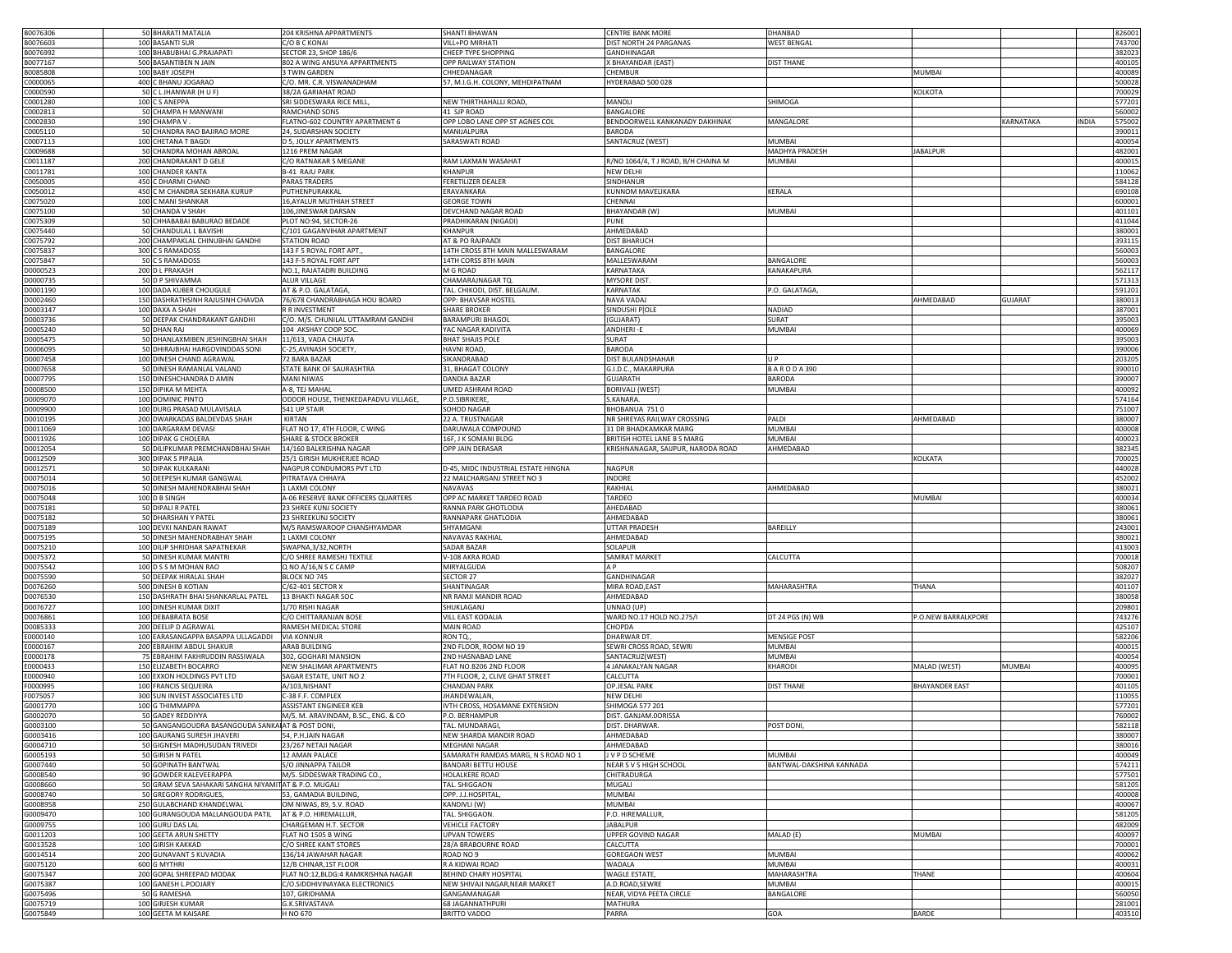| B0076306             | 50 BHARATI MATALIA                                   | 204 KRISHNA APPARTMENTS             | SHANTI BHAWAN                       | <b>CENTRE BANK MORE</b>             | DHANBAD                  |                       |                           | 826001                     |
|----------------------|------------------------------------------------------|-------------------------------------|-------------------------------------|-------------------------------------|--------------------------|-----------------------|---------------------------|----------------------------|
|                      |                                                      |                                     |                                     |                                     |                          |                       |                           |                            |
| B0076603             | 100 BASANTI SUR                                      | C/O B C KONAI                       | VILL+PO MIRHATI                     | DIST NORTH 24 PARGANAS              | <b>WEST BENGAL</b>       |                       |                           | 743700                     |
| B0076992             | 100 BHABUBHAI G.PRAJAPATI                            | SECTOR 23, SHOP 186/6               | CHEEP TYPE SHOPPING                 | GANDHINAGAR                         |                          |                       |                           | 382023                     |
| B0077167             | 500 BASANTIBEN N JAIN                                | 802 A WING ANSUYA APPARTMENTS       | <b>OPP RAILWAY STATION</b>          | (BHAYANDAR (EAST)                   | <b>DIST THANE</b>        |                       |                           | 400105                     |
| 30085808             | 100 BABY JOSEPH                                      | 3 TWIN GARDEN                       | CHHEDANAGAR                         | <b>HEMBUR</b>                       |                          | MUMBAI                |                           | 400089                     |
| 0000065              | 400 C BHANU JOGARAO                                  | C/O. MR. C.R. VISWANADHAM           | 57, M.I.G.H. COLONY, MEHDIPATNAM    | HYDERABAD 500 028                   |                          |                       |                           | 500028                     |
| 0000590              | 50 C L JHANWAR (H U F)                               | 38/2A GARIAHAT ROAD                 |                                     |                                     |                          | KOLKOTA               |                           | 700029                     |
|                      |                                                      |                                     |                                     |                                     |                          |                       |                           |                            |
| 0001280              | 100 C S ANEPPA                                       | SRI SIDDESWARA RICE MILL            | NEW THIRTHAHALLI ROAD,              | MANDLI                              | SHIMOGA                  |                       |                           | 577201                     |
| 0002813              | 50 CHAMPA H MANWANI                                  | RAMCHAND SONS                       | 41 SJP ROAD                         | BANGALORE                           |                          |                       |                           | 560002                     |
| C0002830             | 190 CHAMPA V                                         | FLATNO-602 COUNTRY APARTMENT 6      | OPP LOBO LANE OPP ST AGNES COL      | BENDOORWELL KANKANADY DAKHINAK      | MANGALORE                |                       | <b>INDIA</b><br>KARNATAKA | 575002                     |
| C0005110             | 50 CHANDRA RAO BAJIRAO MORE                          | 24, SUDARSHAN SOCIETY               | MANIJALPURA                         | <b>BARODA</b>                       |                          |                       |                           | 390011                     |
| C0007113             | 100 CHETANA T BAGDI                                  | D 5, JOLLY APARTMENTS               | SARASWATI ROAD                      | SANTACRUZ (WEST)                    | <b>MUMBAI</b>            |                       |                           | 400054                     |
| C0009688             | 50 CHANDRA MOHAN ABROAL                              | 1216 PREM NAGAR                     |                                     |                                     | MADHYA PRADESH           | ABALPUR               |                           | 482001                     |
|                      |                                                      |                                     |                                     |                                     |                          |                       |                           |                            |
| C0011187             | 200 CHANDRAKANT D GELE                               | C/O RATNAKAR S MEGANE               | RAM LAXMAN WASAHAT                  | R/NO 1064/4, T J ROAD, B/H CHAINA M | <b>MUMBAI</b>            |                       |                           | 400015                     |
| C0011781             | 100 CHANDER KANTA                                    | <b>B-41 RAJU PARK</b>               | KHANPUR                             | NEW DELHI                           |                          |                       |                           | 110062                     |
| 20050005             | 450 C DHARMI CHAND                                   | <b>PARAS TRADERS</b>                | FERETILIZER DEALER                  | SINDHANUR                           |                          |                       |                           | 584128                     |
| C0050012             | 450 C M CHANDRA SEKHARA KURUP                        | PUTHENPURAKKAL                      | ERAVANKARA                          | KUNNOM MAVELIKARA                   | KERALA                   |                       |                           | 690108                     |
| C0075020             | 100 C MANI SHANKAR                                   | 16, AYALUR MUTHIAH STREET           | <b>GEORGE TOWN</b>                  | CHENNAI                             |                          |                       |                           | 600001                     |
| 0075100              | 50 CHANDA V SHAH                                     | 106, JINESWAR DARSAN                | DEVCHAND NAGAR ROAD                 | BHAYANDAR (W)                       | <b>MUMBAI</b>            |                       |                           | 401101                     |
| 0075309              | 50 CHHABABAI BABURAO BEDADE                          | PLOT NO:94, SECTOR-26               | PRADHIKARAN (NIGADI)                | PUNE                                |                          |                       |                           | 411044                     |
| 0075440              |                                                      | C/101 GAGANVIHAR APARTMENT          | KHANPUR                             | AHMEDABAD                           |                          |                       |                           | 380001                     |
|                      | 50 CHANDULAL L BAVISHI                               |                                     |                                     |                                     |                          |                       |                           |                            |
| 20075792             | 200 CHAMPAKLAL CHINUBHAI GANDHI                      | <b>STATION ROAD</b>                 | AT & PO RAJPAADI                    | <b>DIST BHARUCH</b>                 |                          |                       |                           | 393115                     |
| 20075837             | 300 C S RAMADOSS                                     | 143 F 5 ROYAL FORT APT.             | 14TH CROSS 8TH MAIN MALLESWARAM     | BANGALORE                           |                          |                       |                           | 560003                     |
| 0075847              | 50 C S RAMADOSS                                      | 143 F-5 ROYAL FORT APT              | 14TH CORSS 8TH MAIN                 | MALLESWARAM                         | BANGALORE                |                       |                           | 560003                     |
| D0000523             | 200 D L PRAKASH                                      | NO.1, RAJATADRI BUILDING            | M G ROAD                            | KARNATAKA                           | KANAKAPURA               |                       |                           | 562117                     |
| 00000735             | 50 D P SHIVAMMA                                      | <b>ALUR VILLAGE</b>                 | CHAMARAJNAGAR TQ.                   | <b>MYSORE DIST</b>                  |                          |                       |                           | 571313                     |
| D0001190             | 100 DADA KUBER CHOUGULE                              | AT & P.O. GALATAGA,                 | TAL. CHIKODI, DIST. BELGAUM.        | KARNATAK                            | P.O. GALATAGA,           |                       |                           | 591201                     |
| D0002460             | 150 DASHRATHSINH RAJUSINH CHAVDA                     | 76/678 CHANDRABHAGA HOU BOARD       | OPP: BHAVSAR HOSTEL                 | NAVA VADAJ                          |                          | AHMEDABAD             | <b>GUJARAT</b>            | 380013                     |
|                      |                                                      |                                     |                                     |                                     |                          |                       |                           |                            |
| D0003147             | 100 DAXA A SHAH                                      | R R INVESTMENT                      | <b>SHARE BROKER</b>                 | SINDUSHI P[OLE                      | NADIAD                   |                       |                           | 387001                     |
| D0003736             | 50 DEEPAK CHANDRAKANT GANDHI                         | C/O. M/S. CHUNILAL UTTAMRAM GANDHI  | <b>BARAMPURI BHAGOL</b>             | (GUJARAT)                           | SURAT                    |                       |                           | 395003                     |
| D0005240             | 50 DHAN RAJ                                          | 104 AKSHAY COOP SOC.                | YAC NAGAR KADIVITA                  | ANDHERI-E                           | <b>MUMBAI</b>            |                       |                           | 400069                     |
| 00005475             | 50 DHANLAXMIBEN JESHINGBHAI SHAH                     | 11/613, VADA CHAUTA                 | <b>BHAT SHAJIS POLE</b>             | SURAT                               |                          |                       |                           | 395003                     |
| 0006095              | 50 DHIRAJBHAI HARGOVINDDAS SONI                      | C-25, AVINASH SOCIETY,              | <b>HAVNI ROAD</b>                   | <b>BARODA</b>                       |                          |                       |                           | 390006                     |
| 00007458             | 100 DINESH CHAND AGRAWAL                             | 72 BARA BAZAR                       | SIKANDRABAD                         | DIST BULANDSHAHAR                   | $U$ $P$                  |                       |                           | 203205                     |
| 00007658             | 50 DINESH RAMANLAL VALAND                            | STATE BANK OF SAURASHTRA            | 31, BHAGAT COLONY                   | G.I.D.C., MAKARPURA                 | <b>BARODA390</b>         |                       |                           | 390010                     |
|                      |                                                      |                                     |                                     |                                     |                          |                       |                           |                            |
| 0007795              | 150 DINESHCHANDRA D AMIN                             | <b>MANI NIWAS</b>                   | DANDIA BAZAR                        | GUJARATH                            | <b>BARODA</b>            |                       |                           | 390007                     |
| 0008500              | 150 DIPIKA M MEHTA                                   | A-8. TEJ MAHAI                      | JMED ASHRAM ROAD                    | BORIVALI (WEST)                     | <b>MUMBAI</b>            |                       |                           | 400092                     |
| 0009070              | 100 DOMINIC PINTO                                    | ODDOR HOUSE, THENKEDAPADVU VILLAGE, | P.O.SIBRIKERE                       | S.KANARA                            |                          |                       |                           | 574164                     |
| 00009900             | 100 DURG PRASAD MULAVISALA                           | 541 UP STAIR                        | SOHOD NAGAR                         | BHOBANUA 7510                       |                          |                       |                           | 751007                     |
| D0010195             | 200 DWARKADAS BALDEVDAS SHAH                         | KIRTAN                              | 22 A. TRUSTNAGAR                    | NR SHREYAS RAILWAY CROSSING         | PALDI                    | AHMEDABAD             |                           | 380007                     |
| D0011069             | 100 DARGARAM DEVASI                                  | FLAT NO 17, 4TH FLOOR, C WING       | DARUWALA COMPOUND                   | 31 DR BHADKAMKAR MARG               | <b>MUMBAI</b>            |                       |                           | 400008                     |
| D0011926             | 100 DIPAK G CHOLERA                                  | <b>SHARE &amp; STOCK BROKER</b>     | 16F, J K SOMANI BLDG                | BRITISH HOTEL LANE B S MARG         | <b>MUMBAI</b>            |                       |                           | 400023                     |
|                      |                                                      | 14/160 BALKRISHNA NAGAR             | OPP JAIN DERASAR                    | KRISHNANAGAR, SAIJPUR, NARODA ROAD  | AHMEDABAD                |                       |                           |                            |
| D0012054             | 50 DILIPKUMAR PREMCHANDBHAI SHAH                     |                                     |                                     |                                     |                          |                       |                           | 382345                     |
| D0012509             | 300 DIPAK S PIPALIA                                  | 25/1 GIRISH MUKHERJEE ROAD          |                                     |                                     |                          | KOLKATA               |                           | 700025                     |
| D0012571             | 50 DIPAK KULKARANI                                   | NAGPUR CONDUMORS PVT LTD            | D-45, MIDC INDUSTRIAL ESTATE HINGNA | NAGPUR                              |                          |                       |                           | 440028                     |
| D0075014             | 50 DEEPESH KUMAR GANGWAL                             | PITRATAVA CHHAYA                    | 22 MALCHARGANJ STREET NO 3          | <b>INDORE</b>                       |                          |                       |                           | 452002                     |
| D0075016             | 50 DINESH MAHENDRABHAI SHAH                          | <b>LAXMI COLONY</b>                 | NAVAVAS                             | RAKHIAL                             | AHMEDABAD                |                       |                           | 380021                     |
| D0075048             | 100 D B SINGH                                        | A-06 RESERVE BANK OFFICERS QUARTERS | OPP AC MARKET TARDEO ROAD           | TARDEO                              |                          | MUMBAI                |                           | 400034                     |
| D0075181             | 50 DIPALI R PATEL                                    | 23 SHREE KUNJ SOCIETY               | RANNA PARK GHOTLODIA                | AHEDABAD                            |                          |                       |                           | 380061                     |
| D0075182             | 50 DHARSHAN Y PATEL                                  | 23 SHREEKUNJ SOCIETY                | RANNAPARK GHATLODIA                 | AHMEDABAD                           |                          |                       |                           | 380061                     |
| D0075189             | 100 DEVKI NANDAN RAWAT                               | M/S RAMSWAROOP CHANSHYAMDAR         | SHYAMGANI                           | <b>UTTAR PRADESH</b>                | BAREILLY                 |                       |                           | 243001                     |
| D0075195             | 50 DINESH MAHENDRABHAY SHAH                          | 1 LAXMI COLONY                      | NAVAVAS RAKHIAL                     | AHMEDABAD                           |                          |                       |                           | 380021                     |
|                      |                                                      |                                     |                                     |                                     |                          |                       |                           |                            |
| D0075210             | 100 DILIP SHRIDHAR SAPATNEKAR                        | SWAPNA, 3/32, NORTH                 | <b>SADAR BAZAR</b>                  | SOLAPUR                             |                          |                       |                           | 413003                     |
| D0075372             | 50 DINESH KUMAR MANTRI                               | O SHREE RAMESHJ TEXTILE             | /-108 AKRA ROAD                     | SAMRAT MARKET                       | CALCUTTA                 |                       |                           | 700018                     |
| D0075542             | 100 D S S M MOHAN RAO                                | Q NO A/16,N S C CAMP                | MIRYALGUDA                          | ΔP                                  |                          |                       |                           | 508207                     |
| D0075590             | 50 DEEPAK HIRALAL SHAH                               | BLOCK NO 745                        | SECTOR 27                           | GANDHINAGAR                         |                          |                       |                           | 382027                     |
| D0076260             | 500 DINESH B KOTIAN                                  | C/62-401 SECTOR X                   | SHANTINAGAR                         | MIRA ROAD, EAST                     | MAHARASHTRA              | THANA                 |                           | 401107                     |
| D0076530             | 150 DASHRATH BHAI SHANKARLAL PATEL                   | 13 BHAKTI NAGAR SOC                 | NR RAMJI MANDIR ROAD                | AHMEDABAD                           |                          |                       |                           | 380058                     |
| D0076727             | 100 DINESH KUMAR DIXIT                               | 1/70 RISHI NAGAR                    | SHUKLAGANJ                          | UNNAO (UP)                          |                          |                       |                           | 209801                     |
| D0076861             | 100 DEBABRATA BOSE                                   | C/O CHITTARANJAN BOSE               | VILL EAST KODALIA                   | WARD NO.17 HOLD NO.275/I            |                          | P.O.NEW BARRALKPORE   |                           | 743276                     |
|                      |                                                      |                                     |                                     |                                     | DT 24 PGS (N) WB         |                       |                           |                            |
| D0085333             | 200 DEELIP D AGRAWAL                                 | RAMESH MEDICAL STORE                | <b>MAIN ROAD</b>                    | CHOPDA                              |                          |                       |                           | 425107                     |
| E0000140             | 100 EARASANGAPPA BASAPPA ULLAGADDI                   | <b>VIA KONNUR</b>                   | RON TQ.,                            | DHARWAR DT.                         | <b>MENSIGE POST</b>      |                       |                           | 582206                     |
| 0000167              | 200 EBRAHIM ABDUL SHAKUR                             | ARAB BUILDING                       | 2ND FLOOR, ROOM NO 19               | SEWRI CROSS ROAD, SEWRI             | <b>MUMBAI</b>            |                       |                           | 400015                     |
| 0000178              | 75 EBRAHIM FAKHRUDDIN RASSIWALA                      | 302, GOGHARI MANSION                | 2ND HASNABAD LANE                   | SANTACRUZ(WEST)                     | <b>MUMBAI</b>            |                       |                           | 400054                     |
| 0000433              | 150 ELIZABETH BOCARRO                                | NEW SHALIMAR APARTMENTS             | FLAT NO.B206 2ND FLOOR              | 4 JANAKALYAN NAGAR                  | KHARODI                  | MALAD (WEST)          | MUMBAI                    | 400095                     |
| 0000940              | 100 EXXON HOLDINGS PVT LTD                           | SAGAR ESTATE, UNIT NO 2             | 7TH FLOOR, 2, CLIVE GHAT STREET     | CALCUTTA                            |                          |                       |                           | 700001                     |
| 0000995              | 100 FRANCIS SEQUEIRA                                 | A/103, NISHANT                      | <b>CHANDAN PARK</b>                 | OP.JESAL PARK                       | <b>DIST THANE</b>        | <b>BHAYANDER EAST</b> |                           | 401105                     |
| 0075057              | 300 SUN INVEST ASSOCIATES LTD                        | C-38 F.F. COMPLEX                   | <b>JHANDEWALAN</b>                  | <b>NEW DELHI</b>                    |                          |                       |                           | 110055                     |
|                      |                                                      |                                     |                                     | SHIMOGA 577 201                     |                          |                       |                           |                            |
| G0001770             | 100 G THIMMAPPA                                      | <b>ASSISTANT ENGINEER KEB</b>       | IVTH CROSS, HOSAMANE EXTENSION      |                                     |                          |                       |                           | 577201                     |
| G0002070             | 50 GADEY REDDIYYA                                    | M/S. M. ARAVINDAM, B.SC., ENG. & CO | .O. BERHAMPUR                       | DIST. GANJAM.0ORISSA                |                          |                       |                           | 760002                     |
| G0003100             | 50 GANGANGOUDRA BASANGOUDA SANKALAT & POST DONI      |                                     | TAL. MUNDARAGI.                     | DIST. DHARWAR                       | <b>POST DONI</b>         |                       |                           | 582118                     |
| G0003416             | 100 GAURANG SURESH JHAVERI                           | 54, P.H.JAIN NAGAR                  | NEW SHARDA MANDIR ROAD              | AHMEDABAD                           |                          |                       |                           | 380007                     |
| G0004710             | 50 GIGNESH MADHUSUDAN TRIVEDI                        | 23/267 NETAJI NAGAR                 | MEGHANI NAGAR                       | AHMEDABAD                           |                          |                       |                           | 380016                     |
| G0005193             | 50 GIRISH N PATEL                                    | 12 AMAN PALACE                      | SAMARATH RAMDAS MARG, N S ROAD NO 1 | J V P D SCHEME                      | MUMBAI                   |                       |                           | 400049                     |
| G0007440             | 50 GOPINATH BANTWAL                                  | S/O JINNAPPA TAILOR                 | <b>BANDARI BETTU HOUSE</b>          | NEAR S V S HIGH SCHOOL              | BANTWAL-DAKSHINA KANNADA |                       |                           | 574211                     |
| G0008540             | 90 GOWDER KALEVEERAPPA                               | M/S. SIDDESWAR TRADING CO.,         | HOLALKERE ROAD                      | CHITRADURGA                         |                          |                       |                           |                            |
|                      |                                                      |                                     |                                     |                                     |                          |                       |                           | 577501                     |
| G0008660             | 50 GRAM SEVA SAHAKARI SANGHA NIYAMITAT & P.O. MUGALI |                                     | TAL. SHIGGAON                       | MUGALI                              |                          |                       |                           | 581205                     |
| G0008740             | 50 GREGORY RODRIGUES,                                | 53, GAMADIA BUILDING,               | OPP. J.J.HOSPITAL                   | MUMBAI                              |                          |                       |                           | 400008                     |
| G0008958             | 250 GULABCHAND KHANDELWAL                            | OM NIWAS, 89, S.V. ROAD             | KANDIVLI (W)                        | MUMBAI                              |                          |                       |                           | 400067                     |
| G0009470             | 100 GURANGOUDA MALLANGOUDA PATIL                     | AT & P.O. HIREMALLUR,               | TAL. SHIGGAON.                      | P.O. HIREMALLUR,                    |                          |                       |                           | 581205                     |
| G0009755             | 100 GURU DAS LAL                                     | CHARGEMAN H.T. SECTOR               | <b>VEHICLE FACTORY</b>              | <b>JABALPUR</b>                     |                          |                       |                           | 482009                     |
| G0011203             | 100 GEETA ARUN SHETTY                                | FLAT NO 1505 B WING                 | <b>UPVAN TOWERS</b>                 | UPPER GOVIND NAGAR                  | MALAD (E)                | MUMBAI                |                           | 400097                     |
| G0013528             | 100 GIRISH KAKKAD                                    | C/O SHREE KANT STORES               | 28/A BRABOURNE ROAD                 | CALCUTTA                            |                          |                       |                           | 700001                     |
|                      |                                                      |                                     |                                     |                                     |                          |                       |                           |                            |
| G0014514             | 200 GUNAVANT S KUVADIA                               | 136/14 JAWAHAR NAGAR                | ROAD NO 9                           | <b>GOREGAON WEST</b>                | <b>MUMBAI</b>            |                       |                           | 400062                     |
|                      |                                                      |                                     |                                     |                                     |                          |                       |                           | 400031                     |
| G0075120             | 600 G MYTHRI                                         | 12/B CHINAR,1ST FLOOR               | R A KIDWAI ROAD                     | WADALA                              | MUMBAI                   |                       |                           |                            |
| G0075347             | 200 GOPAL SHREEPAD MODAK                             | FLAT NO:12,BLDG:4 RAMKRISHNA NAGAR  | BEHIND CHARY HOSPITAL               | WAGLE ESTATE,                       | MAHARASHTRA              | THANE                 |                           |                            |
| G0075387             | 100 GANESH L.POOJARY                                 | C/O.SIDDHIVINAYAKA ELECTRONICS      | NEW SHIVAJI NAGAR.NEAR MARKET       | A.D.ROAD, SEWRE                     | MUMBAI                   |                       |                           |                            |
| G0075496             | 50 G RAMESHA                                         | 107, GIRIDHAMA                      | GANGAMANAGAR                        | NEAR, VIDYA PEETA CIRCLE            | BANGALORE                |                       |                           |                            |
|                      |                                                      |                                     | 68 JAGANNATHPURI                    |                                     |                          |                       |                           | 400604<br>400015<br>560050 |
| G0075719<br>G0075849 | 100 GIRJESH KUMAR<br>100 GEETA M KAISARE             | G.K.SRIVASTAVA<br>H NO 670          | <b>BRITTO VADDO</b>                 | MATHURA<br>PARRA                    | GOA                      | BARDE                 |                           | 281001<br>403510           |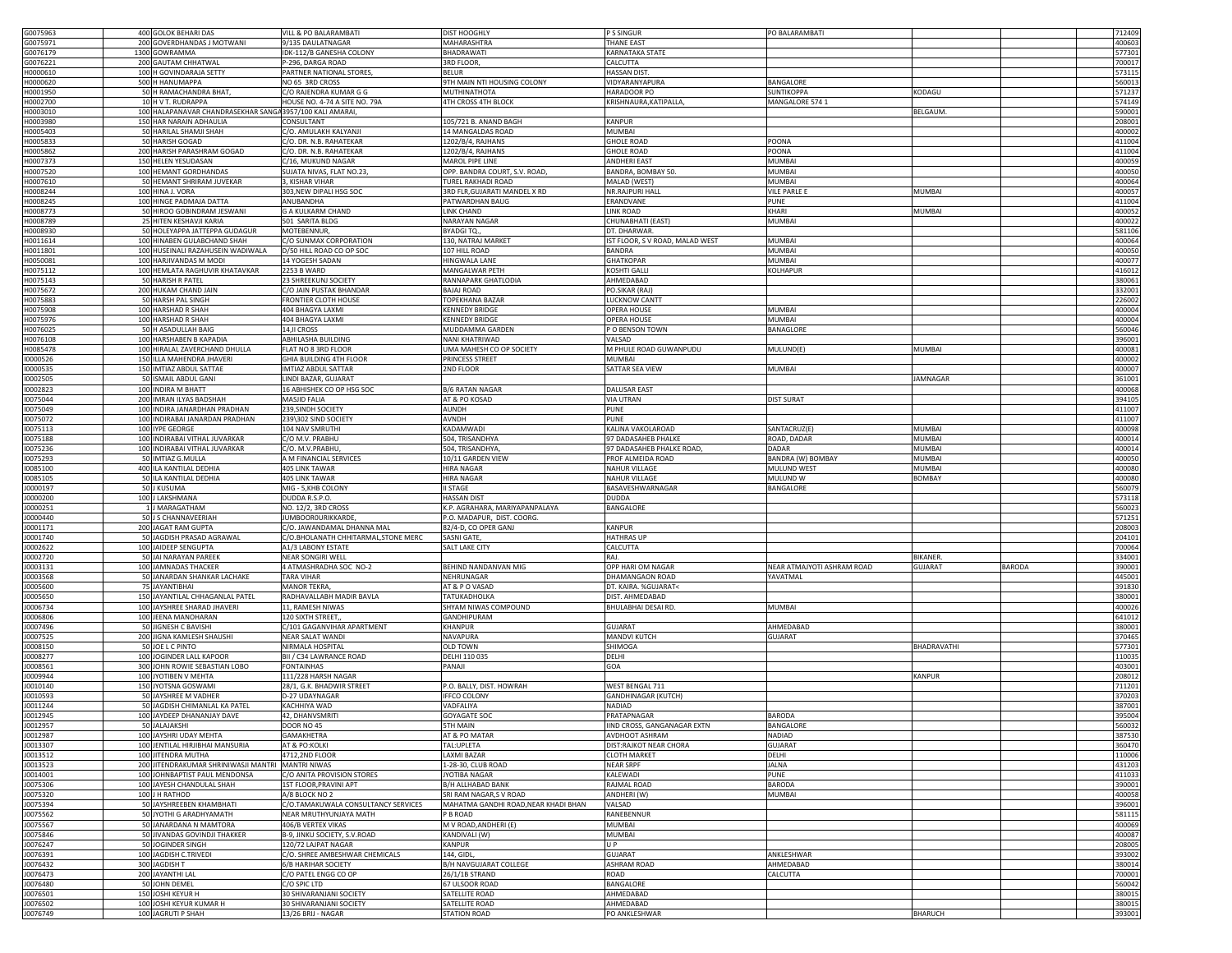| G0075963             | 400 GOLOK BEHARI DAS                                      | VILL & PO BALARAMBATI                         | DIST HOOGHLY                          | P S SINGUR                      | PO BALARAMBATI             |                                 | 712409           |
|----------------------|-----------------------------------------------------------|-----------------------------------------------|---------------------------------------|---------------------------------|----------------------------|---------------------------------|------------------|
| G0075971             | 200 GOVERDHANDAS J MOTWANI                                | 9/135 DAULATNAGAR                             | MAHARASHTRA                           | <b>THANE EAST</b>               |                            |                                 | 400603           |
|                      |                                                           |                                               |                                       |                                 |                            |                                 |                  |
| G0076179             | 1300 GOWRAMMA                                             | IDK-112/B GANESHA COLONY                      | BHADRAWATI                            | <b>KARNATAKA STATE</b>          |                            |                                 | 577301           |
| G0076221             | 200 GAUTAM CHHATWAL                                       | P-296, DARGA ROAD                             | 3RD FLOOR,                            | CALCUTTA                        |                            |                                 | 700017           |
| 10000610             | 100 H GOVINDARAJA SETTY                                   | PARTNER NATIONAL STORES,                      | BELUR                                 | <b>HASSAN DIST</b>              |                            |                                 | 573115           |
| 10000620             | 500 H HANUMAPPA                                           | NO 65 3RD CROSS                               | 9TH MAIN NTI HOUSING COLONY           | VIDYARANYAPURA                  | BANGALORE                  |                                 | 560013           |
|                      |                                                           |                                               |                                       |                                 |                            |                                 |                  |
| 10001950             | 50 H RAMACHANDRA BHAT,                                    | C/O RAJENDRA KUMAR G G                        | MUTHINATHOTA                          | HARADOOR PO                     | SUNTIKOPPA                 | <b>CODAGU</b>                   | 571237           |
| 10002700             | 10 H V T. RUDRAPPA                                        | HOUSE NO. 4-74 A SITE NO. 79A                 | 4TH CROSS 4TH BLOCK                   | KRISHNAURA, KATIPALLA           | MANGALORE 574 1            |                                 | 574149           |
| 10003010             | 100 HALAPANAVAR CHANDRASEKHAR SANGA 3957/100 KALI AMARAI, |                                               |                                       |                                 |                            | BELGAUM.                        | 590001           |
| 10003980             | 150 HAR NARAIN ADHAULIA                                   | CONSULTANT                                    | 105/721 B. ANAND BAGH                 | KANPUR                          |                            |                                 | 208001           |
|                      |                                                           |                                               |                                       |                                 |                            |                                 |                  |
| 10005403             | 50 HARILAL SHAMJI SHAH                                    | C/O. AMULAKH KALYANJI                         | <b>4 MANGALDAS ROAD</b>               | <b>MUMBAI</b>                   |                            |                                 | 400002           |
| 10005833             | 50 HARISH GOGAD                                           | C/O. DR. N.B. RAHATEKAR                       | 1202/B/4, RAJHANS                     | <b>GHOLE ROAD</b>               | POONA                      |                                 | 411004           |
| 10005862             | 200 HARISH PARASHRAM GOGAD                                | C/O. DR. N.B. RAHATEKAR                       | 1202/B/4, RAJHANS                     | <b>GHOLE ROAD</b>               | POONA                      |                                 | 411004           |
| 10007373             | 150 HELEN YESUDASAN                                       | C/16, MUKUND NAGAR                            | MAROL PIPE LINE                       | <b>ANDHERI EAST</b>             | <b>MUMBAI</b>              |                                 | 400059           |
|                      |                                                           |                                               |                                       |                                 |                            |                                 |                  |
| H0007520             | 100 HEMANT GORDHANDAS                                     | SUJATA NIVAS, FLAT NO.23,                     | OPP. BANDRA COURT, S.V. ROAD,         | BANDRA, BOMBAY 50.              | <b>MUMBAI</b>              |                                 | 400050           |
| 10007610             | 50 HEMANT SHRIRAM JUVEKAR                                 | 3, KISHAR VIHAR                               | TUREL RAKHADI ROAD                    | MALAD (WEST)                    | <b>MUMBAI</b>              |                                 | 400064           |
| 10008244             | 100 HINA J. VORA                                          | 303, NEW DIPALI HSG SOC                       | 3RD FLR, GUJARATI MANDEL X RD         | NR.RAJPURI HALL                 | <b>VILE PARLE E</b>        | MUMBAI                          | 400057           |
| 10008245             | 100 HINGE PADMAJA DATTA                                   | ANUBANDHA                                     | PATWARDHAN BAUG                       | ERANDVANE                       | PUNE                       |                                 | 411004           |
|                      |                                                           |                                               |                                       |                                 |                            |                                 |                  |
| 10008773             | 50 HIROO GOBINDRAM JESWANI                                | <b>G A KULKARM CHAND</b>                      | <b>INK CHAND</b>                      | <b>LINK ROAD</b>                | KHARI                      | <b>MUMBAI</b>                   | 400052           |
| H0008789             | 25 HITEN KESHAVJI KARIA                                   | 501 SARITA BLDG                               | NARAYAN NAGAR                         | CHUNABHATI (EAST)               | <b>MUMBAI</b>              |                                 | 400022           |
| H0008930             | 50 HOLEYAPPA JATTEPPA GUDAGUR                             | MOTEBENNUR,                                   | BYADGI TQ.,                           | DT. DHARWAR                     |                            |                                 | 581106           |
| 10011614             | 100 HINABEN GULABCHAND SHAH                               | C/O SUNMAX CORPORATION                        | 130, NATRAJ MARKET                    | IST FLOOR, S V ROAD, MALAD WEST | <b>MUMBAI</b>              |                                 | 400064           |
|                      |                                                           |                                               |                                       |                                 |                            |                                 |                  |
| 10011801             | 100 HUSEINALI RAZAHUSEIN WADIWALA                         | D/50 HILL ROAD CO OP SOC                      | 107 HILL ROAD                         | BANDRA                          | MUMBAI                     |                                 | 400050           |
| 10050081             | 100 HARJIVANDAS M MODI                                    | 14 YOGESH SADAN                               | <b>HINGWALA LANE</b>                  | GHATKOPAR                       | <b>MUMBAI</b>              |                                 | 400077           |
| 10075112             | 100 HEMLATA RAGHUVIR KHATAVKAR                            | 2253 B WARD                                   | MANGALWAR PETH                        | KOSHTI GALLI                    | KOLHAPUR                   |                                 | 416012           |
| 10075143             | 50 HARISH R PATEL                                         | 23 SHREEKUNJ SOCIETY                          | RANNAPARK GHATLODIA                   | AHMEDABAD                       |                            |                                 | 380061           |
|                      |                                                           |                                               |                                       |                                 |                            |                                 |                  |
| H0075672             | 200 HUKAM CHAND JAIN                                      | C/O JAIN PUSTAK BHANDAR                       | BAJAJ ROAD                            | PO.SIKAR (RAJ)                  |                            |                                 | 332001           |
| H0075883             | 50 HARSH PAL SINGH                                        | FRONTIER CLOTH HOUSE                          | <b><i>FOPEKHANA BAZAR</i></b>         | LUCKNOW CANTT                   |                            |                                 | 226002           |
| H0075908             | 100 HARSHAD R SHAH                                        | 404 BHAGYA LAXMI                              | <b>KENNEDY BRIDGE</b>                 | <b>OPERA HOUSE</b>              | MUMBAI                     |                                 | 400004           |
|                      |                                                           |                                               |                                       |                                 | MUMBAI                     |                                 | 400004           |
| H0075976             | 100 HARSHAD R SHAH                                        | 404 BHAGYA LAXMI                              | <b>KENNEDY BRIDGE</b>                 | OPERA HOUSE                     |                            |                                 |                  |
| H0076025             | 50 H ASADULLAH BAIG                                       | 14, II CROSS                                  | MUDDAMMA GARDEN                       | P O BENSON TOWN                 | BANAGLORE                  |                                 | 560046           |
| H0076108             | 100 HARSHABEN B KAPADIA                                   | ABHILASHA BUILDING                            | NANI KHATRIWAD                        | VALSAD                          |                            |                                 | 396001           |
| 10085478             | 100 HIRALAL ZAVERCHAND DHULLA                             | FLAT NO 8 3RD FLOOR                           | JMA MAHESH CO OP SOCIETY              | M PHULE ROAD GUWANPUDU          | MULUND(E)                  | MUMBAI                          | 400081           |
|                      | 150 ILLA MAHENDRA JHAVERI                                 |                                               |                                       | <b>MUMBAI</b>                   |                            |                                 | 400002           |
| 0000526              |                                                           | GHIA BUILDING 4TH FLOOR                       | PRINCESS STREET                       |                                 |                            |                                 |                  |
| 0000535              | 150 IMTIAZ ABDUL SATTAE                                   | IMTIAZ ABDUL SATTAR                           | 2ND FLOOR                             | SATTAR SEA VIEW                 | MUMBAI                     |                                 | 400007           |
| 0002505              | 50 ISMAIL ABDUL GANI                                      | LINDI BAZAR, GUJARAT                          |                                       |                                 |                            | <b>JAMNAGAR</b>                 | 361001           |
| 10002823             | 100 INDIRA M BHATT                                        | 16 ABHISHEK CO OP HSG SOC                     | <b>B/6 RATAN NAGAR</b>                | <b>DALUSAR EAST</b>             |                            |                                 | 400068           |
|                      |                                                           |                                               |                                       |                                 |                            |                                 |                  |
| 0075044              | 200 IMRAN ILYAS BADSHAH                                   | MASJID FALIA                                  | AT & PO KOSAD                         | <b>VIA UTRAN</b>                | <b>DIST SURAT</b>          |                                 | 394105           |
| 10075049             | 100 INDIRA JANARDHAN PRADHAN                              | 239, SINDH SOCIETY                            | AUNDH                                 | PUNE                            |                            |                                 | 411007           |
| 10075072             | 100 INDIRABAI JANARDAN PRADHAN                            | 239\302 SIND SOCIETY                          | AVNDH                                 | PUNF                            |                            |                                 | 411007           |
| 10075113             | 100 IYPE GEORGE                                           | 104 NAV SMRUTHI                               | KADAMWADI                             | KALINA VAKOLAROAD               | SANTACRUZ(E)               | <b>MUMBAI</b>                   | 400098           |
|                      | 100 INDIRABAI VITHAL JUVARKAR                             |                                               |                                       |                                 |                            | <b>MUMBAI</b>                   |                  |
| 10075188             |                                                           | C/O M.V. PRABHU                               | 504, TRISANDHYA                       | 97 DADASAHEB PHALKE             | ROAD, DADAR                |                                 | 400014           |
| 10075236             | 100 INDIRABAI VITHAL JUVARKAR                             | C/O. M.V.PRABHU,                              | 504, TRISANDHYA                       | 97 DADASAHEB PHALKE ROAD,       | <b>DADAR</b>               | <b>MUMBAI</b>                   | 400014           |
| 10075293             | 50 IMTIAZ G.MULLA                                         | A M FINANCIAL SERVICES                        | 10/11 GARDEN VIEW                     | PROF ALMEIDA ROAD               | BANDRA (W) BOMBAY          | MUMBAI                          | 400050           |
| 10085100             | 400 ILA KANTILAL DEDHIA                                   | 405 LINK TAWAR                                | <b>HIRA NAGAR</b>                     | <b>NAHUR VILLAGE</b>            | MULUND WEST                | <b>MUMBAI</b>                   | 400080           |
|                      |                                                           |                                               |                                       |                                 |                            |                                 |                  |
| 10085105             | 50 ILA KANTILAL DEDHIA                                    | 405 LINK TAWAR                                | <b>HIRA NAGAR</b>                     | <b>NAHUR VILLAGE</b>            | MULUND W                   | <b>BOMBAY</b>                   | 400080           |
| 0000197              | 50 J KUSUMA                                               | MIG - 5, KHB COLONY                           | I STAGE                               | BASAVESHWARNAGAR                | BANGALORE                  |                                 | 560079           |
| 0000200              | 100 J LAKSHMANA                                           | DUDDA R.S.P.O.                                | <b>HASSAN DIST</b>                    | DUDDA                           |                            |                                 | 573118           |
| 0000251              | 1 J MARAGATHAM                                            | NO. 12/2, 3RD CROSS                           | K.P. AGRAHARA, MARIYAPANPALAYA        | BANGALORE                       |                            |                                 | 560023           |
|                      |                                                           |                                               |                                       |                                 |                            |                                 |                  |
| 0000440              | 50 J S CHANNAVEERIAH                                      | <b>JUMBOOROURIKKARDE</b>                      | P.O. MADAPUR, DIST. COORG.            |                                 |                            |                                 | 571251           |
| 0001171              | 200 JAGAT RAM GUPTA                                       | C/O. JAWANDAMAL DHANNA MAL                    | 82/4-D, CO OPER GANJ                  | <b>KANPUR</b>                   |                            |                                 | 208003           |
| 0001740              | 50 JAGDISH PRASAD AGRAWAL                                 | C/O.BHOLANATH CHHITARMAL, STONE MERC          | SASNI GATE,                           | <b>HATHRAS UP</b>               |                            |                                 | 204101           |
| 0002622              | 100 JAIDEEP SENGUPTA                                      |                                               |                                       | CALCUTTA                        |                            |                                 | 700064           |
|                      |                                                           |                                               |                                       |                                 |                            |                                 |                  |
| 0002720              |                                                           | A1/3 LABONY ESTATE                            | SALT LAKE CITY                        |                                 |                            |                                 |                  |
|                      | 50 JAI NARAYAN PAREEK                                     | <b>NEAR SONGIRI WELL</b>                      |                                       | RAJ.                            |                            | <b>BIKANER.</b>                 | 334001           |
| 0003131              | 100 JAMNADAS THACKER                                      | 4 ATMASHRADHA SOC NO-2                        | BEHIND NANDANVAN MIG                  | OPP HARI OM NAGAR               | NEAR ATMAJYOTI ASHRAM ROAD | <b>GUJARAT</b><br><b>BARODA</b> | 390001           |
|                      |                                                           |                                               |                                       |                                 |                            |                                 |                  |
| 0003568              | 50 JANARDAN SHANKAR LACHAKE                               | TARA VIHAR                                    | VEHRUNAGAR                            | DHAMANGAON ROAD                 | YAVATMAL                   |                                 | 445001           |
| 0005600              | 75 JAYANTIBHAI                                            | <b>MANOR TEKRA</b> ,                          | AT & P O VASAD                        | DT. KAIRA. %GUJARAT<            |                            |                                 | 391830           |
| 0005650              | 150 JAYANTILAL CHHAGANLAL PATEL                           | RADHAVALLABH MADIR BAVLA                      | TATUKADHOLKA                          | DIST. AHMEDABAD                 |                            |                                 | 380001           |
| 0006734              | 100 JAYSHREE SHARAD JHAVERI                               | 11, RAMESH NIWAS                              | SHYAM NIWAS COMPOUND                  | BHULABHAI DESAI RD              | MUMBAI                     |                                 | 400026           |
| 0006806              | 100 JEENA MANOHARAN                                       | 120 SIXTH STREET,                             | <b>GANDHIPURAM</b>                    |                                 |                            |                                 |                  |
|                      |                                                           |                                               |                                       |                                 |                            |                                 | 641012           |
| 0007496              | 50 JIGNESH C BAVISHI                                      | C/101 GAGANVIHAR APARTMENT                    | KHANPUR                               | GUJARAT                         | AHMEDABAD                  |                                 | 380001           |
| J0007525             | 200 JIGNA KAMLESH SHAUSHI                                 | <b>NEAR SALAT WANDI</b>                       | NAVAPURA                              | <b>MANDVI KUTCH</b>             | <b>GUJARAT</b>             |                                 | 370465           |
| 0008150              | 50 JOE L C PINTO                                          | NIRMALA HOSPITAL                              | OLD TOWN                              | SHIMOGA                         |                            | BHADRAVATHI                     | 577301           |
| 0008277              | 100 JOGINDER LALL KAPOOR                                  | BII / C34 LAWRANCE ROAD                       | DELHI 110 035                         | DELHI                           |                            |                                 | 110035           |
|                      |                                                           |                                               |                                       |                                 |                            |                                 |                  |
| 0008561              | 300 JOHN ROWIE SEBASTIAN LOBO                             | <b>FONTAINHAS</b>                             | PANAJI                                | GOA                             |                            |                                 | 403001           |
| 0009944              | 100 JYOTIBEN V MEHTA                                      | 111/228 HARSH NAGAR                           |                                       |                                 |                            | KANPUR                          | 208012           |
| 0010140              | 150 JYOTSNA GOSWAMI                                       | 28/1, G.K. BHADWIR STREET                     | P.O. BALLY, DIST. HOWRAH              | WEST BENGAL 711                 |                            |                                 | 711201           |
| 0010593              | 50 JAYSHREE M VADHER                                      | D-27 UDAYNAGAR                                | <b>IFFCO COLONY</b>                   | <b>GANDHINAGAR (KUTCH)</b>      |                            |                                 | 370203           |
|                      |                                                           | KACHHIYA WAD                                  |                                       |                                 |                            |                                 |                  |
| 0011244              | 50 JAGDISH CHIMANLAL KA PATEL                             |                                               | VADFALIYA                             | NADIAD                          |                            |                                 | 387001           |
| J0012945             | 100 JAYDEEP DHANANJAY DAVE                                | 42, DHANVSMRITI                               | GOYAGATE SOC                          | PRATAPNAGAR                     | <b>BARODA</b>              |                                 | 395004           |
| 0012957              | JALAJAKSHI                                                | <b>OOR NO 45</b>                              | TH MAIN                               | IND CROSS, GANGANAGAR EXTN      | ANGALC                     |                                 | 560032           |
| J0012987             | 100 JAYSHRI UDAY MEHTA                                    | <b>GAMAKHETRA</b>                             | AT & PO MATAR                         | AVDHOOT ASHRAM                  | <b>NADIAD</b>              |                                 | 387530           |
|                      | 100 JENTILAL HIRJIBHAI MANSURIA                           | AT & PO:KOLKI                                 |                                       |                                 |                            |                                 |                  |
| J0013307             |                                                           |                                               | TAL:UPLETA                            | DIST:RAJKOT NEAR CHORA          | <b>GUJARAT</b>             |                                 | 360470           |
| J0013512             | 100 JITENDRA MUTHA                                        | 4712,2ND FLOOR                                | LAXMI BAZAR                           | <b>CLOTH MARKET</b>             | DELHI                      |                                 | 110006           |
| J0013523             | 200 JITENDRAKUMAR SHRINIWASJI MANTRI MANTRI NIWAS         |                                               | 1-28-30, CLUB ROAD                    | <b>NEAR SRPF</b>                | JALNA                      |                                 | 431203           |
| J0014001             | 100 JOHNBAPTIST PAUL MENDONSA                             | C/O ANITA PROVISION STORES                    | JYOTIBA NAGAR                         | KALEWADI                        | PUNE                       |                                 | 411033           |
|                      |                                                           |                                               |                                       |                                 |                            |                                 |                  |
| J0075306             | 100 JAYESH CHANDULAL SHAH                                 | 1ST FLOOR, PRAVINI APT                        | B/H ALLHABAD BANK                     | RAJMAL ROAD                     | <b>BARODA</b>              |                                 | 390001           |
| J0075320             | 100 J H RATHOD                                            | A/8 BLOCK NO 2                                | SRI RAM NAGAR, S V ROAD               | ANDHERI (W)                     | MUMBAI                     |                                 | 400058           |
| J0075394             | 50 JAYSHREEBEN KHAMBHATI                                  | C/O.TAMAKUWALA CONSULTANCY SERVICES           | MAHATMA GANDHI ROAD, NEAR KHADI BHAN  | VALSAD                          |                            |                                 | 396001           |
|                      |                                                           | NEAR MRUTHYUNJAYA MATH                        |                                       | RANEBENNUR                      |                            |                                 |                  |
| J0075562             | 50 JYOTHI G ARADHYAMATH                                   |                                               | P B ROAD                              |                                 |                            |                                 | 581115           |
| J0075567             | 50 JANARDANA N MAMTORA                                    | 406/B VERTEX VIKAS                            | M V ROAD, ANDHERI (E)                 | <b>MUMBAI</b>                   |                            |                                 | 400069           |
| J0075846             | 50 JIVANDAS GOVINDJI THAKKER                              | B-9, JINKU SOCIETY, S.V.ROAD                  | KANDIVALI (W)                         | <b>MUMBAI</b>                   |                            |                                 | 400087           |
| J0076247             | 50 JOGINDER SINGH                                         | 120/72 LAJPAT NAGAR                           | KANPUR                                | U P                             |                            |                                 | 208005           |
| J0076391             | 100 JAGDISH C.TRIVEDI                                     | C/O. SHREE AMBESHWAR CHEMICALS                | 144, GIDL,                            | <b>GUJARAT</b>                  | ANKLESHWAR                 |                                 | 393002           |
|                      |                                                           |                                               |                                       |                                 |                            |                                 |                  |
| J0076432             | 300 JAGDISH T                                             | <b>6/B HARIHAR SOCIETY</b>                    | B/H NAVGUJARAT COLLEGE                | <b>ASHRAM ROAD</b>              | AHMEDABAD                  |                                 | 380014           |
| J0076473             | 200 JAYANTHI LAL                                          | C/O PATEL ENGG CO OP                          | 26/1/1B STRAND                        | ROAD                            | CALCUTTA                   |                                 | 700001           |
| J0076480             | 50 JOHN DEMEL                                             | C/O SPIC LTD                                  | 67 ULSOOR ROAD                        | BANGALORE                       |                            |                                 | 560042           |
| J0076501             | 150 JOSHI KEYUR H                                         | 30 SHIVARANJANI SOCIETY                       | SATELLITE ROAD                        | AHMEDABAD                       |                            |                                 | 380015           |
|                      |                                                           |                                               |                                       |                                 |                            |                                 |                  |
| J0076502<br>J0076749 | 100 JOSHI KEYUR KUMAR H<br>100 JAGRUTI P SHAH             | 30 SHIVARANJANI SOCIETY<br>13/26 BRIJ - NAGAR | SATELLITE ROAD<br><b>STATION ROAD</b> | AHMEDABAD<br>PO ANKLESHWAR      |                            | BHARUCH                         | 380015<br>393001 |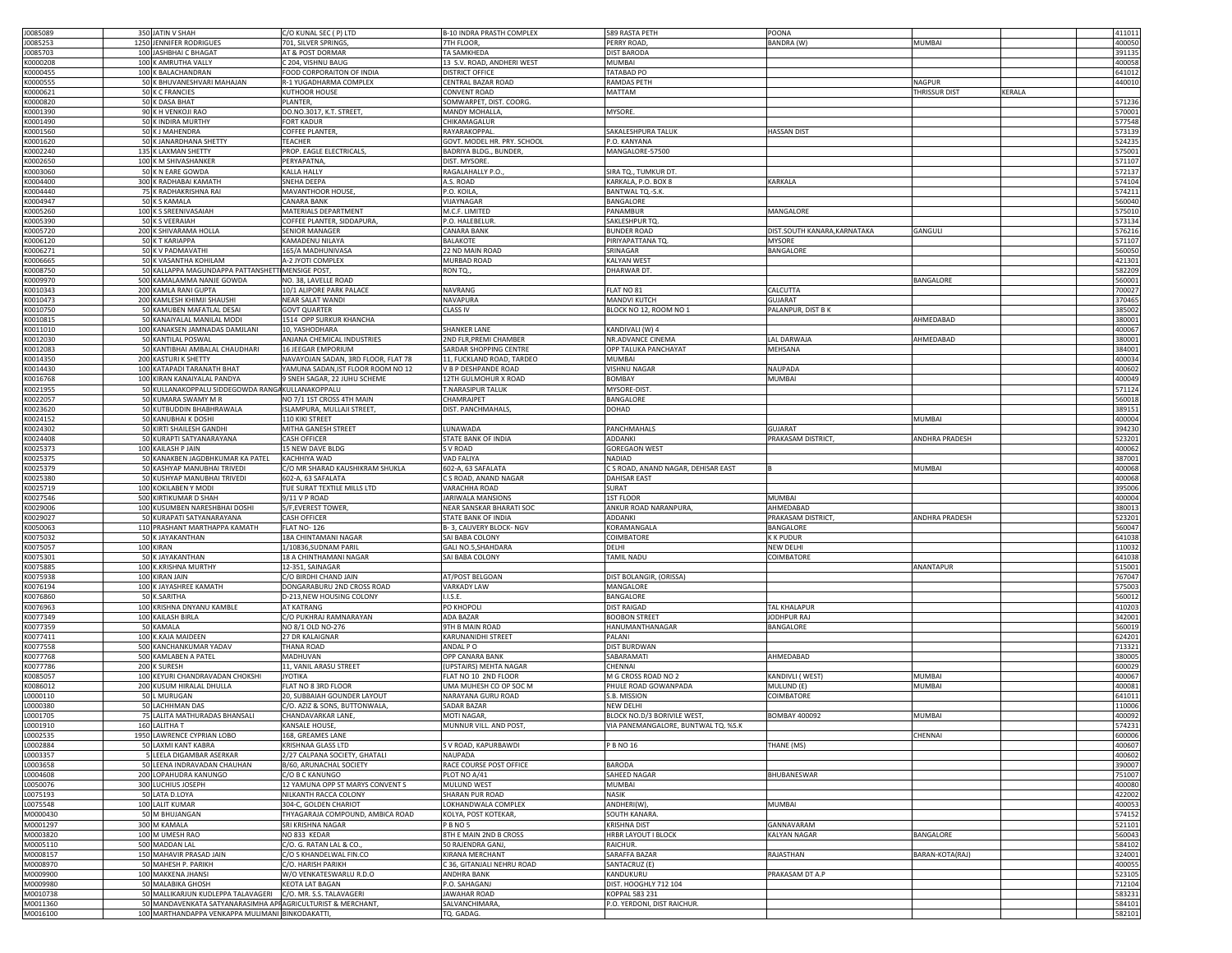| J0085089             | 350 JATIN V SHAH                                                                                                | C/O KUNAL SEC ( P) LTD              | B-10 INDRA PRASTH COMPLEX   | 589 RASTA PETH                     | POONA                        |                       |        | 411011                                                                                 |
|----------------------|-----------------------------------------------------------------------------------------------------------------|-------------------------------------|-----------------------------|------------------------------------|------------------------------|-----------------------|--------|----------------------------------------------------------------------------------------|
|                      | 1250 JENNIFER RODRIGUES                                                                                         |                                     |                             |                                    |                              |                       |        |                                                                                        |
| J0085253             |                                                                                                                 | 701, SILVER SPRINGS,                | 7TH FLOOR,                  | PERRY ROAD,                        | BANDRA (W)                   | <b>MUMBAI</b>         |        | 400050                                                                                 |
| J0085703             | 100 JASHBHAI C BHAGAT                                                                                           | AT & POST DORMAR                    | <b>TA SAMKHEDA</b>          | <b>DIST BARODA</b>                 |                              |                       |        | 391135                                                                                 |
| K0000208             | 100 K AMRUTHA VALLY                                                                                             | C 204, VISHNU BAUG                  | 13 S.V. ROAD, ANDHERI WEST  | MUMBAI                             |                              |                       |        | 400058                                                                                 |
| K0000455             | 100 K BALACHANDRAN                                                                                              | FOOD CORPORAITON OF INDIA           | <b>DISTRICT OFFICE</b>      | TATABAD PO                         |                              |                       |        | 641012                                                                                 |
| K0000555             | 50 K BHUVANESHVARI MAHAJAN                                                                                      | R-1 YUGADHARMA COMPLEX              | CENTRAL BAZAR ROAD          | RAMDAS PETH                        |                              | <b>NAGPUR</b>         |        | 440010                                                                                 |
| K0000621             | 50 K C FRANCIES                                                                                                 | KUTHOOR HOUSE                       | CONVENT ROAD                | MATTAM                             |                              | <b>THRISSUR DIST</b>  | KERALA |                                                                                        |
| K0000820             | 50 K DASA BHAT                                                                                                  | PLANTER,                            | SOMWARPET, DIST. COORG.     |                                    |                              |                       |        | 571236                                                                                 |
|                      |                                                                                                                 |                                     |                             |                                    |                              |                       |        |                                                                                        |
| K0001390             | 90 K H VENKOJI RAO                                                                                              | DO.NO.3017, K.T. STREET,            | MANDY MOHALLA,              | <b>MYSORE</b>                      |                              |                       |        | 570001                                                                                 |
| K0001490             | 50 K INDIRA MURTHY                                                                                              | <b>FORT KADUR</b>                   | CHIKAMAGALUR                |                                    |                              |                       |        | 577548                                                                                 |
| K0001560             | 50 K J MAHENDRA                                                                                                 | COFFEE PLANTER,                     | RAYARAKOPPAL                | SAKALESHPURA TALUK                 | <b>HASSAN DIST</b>           |                       |        | 573139                                                                                 |
| K0001620             | 50 K JANARDHANA SHETTY                                                                                          | TEACHER                             | GOVT. MODEL HR. PRY. SCHOOL | P.O. KANYANA                       |                              |                       |        | 524235                                                                                 |
| K0002240             | 135 K LAXMAN SHETTY                                                                                             | PROP. EAGLE ELECTRICALS,            | BADRIYA BLDG., BUNDER       | MANGALORE-57500                    |                              |                       |        | 575001                                                                                 |
| K0002650             | 100 K M SHIVASHANKER                                                                                            | PERYAPATNA,                         | DIST. MYSORE                |                                    |                              |                       |        | 571107                                                                                 |
| K0003060             | 50 K N EARE GOWDA                                                                                               | KALLA HALLY                         | RAGALAHALLY P.O.            | SIRA TQ., TUMKUR DT                |                              |                       |        | 572137                                                                                 |
| K0004400             | 300 K RADHABAI KAMATH                                                                                           | SNEHA DEEPA                         | A.S. ROAD                   | KARKALA, P.O. BOX 8                | KARKALA                      |                       |        | 574104                                                                                 |
| K0004440             | 75 K RADHAKRISHNA RAI                                                                                           | MAVANTHOOR HOUSE,                   | P.O. KOILA                  | BANTWAL TQ.-S.K.                   |                              |                       |        | 574211                                                                                 |
|                      |                                                                                                                 |                                     |                             |                                    |                              |                       |        |                                                                                        |
| K0004947             | 50 K S KAMALA                                                                                                   | <b>CANARA BANK</b>                  | VIJAYNAGAR                  | BANGALORE                          |                              |                       |        | 560040                                                                                 |
| K0005260             | 100 K S SREENIVASAIAH                                                                                           | MATERIALS DEPARTMENT                | M.C.F. LIMITED              | PANAMBUR                           | MANGALORE                    |                       |        | 575010                                                                                 |
| K0005390             | 50 K S VEERAIAH                                                                                                 | COFFEE PLANTER, SIDDAPURA,          | P.O. HALEBELUR              | SAKLESHPUR TQ                      |                              |                       |        | 573134                                                                                 |
| K0005720             | 200 K SHIVARAMA HOLLA                                                                                           | <b>SENIOR MANAGER</b>               | <b>CANARA BANK</b>          | <b>BUNDER ROAD</b>                 | DIST.SOUTH KANARA, KARNATAKA | GANGULI               |        | 576216                                                                                 |
| K0006120             | 50 K T KARIAPPA                                                                                                 | KAMADENU NILAYA                     | <b>BALAKOTE</b>             | PIRIYAPATTANA TQ                   | <b>MYSORE</b>                |                       |        | 571107                                                                                 |
| K0006271             | 50 K V PADMAVATHI                                                                                               | 165/A MADHUNIVASA                   | 22 ND MAIN ROAD             | RINAGAR                            | BANGALORE                    |                       |        | 560050                                                                                 |
| K0006665             | 50 K VASANTHA KOHILAM                                                                                           | A-2 JYOTI COMPLEX                   | MURBAD ROAD                 | <b>CALYAN WEST</b>                 |                              |                       |        | 421301                                                                                 |
| K0008750             | 50 KALLAPPA MAGUNDAPPA PATTANSHETT MENSIGE POST,                                                                |                                     | RON TQ.,                    | DHARWAR DT                         |                              |                       |        | 582209                                                                                 |
|                      |                                                                                                                 |                                     |                             |                                    |                              |                       |        | 560001                                                                                 |
| K0009970             | 500 KAMALAMMA NANJE GOWDA                                                                                       | NO. 38, LAVELLE ROAD                |                             |                                    |                              | BANGALORE             |        |                                                                                        |
| K0010343             | 200 KAMLA RANI GUPTA                                                                                            | 10/1 ALIPORE PARK PALACE            | <b>NAVRANG</b>              | LAT NO 81                          | CALCUTTA                     |                       |        | 700027                                                                                 |
| K0010473             | 200 KAMLESH KHIMJI SHAUSHI                                                                                      | <b>NEAR SALAT WANDI</b>             | NAVAPURA                    | MANDVI KUTCH                       | <b>GUJARAT</b>               |                       |        | 370465                                                                                 |
| K0010750             | 50 KAMUBEN MAFATLAL DESAI                                                                                       | <b>GOVT QUARTER</b>                 | <b>CLASS IV</b>             | BLOCK NO 12, ROOM NO 1             | PALANPUR, DIST B K           |                       |        | 385002                                                                                 |
| K0010815             | 50 KANAIYALAL MANILAL MODI                                                                                      | 1514 OPP SURKUR KHANCHA             |                             |                                    |                              | AHMEDABAD             |        | 380001                                                                                 |
| K0011010             | 100 KANAKSEN JAMNADAS DAMJLANI                                                                                  | 10, YASHODHARA                      | <b>SHANKER LANE</b>         | KANDIVALI (W) 4                    |                              |                       |        | 400067                                                                                 |
| K0012030             | 50 KANTILAL POSWAL                                                                                              | ANJANA CHEMICAL INDUSTRIES          | 2ND FLR, PREMI CHAMBER      | NR.ADVANCE CINEMA                  | LAL DARWAJA                  | AHMEDABAD             |        | 380001                                                                                 |
| K0012083             | 50 KANTIBHAI AMBALAL CHAUDHARI                                                                                  | 16 JEEGAR EMPORIUM                  | SARDAR SHOPPING CENTRE      | OPP TALUKA PANCHAYAT               | MEHSANA                      |                       |        | 384001                                                                                 |
| K0014350             | 200 KASTURI K SHETTY                                                                                            | NAVAYOJAN SADAN, 3RD FLOOR, FLAT 78 | 11, FUCKLAND ROAD, TARDEO   | MUMBAI                             |                              |                       |        | 400034                                                                                 |
|                      |                                                                                                                 |                                     |                             |                                    |                              |                       |        |                                                                                        |
| K0014430             | 100 KATAPADI TARANATH BHAT                                                                                      | YAMUNA SADAN, IST FLOOR ROOM NO 12  | V B P DESHPANDE ROAD        | VISHNU NAGAR                       | NAUPADA                      |                       |        | 400602                                                                                 |
| K0016768             | 100 KIRAN KANAIYALAL PANDYA                                                                                     | 9 SNEH SAGAR, 22 JUHU SCHEME        | 12TH GULMOHUR X ROAD        | <b>BOMBAY</b>                      | <b>MUMBAI</b>                |                       |        | 400049                                                                                 |
| K0021955             | 50 KULLANAKOPPALU SIDDEGOWDA RANGAKULLANAKOPPALU                                                                |                                     | T.NARASIPUR TALUK           | MYSORE-DIST                        |                              |                       |        | 571124                                                                                 |
| K0022057             | 50 KUMARA SWAMY M R                                                                                             | NO 7/1 1ST CROSS 4TH MAIN           | CHAMRAJPET                  | BANGALORE                          |                              |                       |        | 560018                                                                                 |
| K0023620             | 50 KUTBUDDIN BHABHRAWALA                                                                                        | ISLAMPURA, MULLAJI STREET           | DIST. PANCHMAHALS           | DOHAD                              |                              |                       |        | 389151                                                                                 |
| K0024152             | 50 KANUBHAI K DOSHI                                                                                             | <b>10 KIKI STREET</b>               |                             |                                    |                              | MUMBAI                |        | 400004                                                                                 |
| K0024302             | 50 KIRTI SHAILESH GANDHI                                                                                        | MITHA GANESH STREET                 | LUNAWADA                    | PANCHMAHALS                        | <b>GUJARAT</b>               |                       |        | 394230                                                                                 |
| K0024408             |                                                                                                                 |                                     |                             |                                    |                              | ANDHRA PRADESH        |        |                                                                                        |
|                      | 50 KURAPTI SATYANARAYANA                                                                                        | <b>CASH OFFICER</b>                 | STATE BANK OF INDIA         | ADDANKI                            | PRAKASAM DISTRICT,           |                       |        | 523201                                                                                 |
| K0025373             | 100 KAILASH P JAIN                                                                                              | 15 NEW DAVE BLDG                    | S V ROAD                    | <b>GOREGAON WEST</b>               |                              |                       |        | 400062                                                                                 |
| K0025375             | 50 KANAKBEN JAGDBHKUMAR KA PATEL                                                                                | KACHHIYA WAD                        | VAD FALIYA                  | NADIAD                             |                              |                       |        | 387001                                                                                 |
| K0025379             | 50 KASHYAP MANUBHAI TRIVEDI                                                                                     | C/O MR SHARAD KAUSHIKRAM SHUKLA     | 602-A, 63 SAFALATA          | CS ROAD, ANAND NAGAR, DEHISAR EAST |                              | <b>MUMBAI</b>         |        | 400068                                                                                 |
| K0025380             | 50 KUSHYAP MANUBHAI TRIVEDI                                                                                     | 602-A, 63 SAFALATA                  | C S ROAD, ANAND NAGAR       | <b>DAHISAR EAST</b>                |                              |                       |        | 400068                                                                                 |
| K0025719             | 100 KOKILABEN Y MODI                                                                                            | TUE SURAT TEXTILE MILLS LTD         | VARACHHA ROAD               | SURAT                              |                              |                       |        | 395006                                                                                 |
| K0027546             | 500 KIRTIKUMAR D SHAH                                                                                           | 9/11 V P ROAD                       | JARIWALA MANSIONS           | <b>1ST FLOOR</b>                   | <b>MUMBAI</b>                |                       |        | 400004                                                                                 |
| K0029006             | 100 KUSUMBEN NARESHBHAI DOSHI                                                                                   | 5/F, EVEREST TOWER,                 | NEAR SANSKAR BHARATI SOC    | ANKUR ROAD NARANPURA,              | AHMEDABAD                    |                       |        | 380013                                                                                 |
| K0029027             |                                                                                                                 |                                     |                             |                                    |                              | <b>ANDHRA PRADESH</b> |        |                                                                                        |
|                      | 50 KURAPATI SATYANARAYANA                                                                                       | <b>CASH OFFICER</b>                 | STATE BANK OF INDIA         | ADDANKI                            | PRAKASAM DISTRICT,           |                       |        | 523201                                                                                 |
| K0050063             | 110 PRASHANT MARTHAPPA KAMATH                                                                                   | FLAT NO-126                         | B-3, CAUVERY BLOCK-NGV      | KORAMANGALA                        | BANGALORE                    |                       |        | 560047                                                                                 |
| K0075032             | 50 K JAYAKANTHAN                                                                                                | 18A CHINTAMANI NAGAR                | SAI BABA COLONY             | COIMBATORE                         | <b>KK PUDUR</b>              |                       |        | 641038                                                                                 |
| K0075057             | 100 KIRAN                                                                                                       | 1/10836,SUDNAM PARIL                | GALI NO.5, SHAHDARA         | DELHI                              | NEW DELHI                    |                       |        | 110032                                                                                 |
| K0075301             | 50 K JAYAKANTHAN                                                                                                | 18 A CHINTHAMANI NAGAR              | SAI BABA COLONY             | TAMIL NADU                         | COIMBATORI                   |                       |        | 641038                                                                                 |
| K0075885             | 100 K.KRISHNA MURTHY                                                                                            | 12-351, SAINAGAR                    |                             |                                    |                              | ANANTAPUR             |        | 515001                                                                                 |
| K0075938             | 100 KIRAN JAIN                                                                                                  | C/O BIRDHI CHAND JAIN               | AT/POST BELGOAN             | DIST BOLANGIR, (ORISSA)            |                              |                       |        |                                                                                        |
| K0076194             |                                                                                                                 |                                     |                             |                                    |                              |                       |        |                                                                                        |
|                      |                                                                                                                 |                                     |                             |                                    |                              |                       |        |                                                                                        |
| K0076860             | 100 K JAYASHREE KAMATH                                                                                          | OONGARABURU 2ND CROSS ROAD          | VARKADY LAW                 | MANGALORE                          |                              |                       |        |                                                                                        |
|                      | 50 K.SARITHA                                                                                                    | D-213, NEW HOUSING COLONY           | I.I.S.E                     | BANGALORE                          |                              |                       |        |                                                                                        |
| K0076963             | 100 KRISHNA DNYANU KAMBLE                                                                                       | AT KATRANG                          | PO KHOPOLI                  | <b>DIST RAIGAD</b>                 | TAL KHALAPUR                 |                       |        |                                                                                        |
| K0077349             | 100 KAILASH BIRLA                                                                                               | C/O PUKHRAJ RAMNARAYAN              | ADA BAZAR                   | <b>BOOBON STREET</b>               | JODHPUR RAJ                  |                       |        |                                                                                        |
| K0077359             | 50 KAMALA                                                                                                       | NO 8/1 OLD NO-276                   | 9TH B MAIN ROAD             | <b>HANUMANTHANAGAR</b>             | BANGALORE                    |                       |        | 767047<br>575003<br>560012<br>410203<br>342001<br>560019                               |
|                      |                                                                                                                 |                                     |                             |                                    |                              |                       |        |                                                                                        |
| K0077411             | 100 K.KAJA MAIDEEN                                                                                              | 27 DR KALAIGNAR                     | KARUNANIDHI STREET          | PALANI                             |                              |                       |        | 624201                                                                                 |
| K0077558             | 500 KANCHANKUMAR YADAV                                                                                          | THANA ROAD                          | ANDAL PO                    | <b>DIST BURDWAN</b>                |                              |                       |        | 713321                                                                                 |
| K0077768             | 500 KAMLABEN A PATEL                                                                                            | MADHUVAN                            | OPP CANARA BANK             | SABARAMATI                         | AHMEDABAD                    |                       |        |                                                                                        |
| K0077786             | 200 K SURESH                                                                                                    | 11, VANIL ARASU STREET              | (UPSTAIRS) MEHTA NAGAR      | CHENNAI                            |                              |                       |        |                                                                                        |
| K0085057             | 100 KEYURI CHANDRAVADAN CHOKSHI                                                                                 | <b>IYOTIKA</b>                      | FLAT NO 10 2ND FLOOR        | M G CROSS ROAD NO 2                | KANDIVLI (WEST)              | <b>MUMBAI</b>         |        |                                                                                        |
| K0086012             | 200 KUSUM HIRALAL DHULLA                                                                                        | FLAT NO 8 3RD FLOOR                 | UMA MUHESH CO OP SOC M      | PHULE ROAD GOWANPADA               | MULUND (E)                   | <b>MUMBAI</b>         |        | 400081                                                                                 |
| L0000110             | 50 L MURUGAN                                                                                                    | 20, SUBBAIAH GOUNDER LAYOUT         | NARAYANA GURU ROAD          | S.B. MISSION                       | COIMBATORE                   |                       |        |                                                                                        |
| 10000380             | 50 LACHHMAN DAS                                                                                                 | C/O. AZIZ & SONS, BUTTONWALA        | <b>SADAR BAZAR</b>          | NEW DELHI                          |                              |                       |        | 110006                                                                                 |
| L0001705             | 75 LALITA MATHURADAS BHANSALI                                                                                   | CHANDAVARKAR LANE,                  | <b>MOTI NAGAR</b>           | BLOCK NO.D/3 BORIVILE WEST,        | <b>BOMBAY 400092</b>         | <b>MUMBA</b>          |        | 400092                                                                                 |
|                      | <b>T AHTILA I</b> IGA                                                                                           | KANSALE HOLISE                      |                             |                                    |                              |                       |        |                                                                                        |
| 0001910              |                                                                                                                 |                                     | MUNNUR VILL.                | IA PANEMANGALORE, BUNTWAL TO. %S.K |                              |                       |        | 574231                                                                                 |
| L0002535             | 1950 LAWRENCE CYPRIAN LOBO                                                                                      | 168, GREAMES LANE                   |                             |                                    |                              | CHENNAI               |        |                                                                                        |
| L0002884             | 50 LAXMI KANT KABRA                                                                                             | KRISHNAA GLASS LTD                  | S V ROAD, KAPURBAWDI        | P B NO 16                          | THANE (MS)                   |                       |        |                                                                                        |
| L0003357             | 5 LEELA DIGAMBAR ASERKAR                                                                                        | 2/27 CALPANA SOCIETY, GHATALI       | <b>NAUPADA</b>              |                                    |                              |                       |        |                                                                                        |
| L0003658             | 50 LEENA INDRAVADAN CHAUHAN                                                                                     | B/60, ARUNACHAL SOCIETY             | RACE COURSE POST OFFICE     | BARODA                             |                              |                       |        |                                                                                        |
| L0004608             | 200 LOPAHUDRA KANUNGO                                                                                           | C/O B C KANUNGO                     | PLOT NO A/41                | SAHEED NAGAR                       | BHUBANESWAR                  |                       |        | 380005<br>600029<br>400067<br>641011<br>600006<br>400607<br>400602<br>390007<br>751007 |
| L0050076             | 300 LUCHIUS JOSEPH                                                                                              | 12 YAMUNA OPP ST MARYS CONVENTS     | MULUND WEST                 | MUMBAI                             |                              |                       |        |                                                                                        |
|                      | 50 LATA D.LOYA                                                                                                  | NILKANTH RACCA COLONY               | SHARAN PUR ROAD             | NASIK                              |                              |                       |        | 400080<br>422002                                                                       |
| L0075193             |                                                                                                                 |                                     |                             |                                    |                              |                       |        |                                                                                        |
| L0075548             | 100 LALIT KUMAR                                                                                                 | 304-C, GOLDEN CHARIOT               | LOKHANDWALA COMPLEX         | ANDHERI(W),                        | <b>MUMBAI</b>                |                       |        | 400053                                                                                 |
| M0000430             | 50 M BHUJANGAN                                                                                                  | THYAGARAJA COMPOUND, AMBICA ROAD    | KOLYA, POST KOTEKAR,        | SOUTH KANARA.                      |                              |                       |        | 574152                                                                                 |
| M0001297             | 300 M KAMALA                                                                                                    | SRI KRISHNA NAGAR                   | PBNO5                       | <b>KRISHNA DIST</b>                | GANNAVARAM                   |                       |        | 521101                                                                                 |
| M0003820             | 100 M UMESH RAO                                                                                                 | NO 833 KEDAR                        | 8TH E MAIN 2ND B CROSS      | HRBR LAYOUT I BLOCK                | <b>KALYAN NAGAR</b>          | BANGALORE             |        | 560043                                                                                 |
| M0005110             | 500 MADDAN LAL                                                                                                  | C/O. G. RATAN LAL & CO.,            | 50 RAJENDRA GANJ.           | RAICHUR.                           |                              |                       |        | 584102                                                                                 |
| M0008157             | 150 MAHAVIR PRASAD JAIN                                                                                         | C/O S KHANDELWAL FIN.CO             | <b>KIRANA MERCHANT</b>      | SARAFFA BAZAR                      | RAJASTHAN                    | BARAN-KOTA(RAJ)       |        | 324001                                                                                 |
| M0008970             | 50 MAHESH P. PARIKH                                                                                             | C/O. HARISH PARIKH                  | C 36, GITANJALI NEHRU ROAD  | SANTACRUZ (E)                      |                              |                       |        | 400055                                                                                 |
|                      |                                                                                                                 |                                     |                             |                                    |                              |                       |        |                                                                                        |
| M0009900             | 100 MAKKENA JHANSI                                                                                              | W/O VENKATESWARLU R.D.O             | <b>ANDHRA BANK</b>          | KANDUKURU                          | PRAKASAM DT A.P              |                       |        | 523105                                                                                 |
| M0009980             | 50 MALABIKA GHOSH                                                                                               | <b>KEOTA LAT BAGAN</b>              | P.O. SAHAGANJ               | DIST. HOOGHLY 712 104              |                              |                       |        | 712104                                                                                 |
| M0010738             | 50 MALLIKARJUN KUDLEPPA TALAVAGERI C/O. MR. S.S. TALAVAGERI                                                     |                                     | <b>JAWAHAR ROAD</b>         | KOPPAL 583 231                     |                              |                       |        | 583231                                                                                 |
| M0011360<br>M0016100 | 50 MANDAVENKATA SATYANARASIMHA APPAGRICULTURIST & MERCHANT,<br>100 MARTHANDAPPA VENKAPPA MULIMANI BINKODAKATTI, |                                     | SALVANCHIMARA<br>TQ. GADAG. | P.O. YERDONI, DIST RAICHUR.        |                              |                       |        | 584101<br>582101                                                                       |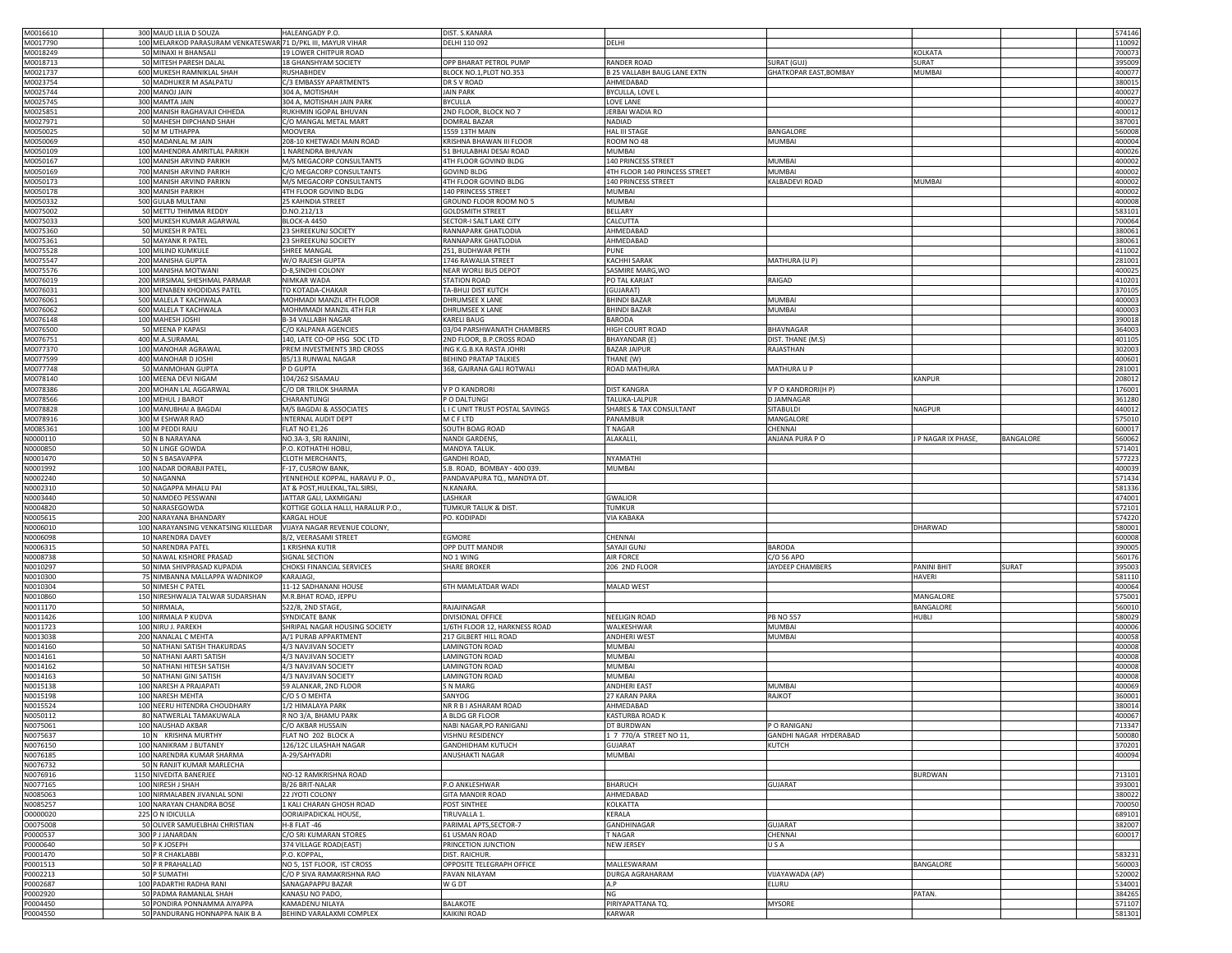| M0016610 | 300 MAUD LILIA D SOUZA                                       | HALEANGADY P.O.                   | DIST. S.KANARA                |                                    |                               |                                  | 574146 |
|----------|--------------------------------------------------------------|-----------------------------------|-------------------------------|------------------------------------|-------------------------------|----------------------------------|--------|
| M0017790 | 100 MELARKOD PARASURAM VENKATESWAR 71 D/PKL III, MAYUR VIHAR |                                   | DELHI 110 092                 | DELHI                              |                               |                                  | 110092 |
| M0018249 | 50 MINAXI H BHANSALI                                         | 9 LOWER CHITPUR ROAD              |                               |                                    |                               | KOLKATA                          | 700073 |
| M0018713 | 50 MITESH PARESH DALAL                                       | 8 GHANSHYAM SOCIETY               | OPP BHARAT PETROL PUMP        | <b>RANDER ROAD</b>                 | SURAT (GUJ)                   | SURAT                            | 395009 |
| M0021737 | 600 MUKESH RAMNIKLAL SHAH                                    | <b>IUSHABHDEV</b>                 | BLOCK NO.1, PLOT NO.353       | 325 VALLABH BAUG LANE EXTN         | <b>GHATKOPAR EAST, BOMBAY</b> | MUMBAI                           | 400077 |
| M0023754 | 50 MADHUKER M ASALPATU                                       | C/3 EMBASSY APARTMENTS            | DR S V ROAD                   | AHMEDABAD                          |                               |                                  | 380015 |
|          |                                                              |                                   |                               |                                    |                               |                                  |        |
| M0025744 | 200 MANOJ JAIN                                               | 304 A, MOTISHAH                   | <b>JAIN PARK</b>              | BYCULLA, LOVE L                    |                               |                                  | 400027 |
| M0025745 | 300 MAMTA JAIN                                               | 304 A, MOTISHAH JAIN PARK         | <b>BYCULLA</b>                | LOVE LANE                          |                               |                                  | 400027 |
| M0025851 | 200 MANISH RAGHAVAJI CHHEDA                                  | RUKHMIN IGOPAL BHUVAN             | 2ND FLOOR, BLOCK NO 7         | <b>JERBAI WADIA RO</b>             |                               |                                  | 400012 |
| M0027971 | 50 MAHESH DIPCHAND SHAH                                      | C/O MANGAL METAL MART             | <b>DOMRAL BAZAR</b>           | NADIAD                             |                               |                                  | 387001 |
| M0050025 | 50 M M UTHAPPA                                               | MOOVERA                           | 1559 13TH MAIN                | <b>HAL III STAGE</b>               | BANGALORE                     |                                  | 560008 |
|          |                                                              |                                   |                               |                                    |                               |                                  |        |
| M0050069 | 450 MADANLAL M JAIN                                          | 208-10 KHETWADI MAIN ROAD         | KRISHNA BHAWAN III FLOOR      | ROOM NO 48                         | MUMBAI                        |                                  | 400004 |
| M0050109 | 100 MAHENDRA AMRITLAL PARIKH                                 | NARENDRA BHUVAN                   | 51 BHULABHAI DESAI ROAD       | MUMBAI                             |                               |                                  | 400026 |
| M0050167 | 100 MANISH ARVIND PARIKH                                     | M/S MEGACORP CONSULTANTS          | 4TH FLOOR GOVIND BLDG         | 140 PRINCESS STREET                | <b>MUMBAI</b>                 |                                  | 400002 |
| M0050169 | 700 MANISH ARVIND PARIKH                                     | C/O MEGACORP CONSULTANTS          | <b>GOVIND BLDG</b>            | 4TH FLOOR 140 PRINCESS STREET      | MUMBAI                        |                                  | 400002 |
|          |                                                              |                                   |                               |                                    |                               |                                  |        |
| M0050173 | 100 MANISH ARVIND PARIKN                                     | M/S MEGACORP CONSULTANTS          | 4TH FLOOR GOVIND BLDG         | 140 PRINCESS STREET                | KALBADEVI ROAD                | MUMBAI                           | 400002 |
| M0050178 | 300 MANISH PARIKH                                            | 4TH FLOOR GOVIND BLDG             | 140 PRINCESS STREET           | <b>MUMBAI</b>                      |                               |                                  | 400002 |
| M0050332 | 500 GULAB MULTANI                                            | 25 KAHNDIA STREET                 | GROUND FLOOR ROOM NO 5        | MUMBAI                             |                               |                                  | 400008 |
| M0075002 | 50 METTU THIMMA REDDY                                        | D.NO.212/13                       | <b>GOLDSMITH STREET</b>       | <b>BELLARY</b>                     |                               |                                  | 583101 |
| M0075033 | 500 MUKESH KUMAR AGARWAL                                     | BLOCK-A 4450                      | SECTOR-I SALT LAKE CITY       | CALCUTTA                           |                               |                                  | 700064 |
| M0075360 | 50 MUKESH R PATEL                                            | <b>23 SHREEKUNJ SOCIETY</b>       | RANNAPARK GHATLODIA           | AHMEDABAD                          |                               |                                  | 380061 |
|          |                                                              |                                   |                               |                                    |                               |                                  |        |
| M0075361 | 50 MAYANK R PATEL                                            | 23 SHREEKUNJ SOCIETY              | RANNAPARK GHATLODIA           | AHMEDABAD                          |                               |                                  | 380061 |
| M0075528 | 100 MILIND KUMKULI                                           | SHREE MANGAL                      | 251, BUDHWAR PETH             | UNE <sup></sup>                    |                               |                                  | 411002 |
| M0075547 | 200 MANISHA GUPTA                                            | W/O RAJESH GUPTA                  | 1746 RAWALIA STREET           | KACHHI SARAK                       | MATHURA (U P)                 |                                  | 281001 |
| M0075576 | 100 MANISHA MOTWANI                                          | D-8, SINDHI COLONY                | NEAR WORLI BUS DEPOT          | SASMIRE MARG, WO                   |                               |                                  | 400025 |
|          |                                                              |                                   |                               |                                    |                               |                                  |        |
| M0076019 | 200 MIRSIMAL SHESHMAL PARMAR                                 | NIMKAR WADA                       | <b>STATION ROAD</b>           | PO TAL KARJAT                      | RAIGAD                        |                                  | 410201 |
| M0076031 | 300 MENABEN KHODIDAS PATEL                                   | TO KOTADA-CHAKAR                  | TA-BHUJ DIST KUTCH            | (GUJARAT)                          |                               |                                  | 370105 |
| M0076061 | 500 MALELA T KACHWALA                                        | MOHMADI MANZIL 4TH FLOOR          | <b>DHRUMSEE X LANE</b>        | <b>BHINDI BAZAR</b>                | <b>MUMBAI</b>                 |                                  | 400003 |
| M0076062 | 600 MALELA T KACHWALA                                        | MOHMMADI MANZIL 4TH FLR           | DHRUMSEE X LANE               | <b>BHINDI BAZAR</b>                | MUMBAI                        |                                  | 400003 |
|          |                                                              |                                   |                               |                                    |                               |                                  |        |
| M0076148 | 100 MAHESH JOSHI                                             | 3-34 VALLABH NAGAR                | <b>KARELI BAUG</b>            | BARODA                             |                               |                                  | 390018 |
| M0076500 | 50 MEENA P KAPASI                                            | C/O KALPANA AGENCIES              | 03/04 PARSHWANATH CHAMBERS    | HIGH COURT ROAD                    | BHAVNAGAR                     |                                  | 364003 |
| M0076751 | 400 M.A.SURAMAL                                              | 140, LATE CO-OP HSG SOC LTD       | 2ND FLOOR, B.P.CROSS ROAD     | <b>BHAYANDAR (E)</b>               | DIST. THANE (M.S)             |                                  | 401105 |
| M0077370 | 100 MANOHAR AGRAWAL                                          | PREM INVESTMENTS 3RD CROSS        | ING K.G.B.KA RASTA JOHRI      | <b>BAZAR JAIPUR</b>                | RAJASTHAN                     |                                  | 302003 |
|          |                                                              |                                   |                               |                                    |                               |                                  |        |
| M0077599 | 400 MANOHAR D JOSHI                                          | B5/13 RUNWAL NAGAR                | <b>BEHIND PRATAP TALKIES</b>  | THANE (W)                          |                               |                                  | 400601 |
| M0077748 | 50 MANMOHAN GUPTA                                            | P D GUPTA                         | 368, GAJRANA GALI ROTWALI     | ROAD MATHURA                       | MATHURA U P                   |                                  | 281001 |
| M0078140 | 100 MEENA DEVI NIGAM                                         | 104/262 SISAMAU                   |                               |                                    |                               | <b>KANPUR</b>                    | 208012 |
| M0078386 | 200 MOHAN LAL AGGARWAL                                       | C/O DR TRILOK SHARMA              | V P O KANDRORI                | <b>DIST KANGRA</b>                 | V P O KANDRORI(H P)           |                                  | 176001 |
| M0078566 | 100 MEHUL J BAROT                                            | <b>HARANTUNGI</b>                 |                               |                                    | D JAMNAGAR                    |                                  |        |
|          |                                                              |                                   | P O DALTUNGI                  | <b>ALUKA-LALPUR</b>                |                               |                                  | 361280 |
| M0078828 | 100 MANUBHAI A BAGDAI                                        | M/S BAGDAI & ASSOCIATES           | LI CUNIT TRUST POSTAL SAVINGS | <b>SHARES &amp; TAX CONSULTANT</b> | <b>SITABULDI</b>              | NAGPUR                           | 440012 |
| M0078916 | 300 M ESHWAR RAO                                             | INTERNAL AUDIT DEPT               | M C F LTD                     | PANAMBUR                           | MANGALORE                     |                                  | 575010 |
| M0085361 | 100 M PEDDI RAJU                                             | FLAT NO E1,26                     | SOUTH BOAG ROAD               | <b>NAGAR</b>                       | CHENNAI                       |                                  | 600017 |
| N0000110 | 50 N B NARAYANA                                              | NO.3A-3, SRI RANJINI,             | NANDI GARDENS,                | ALAKALLI,                          | ANJANA PURA PO                | J P NAGAR IX PHASE,<br>BANGALORE | 560062 |
|          |                                                              |                                   |                               |                                    |                               |                                  |        |
| N0000850 | 50 N LINGE GOWDA                                             | P.O. KOTHATHI HOBLI               | MANDYA TALUK.                 |                                    |                               |                                  | 571401 |
| N0001470 | 50 N S BASAVAPPA                                             | <b>CLOTH MERCHANTS</b>            | GANDHI ROAD,                  | NYAMATHI                           |                               |                                  | 577223 |
| N0001992 | 100 NADAR DORABJI PATEL,                                     | F-17, CUSROW BANK,                | S.B. ROAD, BOMBAY - 400 039.  | MUMBAI                             |                               |                                  | 400039 |
| N0002240 | 50 NAGANNA                                                   | ENNEHOLE KOPPAL, HARAVU P.O.,     | PANDAVAPURA TQ., MANDYA DT.   |                                    |                               |                                  | 571434 |
| N0002310 | 50 NAGAPPA MHALU PAI                                         |                                   | N.KANARA                      |                                    |                               |                                  | 581336 |
|          |                                                              | AT & POST, HULEKAL, TAL. SIRSI    |                               |                                    |                               |                                  |        |
| N0003440 | 50 NAMDEO PESSWANI                                           | <b>JATTAR GALI, LAXMIGANJ</b>     | LASHKAR                       | <b>GWALIOR</b>                     |                               |                                  | 474001 |
| N0004820 | 50 NARASEGOWDA                                               | KOTTIGE GOLLA HALLI, HARALUR P.O. | TUMKUR TALUK & DIST.          | TUMKUR                             |                               |                                  | 572101 |
| N0005615 | 200 NARAYANA BHANDARY                                        | <b>KARGAL HOUE</b>                | PO. KODIPADI                  | <b>VIA KABAKA</b>                  |                               |                                  | 574220 |
|          |                                                              |                                   |                               |                                    |                               |                                  |        |
| N0006010 | 100 NARAYANSING VENKATSING KILLEDAR                          | VIJAYA NAGAR REVENUE COLONY,      |                               |                                    |                               | DHARWAD                          | 580001 |
| N0006098 | 10 NARENDRA DAVEY                                            | 8/2, VEERASAMI STREET             | EGMORE                        | CHENNAI                            |                               |                                  | 600008 |
| N0006315 | 50 NARENDRA PATEL                                            | 1 KRISHNA KUTIR                   | OPP DUTT MANDIR               | SAYAJI GUNJ                        | <b>BARODA</b>                 |                                  | 390005 |
| N0008738 | 50 NAWAL KISHORE PRASAD                                      | <b>IGNAL SECTION</b>              | NO 1 WING                     | AIR FORCE                          | C/O 56 APO                    |                                  | 560176 |
| N0010297 | 50 NIMA SHIVPRASAD KUPADIA                                   | HOKSI FINANCIAL SERVICES          | <b>SHARE BROKER</b>           | 206 2ND FLOOR                      | JAYDEEP CHAMBERS              | PANINI BHIT<br>SURAT             | 395003 |
|          |                                                              |                                   |                               |                                    |                               |                                  |        |
| N0010300 | 75 NIMBANNA MALLAPPA WADNIKOP                                | KARAJAGI,                         |                               |                                    |                               | HAVERI                           | 581110 |
| N0010304 | 50 NIMESH C PATEL                                            | 11-12 SADHANANI HOUSE             | 6TH MAMLATDAR WADI            | MALAD WEST                         |                               |                                  | 400064 |
| N0010860 | 150 NIRESHWALIA TALWAR SUDARSHAN                             | M.R.BHAT ROAD, JEPPU              |                               |                                    |                               | MANGALORE                        | 575001 |
| N0011170 | 50 NIRMALA                                                   | 522/8, 2ND STAGE                  | RAJAJINAGAR                   |                                    |                               | BANGALORE                        | 560010 |
|          |                                                              |                                   |                               |                                    |                               |                                  |        |
| N0011426 | 100 NIRMALA P KUDVA                                          | <b>SYNDICATE BANK</b>             | DIVISIONAL OFFICE             | NEELIGIN ROAD                      | <b>PB NO 557</b>              | HUBLI                            | 580029 |
| N0011723 | 100 NIRU J. PAREKH                                           | SHRIPAL NAGAR HOUSING SOCIETY     | 1/6TH FLOOR 12, HARKNESS ROAD | WALKESHWAR                         | <b>MUMBAI</b>                 |                                  | 400006 |
| N0013038 | 200 NANALAL C MEHTA                                          | A/1 PURAB APPARTMENT              | 217 GILBERT HILL ROAD         | ANDHERI WEST                       | <b>MUMBAI</b>                 |                                  | 400058 |
| N0014160 | 50 NATHANI SATISH THAKURDAS                                  | 4/3 NAVJIVAN SOCIETY              | <b>LAMINGTON ROAD</b>         | <b>MUMBAI</b>                      |                               |                                  | 400008 |
| N0014161 | 50 NATHANI AARTI SATISH                                      |                                   | LAMINGTON ROAD                | <b>MUMBAI</b>                      |                               |                                  | 400008 |
|          |                                                              | 4/3 NAVJIVAN SOCIETY              |                               |                                    |                               |                                  |        |
| N0014162 | 50 NATHANI HITESH SATISH                                     | 4/3 NAVJIVAN SOCIETY              | <b>LAMINGTON ROAD</b>         | MUMBAI                             |                               |                                  | 400008 |
| N0014163 | 50 NATHANI GINI SATISH                                       | 4/3 NAVJIVAN SOCIETY              | LAMINGTON ROAD                | <b>MUMBAI</b>                      |                               |                                  | 400008 |
| N0015138 | 100 NARESH A PRAJAPATI                                       | 59 ALANKAR, 2ND FLOOR             | S N MARG                      | ANDHERI EAST                       | <b>MUMBAI</b>                 |                                  | 400069 |
| N0015198 | 100 NARESH MEHTA                                             | C/O S O MEHTA                     | SANYOG                        | 27 KARAN PARA                      | RAJKOT                        |                                  | 360001 |
| N0015524 | 100 NEERU HITENDRA CHOUDHARY                                 | 1/2 HIMALAYA PARK                 | NR R B I ASHARAM ROAD         | AHMEDABAD                          |                               |                                  | 380014 |
|          |                                                              |                                   |                               |                                    |                               |                                  |        |
| N0050112 | 80 NATWERLAL TAMAKUWALA                                      | R NO 3/A, BHAMU PARK              | A BLDG GR FLOOR               | <b>KASTURBA ROAD K</b>             |                               |                                  | 400067 |
| N0075061 | 100 NAUSHAD AKBAR                                            | /O AKBAR HUSSAIN                  | VABI NAGAR,PO RANIGANJ        | DT BURDWAN                         | P O RANIGANJ                  |                                  | 713347 |
| N0075637 | 10 N KRISHNA MURTHY                                          | FLAT NO 202 BLOCK A               | VISHNU RESIDENCY              | 1 7 770/A STREET NO 11,            | GANDHI NAGAR HYDERABAD        |                                  | 500080 |
| N0076150 | 100 NANIKRAM J BUTANEY                                       | 126/12C LILASHAH NAGAR            | <b>GANDHIDHAM KUTUCH</b>      | <b>GUJARAT</b>                     | KUTCH                         |                                  | 370201 |
| N0076185 | 100 NARENDRA KUMAR SHARMA                                    |                                   | ANUSHAKTI NAGAR               | MUMBAI                             |                               |                                  | 400094 |
|          |                                                              | A-29/SAHYADRI                     |                               |                                    |                               |                                  |        |
| N0076732 | 50 N RANJIT KUMAR MARLECHA                                   |                                   |                               |                                    |                               |                                  |        |
| N0076916 | 1150 NIVEDITA BANERJEE                                       | NO-12 RAMKRISHNA ROAD             |                               |                                    |                               | BURDWAN                          | 713101 |
| N0077165 | 100 NIRESH J SHAH                                            | <b>B/26 BRIT-NALAR</b>            | P.O ANKLESHWAR                | <b>BHARUCH</b>                     | <b>GUJARAT</b>                |                                  | 393001 |
| N0085063 | 100 NIRMALABEN JIVANLAL SONI                                 | 22 JYOTI COLONY                   | <b>GITA MANDIR ROAD</b>       | AHMEDABAD                          |                               |                                  | 380022 |
|          |                                                              |                                   |                               |                                    |                               |                                  |        |
| N0085257 | 100 NARAYAN CHANDRA BOSE                                     | 1 KALI CHARAN GHOSH ROAD          | POST SINTHEE                  | KOLKATTA                           |                               |                                  | 700050 |
| 00000020 | 225 O N IDICULLA                                             | OORIAIPADICKAL HOUSE,             | TIRUVALLA 1.                  | KERALA                             |                               |                                  | 689101 |
| 00075008 | 50 OLIVER SAMUELBHAI CHRISTIAN                               | H-8 FLAT-46                       | PARIMAL APTS, SECTOR-7        | GANDHINAGAR                        | <b>GUJARAT</b>                |                                  | 382007 |
| P0000537 | 300 P J JANARDAN                                             | C/O SRI KUMARAN STORES            | 61 USMAN ROAD                 | T NAGAR                            | CHENNAI                       |                                  | 600017 |
|          | 50 P K JOSEPH                                                | 374 VILLAGE ROAD(EAST)            |                               |                                    |                               |                                  |        |
| P0000640 |                                                              |                                   | PRINCETION JUNCTION           | NEW JERSEY                         | USA                           |                                  |        |
| P0001470 | 50 P R CHAKLABBI                                             | P.O. KOPPAL,                      | DIST. RAICHUR.                |                                    |                               |                                  | 583231 |
| P0001513 | 50 P R PRAHALLAD                                             | NO 5, 1ST FLOOR, IST CROSS        | OPPOSITE TELEGRAPH OFFICE     | MALLESWARAM                        |                               | BANGALORE                        | 560003 |
| P0002213 | 50 P SUMATHI                                                 | C/O P SIVA RAMAKRISHNA RAO        | PAVAN NILAYAM                 | DURGA AGRAHARAM                    | VIJAYAWADA (AP)               |                                  | 520002 |
| P0002687 | 100 PADARTHI RADHA RANI                                      | SANAGAPAPPU BAZAR                 | W G DT                        | A.P                                | ELURU                         |                                  | 534001 |
|          | 50 PADMA RAMANLAL SHAH                                       |                                   |                               |                                    |                               |                                  |        |
| P0002920 |                                                              | KANASU NO PADO,                   |                               | NG                                 |                               | PATAN.                           | 384265 |
| P0004450 | 50 PONDIRA PONNAMMA AIYAPPA                                  | KAMADENU NILAYA                   | BALAKOTE                      | PIRIYAPATTANA TQ.                  | <b>MYSORE</b>                 |                                  | 571107 |
|          |                                                              | BEHIND VARALAXMI COMPLEX          | KAIKINI ROAD                  |                                    |                               |                                  | 581301 |
| P0004550 | 50 PANDURANG HONNAPPA NAIK B A                               |                                   |                               | KARWAR                             |                               |                                  |        |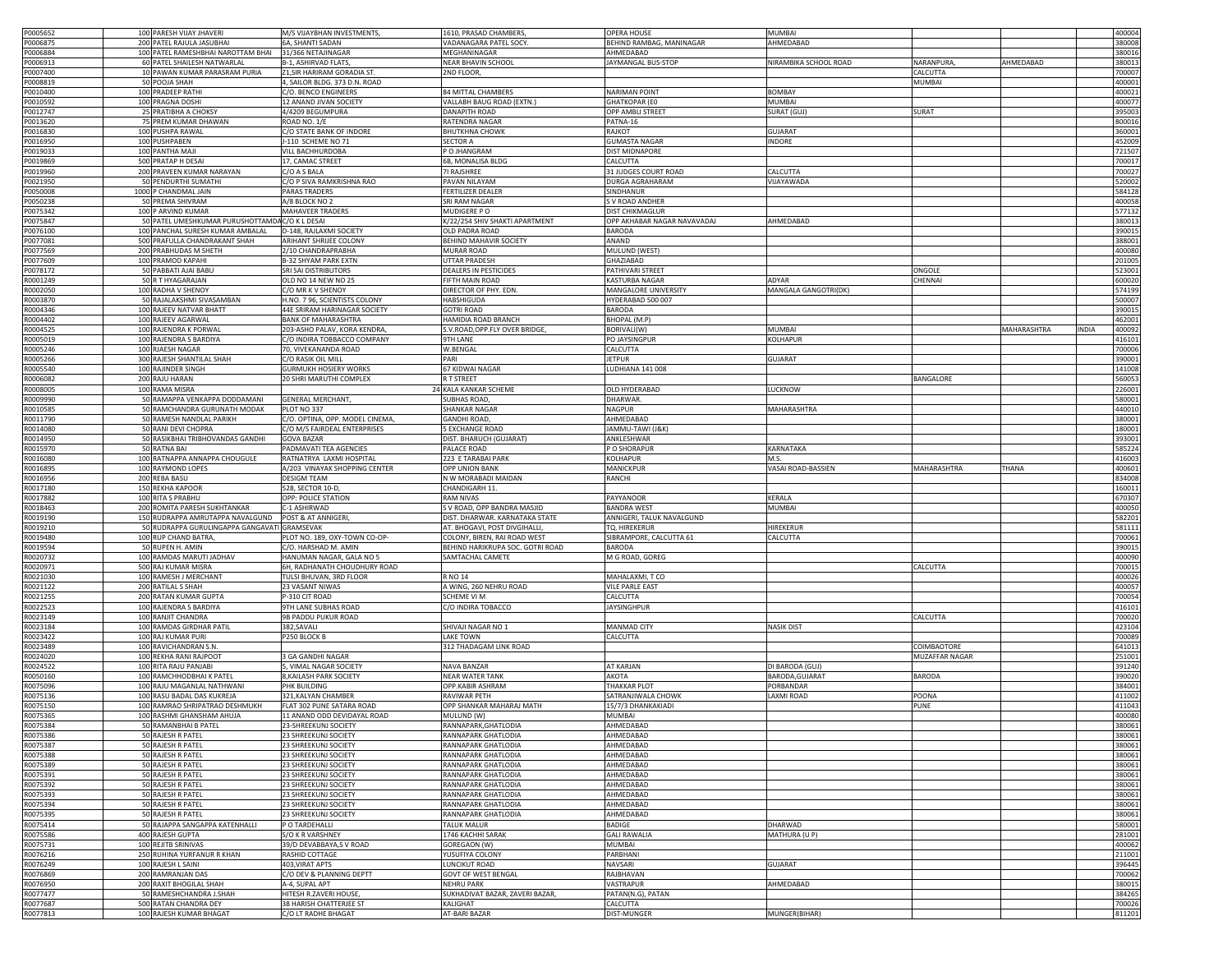| P0005652 | 100 PARESH VIJAY JHAVERI                       | M/S VIJAYBHAN INVESTMENTS       | 1610, PRASAD CHAMBERS            | <b>OPERA HOUSE</b>          | <b>MUMBAI</b>         |                        |       | 400004        |
|----------|------------------------------------------------|---------------------------------|----------------------------------|-----------------------------|-----------------------|------------------------|-------|---------------|
| P0006875 | 200 PATEL RAJULA JASUBHAI                      | 6A, SHANTI SADAN                | VADANAGARA PATEL SOCY            | BEHIND RAMBAG, MANINAGAR    | AHMEDABAD             |                        |       | 380008        |
| P0006884 | 100 PATEL RAMESHBHAI NAROTTAM BHAI             | 31/366 NETAJINAGAR              | MEGHANINAGAR                     | AHMEDABAD                   |                       |                        |       | 380016        |
| 0006913  | 60 PATEL SHAILESH NATWARLAL                    | B-1, ASHIRVAD FLATS             | <b>NEAR BHAVIN SCHOOL</b>        | JAYMANGAL BUS-STOP          | NIRAMBIKA SCHOOL ROAD | AHMEDABAD<br>NARANPURA |       | 380013        |
| 0007400  | 10 PAWAN KUMAR PARASRAM PURIA                  | Z1.SIR HARIRAM GORADIA ST.      | 2ND FLOOR,                       |                             |                       | CALCUTTA               |       | 700007        |
| 0008819  | 50 POOJA SHAH                                  | 4, SAILOR BLDG. 373 D.N. ROAD   |                                  |                             |                       | MUMBAI                 |       | 400001        |
| 0010400  | 100 PRADEEP RATHI                              | C/O. BENCO ENGINEERS            | 34 MITTAL CHAMBERS               | <b>NARIMAN POINT</b>        | <b>BOMBAY</b>         |                        |       | 400021        |
| P0010592 | 100 PRAGNA DOSHI                               | 12 ANAND JIVAN SOCIETY          | VALLABH BAUG ROAD (EXTN.)        | <b>GHATKOPAR (EO</b>        | <b>MUMBAI</b>         |                        |       | 400077        |
| P0012747 | 25 PRATIBHA A CHOKSY                           | 4/4209 BEGUMPURA                | <b>DANAPITH ROAD</b>             | <b>OPP AMBLI STREET</b>     | <b>SURAT (GUJ</b>     | SURAT                  |       | 395003        |
|          |                                                |                                 |                                  |                             |                       |                        |       |               |
| P0013620 | 75 PREM KUMAR DHAWAN                           | ROAD NO. 1/E                    | RATENDRA NAGAR                   | PATNA-16                    |                       |                        |       | 800016        |
| P0016830 | 100 PUSHPA RAWAL                               | C/O STATE BANK OF INDORE        | <b>BHUTKHNA CHOWK</b>            | RAJKOT                      | <b>GUJARAT</b>        |                        |       | 360001        |
| P0016950 | 100 PUSHPABEN                                  | J-110 SCHEME NO 71              | SECTOR A                         | <b>GUMASTA NAGAR</b>        | INDORE                |                        |       | 452009        |
| P0019033 | 100 PANTHA MAJI                                | VILL BACHHURDOBA                | O JHANGRAM                       | DIST MIDNAPORE              |                       |                        |       | 721507        |
| P0019869 | 500 PRATAP H DESAI                             | 17, CAMAC STREET                | 6B, MONALISA BLDG                | CALCUTTA                    |                       |                        |       | 700017        |
| P0019960 | 200 PRAVEEN KUMAR NARAYAN                      | C/O A S BALA                    | 71 RAJSHREE                      | 31 JUDGES COURT ROAD        | CALCUTTA              |                        |       | 700027        |
| P0021950 | 50 PENDURTHI SUMATHI                           | C/O P SIVA RAMKRISHNA RAO       | PAVAN NILAYAM                    | DURGA AGRAHARAM             | VIJAYAWADA            |                        |       | 520002        |
| 20050008 | 1000 P CHANDMAL JAIN                           | PARAS TRADERS                   | FERTILIZER DEALER                | SINDHANUR                   |                       |                        |       | 584128        |
| 0050238  | 50 PREMA SHIVRAM                               | A/8 BLOCK NO 2                  | SRI RAM NAGAR                    | S V ROAD ANDHER             |                       |                        |       | 400058        |
| P0075342 | 100 P ARVIND KUMAR                             | <b>MAHAVEER TRADERS</b>         | MUDIGERE PO                      | DIST CHIKMAGLUR             |                       |                        |       | 577132        |
| P0075847 | 50 PATEL UMESHKUMAR PURUSHOTTAMDAC/O K L DESAI |                                 | K/22/254 SHIV SHAKTI APARTMENT   | OPP AKHABAR NAGAR NAVAVADAJ | AHMEDABAD             |                        |       | 38001         |
| 20076100 | 100 PANCHAL SURESH KUMAR AMBALAL               | D-148, RAJLAXMI SOCIETY         | OLD PADRA ROAD                   | <b>BARODA</b>               |                       |                        |       | 39001         |
|          |                                                |                                 |                                  |                             |                       |                        |       | 388001        |
| P0077081 | 500 PRAFULLA CHANDRAKANT SHAH                  | ARIHANT SHRIJEE COLONY          | BEHIND MAHAVIR SOCIETY           | ANAND                       |                       |                        |       |               |
| 0077569  | 200 PRABHUDAS M SHETH                          | 2/10 CHANDRAPRABHA              | MURAR ROAD                       | MULUND (WEST)               |                       |                        |       | 400080        |
| P0077609 | 100 PRAMOD KAPAHI                              | <b>B-32 SHYAM PARK EXTN</b>     | <b>JTTAR PRADESH</b>             | GHAZIABAD                   |                       |                        |       | 201005        |
| 20078172 | 50 PABBATI AJAI BABU                           | <b>SRI SAI DISTRIBUTORS</b>     | DEALERS IN PESTICIDES            | PATHIVARI STREET            |                       | ONGOLE                 |       | 523001        |
| R0001249 | 50 R T HYAGARAJAN                              | OLD NO 14 NEW NO 25             | <b>IFTH MAIN ROAD</b>            | KASTURBA NAGAR              | ADYAR                 | CHENNAI                |       | 600020        |
| R0002050 | 100 RADHA V SHENOY                             | C/O MR K V SHENOY               | DIRECTOR OF PHY. EDN.            | MANGALORE UNIVERSITY        | MANGALA GANGOTRI(DK)  |                        |       | 574199        |
| R0003870 | 50 RAJALAKSHMI SIVASAMBAN                      | H.NO. 7 96, SCIENTISTS COLONY   | HABSHIGUDA                       | HYDERABAD 500 007           |                       |                        |       | 500007        |
| R0004346 | 100 RAJEEV NATVAR BHATT                        | 44E SRIRAM HARINAGAR SOCIETY    | <b>GOTRI ROAD</b>                | <b>BARODA</b>               |                       |                        |       | 390015        |
| R0004402 | 100 RAJEEV AGARWAL                             | <b>BANK OF MAHARASHTRA</b>      | <b>HAMIDIA ROAD BRANCH</b>       | BHOPAL (M.P)                |                       |                        |       | 462001        |
| R0004525 | 100 RAJENDRA K PORWAL                          | 203-ASHO PALAV, KORA KENDRA     | .V.ROAD, OPP.FLY OVER BRIDGE     | BORIVALI(W)                 | MUMBAI                | MAHARASHTRA            | INDIA | 400092        |
| R0005019 | 100 RAJENDRA S BARDIYA                         | C/O INDIRA TOBBACCO COMPANY     | 9TH LANE                         | PO JAYSINGPUR               | KOLHAPUR              |                        |       | 416101        |
|          |                                                |                                 |                                  |                             |                       |                        |       |               |
| 0005246  | 100 RJAESH NAGAR                               | 70, VIVEKANANDA ROAD            | W.BENGAL                         | CALCUTTA                    |                       |                        |       | 700006        |
| 30005266 | 300 RAJESH SHANTILAL SHAH                      | C/O RASIK OIL MILL              | PARI                             | <b>JETPUR</b>               | <b>GUJARAT</b>        |                        |       | 390001        |
| 30005540 | 100 RAJINDER SINGH                             | <b>GURMUKH HOSIERY WORKS</b>    | 67 KIDWAI NAGAR                  | UDHIANA 141 008             |                       |                        |       | 141008        |
| R0006082 | 200 RAJU HARAN                                 | 20 SHRI MARUTHI COMPLEX         | R T STREET                       |                             |                       | BANGALORE              |       | 560053        |
| 30008005 | 100 RAMA MISRA                                 |                                 | 24 KALA KANKAR SCHEME            | OLD HYDERABAD               | LUCKNOW               |                        |       | 226001        |
| 10009990 | 50 RAMAPPA VENKAPPA DODDAMANI                  | <b>GENERAL MERCHANT</b>         | <b>JUBHAS ROAD,</b>              | DHARWAR                     |                       |                        |       | 580001        |
| R0010585 | 50 RAMCHANDRA GURUNATH MODAK                   | PLOT NO 337                     | <b>HANKAR NAGAR</b>              | NAGPUR                      | MAHARASHTRA           |                        |       | 440010        |
| R0011790 | 50 RAMESH NANDLAL PARIKH                       | C/O. OPTINA, OPP. MODEL CINEMA, | <b>GANDHI ROAD,</b>              | AHMEDABAD                   |                       |                        |       | 380001        |
| 30014080 | 50 RANI DEVI CHOPRA                            | C/O M/S FAIRDEAL ENTERPRISES    | <b>EXCHANGE ROAD</b>             | JAMMU-TAWI (J&K)            |                       |                        |       | 180001        |
| R0014950 | 50 RASIKBHAI TRIBHOVANDAS GANDHI               | <b>GOVA BAZAR</b>               | <b>DIST. BHARUCH (GUJARAT)</b>   | ANKLESHWAR                  |                       |                        |       | 393001        |
| R0015970 | 50 RATNA BAI                                   | PADMAVATI TEA AGENCIES          | PALACE ROAD                      | P O SHORAPUR                | KARNATAKA             |                        |       | 585224        |
|          | 100 RATNAPPA ANNAPPA CHOUGULE                  |                                 |                                  |                             | M.S.                  |                        |       |               |
| R0016080 |                                                | RATNATRYA LAXMI HOSPITAL        | 223 E TARABAI PARK               | KOLHAPUR                    |                       |                        |       | 416003        |
| R0016895 | 100 RAYMOND LOPES                              | A/203 VINAYAK SHOPPING CENTER   | OPP UNION BANK                   | MANICKPUR                   | VASAI ROAD-BASSIEN    | MAHARASHTRA<br>THANA   |       | 400601        |
| R0016956 | 200 REBA BASU                                  | <b>DESIGM TEAM</b>              | N W MORABADI MAIDAN              | RANCHI                      |                       |                        |       | 834008        |
| R0017180 | 150 REKHA KAPOOR                               | 528, SECTOR 10-D,               | CHANDIGARH 11.                   |                             |                       |                        |       | 160011        |
| R0017882 | 100 RITA S PRABHU                              | OPP: POLICE STATION             | <b>RAM NIVAS</b>                 | PAYYANOOR                   | KERALA                |                        |       | 670307        |
| R0018463 | 200 ROMITA PARESH SUKHTANKAR                   | C-1 ASHIRWAD                    | S V ROAD, OPP BANDRA MASJID      | <b>BANDRA WEST</b>          | MUMBAI                |                        |       | 400050        |
| R0019190 | 150 RUDRAPPA AMRUTAPPA NAVALGUND               | POST & AT ANNIGERI              | DIST. DHARWAR. KARNATAKA STATE   | ANNIGERI, TALUK NAVALGUND   |                       |                        |       | 582201        |
| R0019210 | 50 RUDRAPPA GURULINGAPPA GANGAVATI GRAMSEVAK   |                                 | AT. BHOGAVI, POST DIVGIHALLI,    | TQ. HIREKERUR               | <b>HIREKERUF</b>      |                        |       | 581111        |
| R0019480 | 100 RUP CHAND BATRA,                           | PLOT NO. 189, OXY-TOWN CO-OP-   | COLONY, BIREN, RAI ROAD WEST     | SIBRAMPORE, CALCUTTA 61     | CALCUTTA              |                        |       | 700061        |
| R0019594 | 50 RUPEN H. AMIN                               | C/O. HARSHAD M. AMIN            | BEHIND HARIKRUPA SOC. GOTRI ROAD | <b>BARODA</b>               |                       |                        |       | 390015        |
| 10020732 | 100 RAMDAS MARUTI JADHAV                       | HANUMAN NAGAR, GALA NO 5        | SAMTACHAL CAMETE                 | M G ROAD, GOREG             |                       |                        |       | 400090        |
| 10020971 | 500 RAJ KUMAR MISRA                            | 6H, RADHANATH CHOUDHURY ROAD    |                                  |                             |                       | CALCUTTA               |       | 700015        |
|          |                                                |                                 |                                  |                             |                       |                        |       |               |
| R0021030 | 100 RAMESH J MERCHANT                          | TULSI BHUVAN, 3RD FLOOR         | R NO 14                          | MAHALAXMI, T CO             |                       |                        |       | 400026        |
| 30021122 | 200 RATILAL S SHAH                             | 23 VASANT NIWAS                 | A WING, 260 NEHRU ROAD           | VILE PARLE EAST             |                       |                        |       | 400057        |
| 10021255 | 200 RATAN KUMAR GUPTA                          | P-310 CIT ROAD                  | SCHEME VI M                      | CALCUTTA                    |                       |                        |       | 700054        |
| R0022523 | 100 RAJENDRA S BARDIYA                         | 9TH LANE SUBHAS ROAD            | /O INDIRA TOBACCO                | <b>JAYSINGHPUR</b>          |                       |                        |       | 416101        |
| R0023149 | 100 RANJIT CHANDRA                             | 9B PADDU PUKUR ROAD             |                                  |                             |                       | CALCUTTA               |       | 700020        |
| R0023184 | 100 RAMDAS GIRDHAR PATIL                       | 382, SAVALI                     | SHIVAJI NAGAR NO 1               | <b>MANMAD CITY</b>          | <b>NASIK DIST</b>     |                        |       | 423104        |
| R0023422 | 100 RAJ KUMAR PURI                             | P250 BLOCK B                    | <b>AKE TOWN</b>                  | CALCUTTA                    |                       |                        |       | 700089        |
| R0023489 | 100 RAVICHANDRAN S.N.                          |                                 | 312 THADAGAM LINK ROAD           |                             |                       | COIMBAOTORE            |       | 641013        |
| R0024020 | 100 REKHA RANI RAJPOOT                         | 3 GA GANDHI NAGAR               |                                  |                             |                       | MUZAFFAR NAGAR         |       | 251001        |
| R0024522 | 100 RITA RAJU PANJABI                          | 5, VIMAL NAGAR SOCIETY          | NAVA BANZAR                      | AT KARJAN                   | DI BARODA (GUJ)       |                        |       | 391240        |
| R0050160 | 100 RAMCHHODBHAI K PATEL                       | 8, KAILASH PARK SOCIETY         | <b>NEAR WATER TANK</b>           | AKOTA                       | BARODA, GUJARAT       | <b>BARODA</b>          |       | 390020        |
| R0075096 | 100 RAJU MAGANLAL NATHWANI                     | PHK BUILDING                    | OPP.KABIR ASHRAM                 | THAKKAR PLOT                | PORBANDAR             |                        |       | 384001        |
| R0075136 | 100 RASU BADAL DAS KUKREJA                     | 321, KALYAN CHAMBER             | RAVIWAR PETH                     | SATRANJIWALA CHOWK          | <b>LAXMI ROAD</b>     | POONA                  |       | 411002        |
|          |                                                |                                 |                                  |                             |                       |                        |       |               |
| R0075150 | 100 RAMRAO SHRIPATRAO DESHMUKH                 | FLAT 302 PUNE SATARA ROAD       | OPP SHANKAR MAHARAJ MATH         | 15/7/3 DHANKAKIADI          |                       | PUNE                   |       | 411043        |
| R0075365 | 100 RASHMI GHANSHAM AHUJA                      | 11 ANAND ODD DEVIDAYAL ROAD     | MULUND (W)                       | <b>MUMBAI</b>               |                       |                        |       | 400080        |
| R0075384 | 50 RAMANBHAI B PATEL                           | 23-SHREEKUNJ SUCIETY            | <b>RANNAPARK, GHATLODIA</b>      | AHMEDABAD                   |                       |                        |       | <b>38UU61</b> |
| R0075386 | 50 RAJESH R PATEL                              | 23 SHREEKUNJ SOCIETY            | RANNAPARK GHATLODIA              | AHMEDABAD                   |                       |                        |       | 380061        |
| R0075387 | 50 RAJESH R PATEL                              | 23 SHREEKUNJ SOCIETY            | RANNAPARK GHATLODIA              | AHMEDABAD                   |                       |                        |       | 380061        |
| R0075388 | 50 RAJESH R PATEL                              | 23 SHREEKUNJ SOCIETY            | RANNAPARK GHATLODIA              | AHMEDABAD                   |                       |                        |       | 380061        |
| R0075389 | 50 RAJESH R PATEL                              | 23 SHREEKUNJ SOCIETY            | RANNAPARK GHATLODIA              | AHMEDABAD                   |                       |                        |       | 380061        |
| R0075391 | 50 RAJESH R PATEL                              | 23 SHREEKUNJ SOCIETY            | RANNAPARK GHATLODIA              | AHMEDABAD                   |                       |                        |       | 380061        |
| R0075392 | 50 RAJESH R PATEL                              | 23 SHREEKUNJ SOCIETY            | RANNAPARK GHATLODIA              | AHMEDABAD                   |                       |                        |       | 380061        |
| R0075393 | 50 RAJESH R PATEL                              | 23 SHREEKUNJ SOCIETY            | RANNAPARK GHATLODIA              | AHMEDABAD                   |                       |                        |       | 380061        |
| R0075394 | 50 RAJESH R PATEL                              | 23 SHREEKUNJ SOCIETY            | RANNAPARK GHATLODIA              | AHMEDABAD                   |                       |                        |       | 380061        |
| R0075395 | 50 RAJESH R PATEL                              | 23 SHREEKUNJ SOCIETY            | RANNAPARK GHATLODIA              | AHMEDABAD                   |                       |                        |       | 380061        |
| R0075414 | 50 RAJAPPA SANGAPPA KATENHALLI                 | P O TARDEHALLI                  | TALUK MALUR                      | BADIGE                      | DHARWAD               |                        |       | 580001        |
|          |                                                |                                 |                                  |                             |                       |                        |       |               |
| R0075586 | 400 RAJESH GUPTA                               | S/O K R VARSHNEY                | 1746 KACHHI SARAK                | <b>GALI RAWALIA</b>         | MATHURA (U P)         |                        |       | 281001        |
| R0075731 | 100 REJITB SRINIVAS                            | 39/D DEVABBAYA,S V ROAD         | GOREGAON (W)                     | MUMBAI                      |                       |                        |       | 400062        |
| R0076216 | 250 RUHINA YURFANUR R KHAN                     | RASHID COTTAGE                  | <b>USUFIYA COLONY</b>            | PARBHANI                    |                       |                        |       | 211001        |
| R0076249 | 100 RAJESH L SAINI                             | 403, VIRAT APTS                 | UNCIKUT ROAD                     | NAVSARI                     | <b>GUJARAT</b>        |                        |       | 396445        |
| R0076869 | 200 RAMRANJAN DAS                              | C/O DEV & PLANNING DEPTT        | GOVT OF WEST BENGAL              | RAJBHAVAN                   |                       |                        |       | 700062        |
| R0076950 | 200 RAXIT BHOGILAL SHAH                        | A-4, SUPAL APT                  | NEHRU PARK                       | VASTRAPUR                   | AHMEDABAD             |                        |       | 380015        |
| R0077477 | 50 RAMESHCHANDRA J.SHAH                        | HITESH R.ZAVERI HOUSE,          | SUKHADIVAT BAZAR, ZAVERI BAZAR,  | PATAN(N.G), PATAN           |                       |                        |       | 384265        |
| R0077687 | 500 RATAN CHANDRA DEY                          | 38 HARISH CHATTERJEE ST         | <b>ALIGHAT</b>                   | CALCUTTA                    |                       |                        |       | 700026        |
| R0077813 | 100 RAJESH KUMAR BHAGAT                        | C/O LT RADHE BHAGAT             | AT-BARI BAZAR                    | DIST-MUNGER                 | MUNGER(BIHAR)         |                        |       | 811201        |
|          |                                                |                                 |                                  |                             |                       |                        |       |               |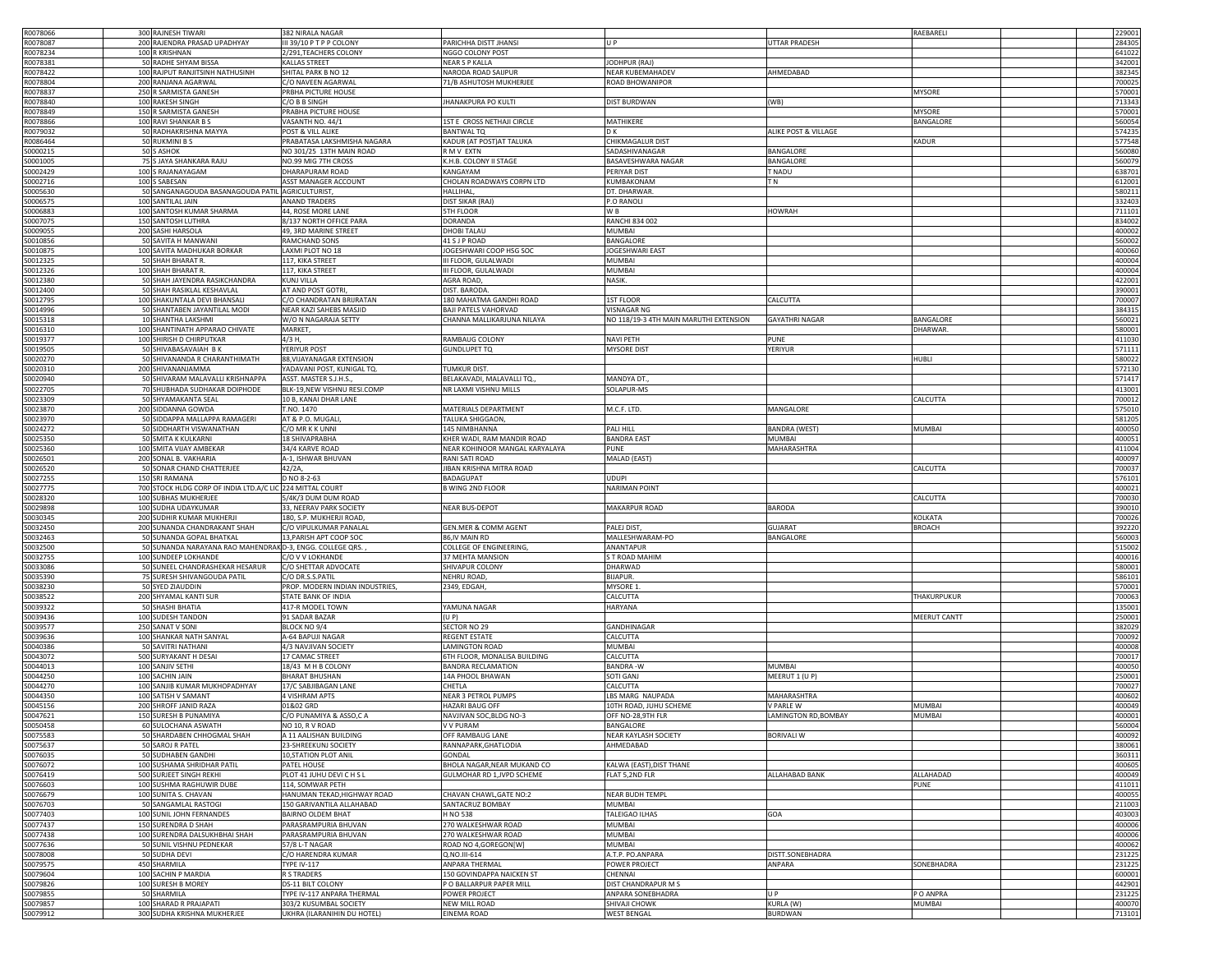| R0078066             | 300 RAJNESH TIWARI                                        | 382 NIRALA NAGAR                                      |                                 |                                        |                             | RAEBARELI         | 229001           |
|----------------------|-----------------------------------------------------------|-------------------------------------------------------|---------------------------------|----------------------------------------|-----------------------------|-------------------|------------------|
| R0078087             | 200 RAJENDRA PRASAD UPADHYAY                              | III 39/10 PTPP COLONY                                 | PARICHHA DISTT JHANSI           | U <sub>P</sub>                         | <b>UTTAR PRADESH</b>        |                   | 284305           |
|                      |                                                           |                                                       |                                 |                                        |                             |                   |                  |
| R0078234             | 100 R KRISHNAN                                            | 2/291, TEACHERS COLONY                                | NGGO COLONY POST                |                                        |                             |                   | 641022           |
| R0078381             | 50 RADHE SHYAM BISSA                                      | KALLAS STREET                                         | NEAR S P KALLA                  | JODHPUR (RAJ)                          |                             |                   | 342001           |
| R0078422             | 100 RAJPUT RANJITSINH NATHUSINH                           | SHITAL PARK B NO 12                                   | NARODA ROAD SAIJPUR             | NEAR KUBEMAHADEV                       | AHMEDABAD                   |                   | 382345           |
| R0078804             | 200 RANJANA AGARWAL                                       | C/O NAVEEN AGARWAL                                    | 71/B ASHUTOSH MUKHERJEE         | ROAD BHOWANIPOR                        |                             |                   | 700025           |
| R0078837             | 250 R SARMISTA GANESH                                     | PRBHA PICTURE HOUSE                                   |                                 |                                        |                             | <b>MYSORE</b>     | 570001           |
| R0078840             | 100 RAKESH SINGH                                          | C/O B B SINGH                                         | <b>JHANAKPURA PO KULTI</b>      | <b>DIST BURDWAN</b>                    | (WB)                        |                   | 713343           |
|                      |                                                           | PRABHA PICTURE HOUSE                                  |                                 |                                        |                             |                   |                  |
| R0078849             | 150 R SARMISTA GANESH                                     |                                                       |                                 |                                        |                             | <b>MYSORE</b>     | 570001           |
| R0078866             | 100 RAVI SHANKAR B S                                      | VASANTH NO. 44/1                                      | 1ST E CROSS NETHAJI CIRCLE      | MATHIKERE                              |                             | BANGALORE         | 560054           |
| R0079032             | 50 RADHAKRISHNA MAYYA                                     | POST & VILL ALIKE                                     | <b>BANTWAL TQ</b>               | D K                                    | ALIKE POST & VILLAGE        |                   | 574235           |
| R0086464             | 50 RUKMINI B S                                            | PRABATASA LAKSHMISHA NAGARA                           | KADUR (AT POST) AT TALUKA       | CHIKMAGALUR DIST                       |                             | KADUR             | 577548           |
| S0000215             | 50 S ASHOK                                                | NO 301/25 13TH MAIN ROAD                              | R M V EXTN                      | SADASHIVANAGAR                         | BANGALORE                   |                   | 560080           |
| S0001005             | 75 S JAYA SHANKARA RAJU                                   | NO.99 MIG 7TH CROSS                                   | K.H.B. COLONY II STAGE          | BASAVESHWARA NAGAR                     | <b>BANGALORE</b>            |                   | 560079           |
|                      |                                                           |                                                       |                                 |                                        |                             |                   |                  |
| 60002429             | 100 S RAJANAYAGAM                                         | DHARAPURAM ROAD                                       | KANGAYAM                        | PERIYAR DIST                           | T NADU                      |                   | 638701           |
| 60002716             | 100 S SABESAN                                             | ASST MANAGER ACCOUNT                                  | CHOLAN ROADWAYS CORPN LTD       | KUMBAKONAM                             | TN                          |                   | 612001           |
| \$0005630            | 50 SANGANAGOUDA BASANAGOUDA PATIL AGRICULTURIST,          |                                                       | HALLIHAL                        | DT. DHARWAR                            |                             |                   | 580211           |
| \$0006575            | 100 SANTILAL JAIN                                         | <b>ANAND TRADERS</b>                                  | DIST SIKAR (RAJ)                | P.O RANOLI                             |                             |                   | 332403           |
| 50006883             | 100 SANTOSH KUMAR SHARMA                                  | 44, ROSE MORE LANE                                    | <b>5TH FLOOF</b>                | W B                                    | <b>HOWRAH</b>               |                   | 711101           |
| \$0007075            | 150 SANTOSH LUTHRA                                        | 8/137 NORTH OFFICE PARA                               | <b>DORANDA</b>                  | RANCHI 834 002                         |                             |                   | 834002           |
| S0009055             | 200 SASHI HARSOLA                                         | 49, 3RD MARINE STREET                                 | DHOBI TALAU                     | MUMBAI                                 |                             |                   | 400002           |
|                      |                                                           |                                                       | 41 S J P ROAD                   |                                        |                             |                   |                  |
| \$0010856            | 50 SAVITA H MANWANI                                       | RAMCHAND SONS                                         |                                 | BANGALORI                              |                             |                   | 560002           |
| S0010875             | 100 SAVITA MADHUKAR BORKAR                                | LAXMI PLOT NO 18                                      | JOGESHWARI COOP HSG SOC         | JOGESHWARI EAST                        |                             |                   | 400060           |
| S0012325             | 50 SHAH BHARAT R.                                         | 117, KIKA STREET                                      | III FLOOR, GULALWADI            | <b>MUMBAI</b>                          |                             |                   | 400004           |
| S0012326             | 100 SHAH BHARAT R                                         | 117, KIKA STREET                                      | III FLOOR, GULALWADI            | MUMBAI                                 |                             |                   | 400004           |
| S0012380             | 50 SHAH JAYENDRA RASIKCHANDRA                             | <b>KUNJ VILLA</b>                                     | AGRA ROAD,                      | NASIK.                                 |                             |                   | 422001           |
| S0012400             | 50 SHAH RASIKLAL KESHAVLAL                                | AT AND POST GOTRI                                     | DIST. BARODA                    |                                        |                             |                   | 390001           |
|                      |                                                           | C/O CHANDRATAN BRIJRATAN                              | 180 MAHATMA GANDHI ROAD         |                                        | CALCUTTA                    |                   | 700007           |
| S0012795             | 100 SHAKUNTALA DEVI BHANSALI                              |                                                       |                                 | 1ST FLOOR                              |                             |                   |                  |
| S0014996             | 50 SHANTABEN JAYANTILAL MODI                              | NEAR KAZI SAHEBS MASJID                               | <b>BAJI PATELS VAHORVAD</b>     | <b>VISNAGAR NG</b>                     |                             |                   | 384315           |
| S0015318             | 10 SHANTHA LAKSHMI                                        | W/O N NAGARAJA SETTY                                  | CHANNA MALLIKARJUNA NILAYA      | NO 118/19-3 4TH MAIN MARUTHI EXTENSION | <b>GAYATHRI NAGAR</b>       | BANGALORE         | 560021           |
| S0016310             | 100 SHANTINATH APPARAO CHIVATE                            | MARKET,                                               |                                 |                                        |                             | DHARWAR           | 580001           |
| S0019377             | 100 SHIRISH D CHIRPUTKAR                                  | 4/3 H,                                                | RAMBAUG COLONY                  | NAVI PETH                              | PUNE                        |                   | 411030           |
| S0019505             | 50 SHIVABASAVAIAH B K                                     | YERIYUR POST                                          | <b>GUNDLUPET TQ</b>             | <b>MYSORE DIST</b>                     | YERIYUR                     |                   | 571111           |
| 60020270             | 50 SHIVANANDA R CHARANTHIMATH                             | 88, VIJAYANAGAR EXTENSION                             |                                 |                                        |                             | <b>HUBLI</b>      | 580022           |
|                      |                                                           |                                                       |                                 |                                        |                             |                   |                  |
| 0020310              | 200 SHIVANANJAMMA                                         | YADAVANI POST, KUNIGAL TO                             | <b>TUMKUR DIST</b>              |                                        |                             |                   | 572130           |
| 60020940             | 50 SHIVARAM MALAVALLI KRISHNAPPA                          | ASST. MASTER S.J.H.S.                                 | BELAKAVADI, MALAVALLI TQ.       | MANDYA DT                              |                             |                   | 571417           |
| S0022705             | 70 SHUBHADA SUDHAKAR DOIPHODE                             | BLK-19, NEW VISHNU RESI.COMP                          | NR LAXMI VISHNU MILLS           | SOLAPUR-MS                             |                             |                   | 413001           |
| 50023309             | 50 SHYAMAKANTA SEAL                                       | 10 B, KANAI DHAR LANE                                 |                                 |                                        |                             | CALCUTTA          | 700012           |
| S0023870             | 200 SIDDANNA GOWDA                                        | T.NO. 1470                                            | MATERIALS DEPARTMENT            | M.C.F. LTD.                            | MANGALORE                   |                   | 575010           |
|                      |                                                           |                                                       |                                 |                                        |                             |                   |                  |
| 60023970             | 50 SIDDAPPA MALLAPPA RAMAGERI                             | AT & P.O. MUGALI                                      | TALUKA SHIGGAON,                |                                        |                             |                   | 581205           |
| S0024272             | 50 SIDDHARTH VISWANATHAN                                  | C/O MR K K UNNI                                       | 145 NIMBHANNA                   | PALI HILL                              | BANDRA (WEST)               | MUMBAI            | 400050           |
| \$0025350            | 50 SMITA K KULKARNI                                       | 18 SHIVAPRABHA                                        | KHER WADI, RAM MANDIR ROAD      | <b>BANDRA EAST</b>                     | <b>MUMBAI</b>               |                   | 400051           |
| \$0025360            | 100 SMITA VIJAY AMBEKAR                                   | 34/4 KARVE ROAD                                       | NEAR KOHINOOR MANGAL KARYALAYA  | PUNE                                   | MAHARASHTRA                 |                   | 411004           |
| \$0026501            | 200 SONAL B. VAKHARIA                                     | A-1, ISHWAR BHUVAN                                    | RANI SATI ROAD                  | MALAD (EAST)                           |                             |                   | 400097           |
| \$0026520            | 50 SONAR CHAND CHATTERJEE                                 | 42/2A,                                                | JIBAN KRISHNA MITRA ROAD        |                                        |                             | CALCUTTA          | 700037           |
|                      |                                                           |                                                       |                                 |                                        |                             |                   |                  |
| S0027255             | 150 SRI RAMANA                                            | D NO 8-2-63                                           | BADAGUPAT                       | <b>UDUPI</b>                           |                             |                   | 576101           |
| S0027775             | 700 STOCK HLDG CORP OF INDIA LTD.A/C LIC 224 MITTAL COURT |                                                       | <b>B WING 2ND FLOOR</b>         | <b>NARIMAN POINT</b>                   |                             |                   | 400021           |
| \$0028320            | 100 SUBHAS MUKHERJEE                                      | 5/4K/3 DUM DUM ROAD                                   |                                 |                                        |                             | CALCUTTA          | 700030           |
| \$0029898            | 100 SUDHA UDAYKUMAR                                       | 33, NEERAV PARK SOCIETY                               | <b>NEAR BUS-DEPOT</b>           | MAKARPUR ROAD                          | BARODA                      |                   | 390010           |
| \$0030345            | 200 SUDHIR KUMAR MUKHERJI                                 | 180, S.P. MUKHERJI ROAD                               |                                 |                                        |                             | KOLKATA           | 700026           |
| 60032450             | 200 SUNANDA CHANDRAKANT SHAH                              | C/O VIPULKUMAR PANALAI                                | <b>GEN.MER &amp; COMM AGENT</b> | PALEJ DIST,                            | <b>GUJARAT</b>              | <b>BROACH</b>     | 392220           |
|                      |                                                           |                                                       |                                 |                                        |                             |                   |                  |
| 60032463             |                                                           | 13, PARISH APT COOP SOC                               | 86, IV MAIN RD                  | MALLESHWARAM-PO                        | <b>BANGALORE</b>            |                   | 560003           |
|                      | 50 SUNANDA GOPAL BHATKAL                                  |                                                       |                                 |                                        |                             |                   |                  |
| \$0032500            | 50 SUNANDA NARAYANA RAO MAHENDRAK D-3, ENGG. COLLEGE QRS. |                                                       | COLLEGE OF ENGINEERING,         | ANANTAPUR                              |                             |                   | 515002           |
| S0032755             | 100 SUNDEEP LOKHANDE                                      | C/O V V LOKHANDE                                      | 37 MEHTA MANSION                | S T ROAD MAHIM                         |                             |                   | 400016           |
| 50033086             | 50 SUNEEL CHANDRASHEKAR HESARUR                           | C/O SHETTAR ADVOCATE                                  | SHIVAPUR COLONY                 | DHARWAD                                |                             |                   | 580001           |
|                      |                                                           |                                                       |                                 |                                        |                             |                   |                  |
| \$0035390            | 75 SURESH SHIVANGOUDA PATIL                               | C/O DR.S.S.PATIL                                      | NEHRU ROAD,                     | <b>BIJAPUR.</b>                        |                             |                   | 586101           |
| 60038230             | 50 SYED ZIAUDDIN                                          | PROP. MODERN INDIAN INDUSTRIES,                       | 2349, EDGAH                     | MYSORE:                                |                             |                   | 570001           |
| \$0038522            | 200 SHYAMAL KANTI SUR                                     | STATE BANK OF INDIA                                   |                                 | CALCUTTA                               |                             | <b>HAKURPUKUR</b> | 700063           |
| S0039322             | 50 SHASHI BHATIA                                          | 417-R MODEL TOWN                                      | YAMUNA NAGAR                    | HARYANA                                |                             |                   | 135001           |
| S0039436             | 100 SUDESH TANDON                                         | 91 SADAR BAZAR                                        | (UP)                            |                                        |                             | MEERUT CANTT      | 250001           |
| S0039577             | 250 SANAT V SONI                                          | BLOCK NO 9/4                                          | SECTOR NO 29                    | GANDHINAGAR                            |                             |                   | 382029           |
| \$0039636            |                                                           | A-64 BAPUJI NAGAR                                     | <b>REGENT ESTATE</b>            | CALCUTTA                               |                             |                   | 700092           |
|                      | 100 SHANKAR NATH SANYAL                                   |                                                       |                                 |                                        |                             |                   |                  |
| \$0040386            | 50 SAVITRI NATHANI                                        | 4/3 NAVJIVAN SOCIETY                                  | LAMINGTON ROAD                  | MUMBAI                                 |                             |                   | 400008           |
| S0043072             | 500 SURYAKANT H DESAI                                     | 17 CAMAC STREET                                       | 6TH FLOOR, MONALISA BUILDING    | CALCUTTA                               |                             |                   | 700017           |
| 60044013             | 100 SANJIV SETHI                                          | 18/43 M H B COLONY                                    | <b>BANDRA RECLAMATION</b>       | BANDRA -W                              | MUMBAI                      |                   | 400050           |
| S0044250             | 100 SACHIN JAIN                                           | <b>BHARAT BHUSHAN</b>                                 | 14A PHOOL BHAWAN                | SOTI GANJ                              | MEERUT 1 (U P)              |                   | 250001           |
| S0044270             | 100 SANJIB KUMAR MUKHOPADHYAY                             | 17/C SABJIBAGAN LANE                                  | CHETLA                          | CALCUTTA                               |                             |                   | 700027           |
| 60044350             | 100 SATISH V SAMANT                                       | 4 VISHRAM APTS                                        | NEAR 3 PETROL PUMPS             | LBS MARG NAUPADA                       | MAHARASHTRA                 |                   | 400602           |
| 60045156             | 200 SHROFF JANID RAZA                                     | 01&02 GRD                                             | HAZARI BAUG OFF                 | 10TH ROAD, JUHU SCHEME                 | V PARLE W                   | <b>MUMBAI</b>     | 400049           |
|                      |                                                           |                                                       |                                 |                                        |                             | MUMBAI            |                  |
| S0047621             | 150 SURESH B PUNAMIYA                                     | C/O PUNAMIYA & ASSO,C A                               | NAVJIVAN SOC, BLDG NO-3         | OFF NO-28,9TH FLR                      | LAMINGTON RD, BOMBAY        |                   | 400001           |
| 60050458             | 60 SULOCHANA ASWATH                                       | NO 10, R V ROAD                                       | / V PURAM                       | ANGALORI                               |                             |                   | 560004           |
| S0075583             | 50 SHARDABEN CHHOGMAL SHAH                                | A 11 AALISHAN BUILDING                                | OFF RAMBAUG LANE                | NEAR KAYLASH SOCIETY                   | <b>BORIVALI W</b>           |                   | 400092           |
| S0075637             | 50 SAROJ R PATEL                                          | 23-SHREEKUNJ SOCIETY                                  | RANNAPARK, GHATLODIA            | AHMEDABAD                              |                             |                   | 380061           |
| S0076035             | 50 SUDHABEN GANDHI                                        | 10, STATION PLOT ANIL                                 | <b>GONDAL</b>                   |                                        |                             |                   | 360311           |
| S0076072             | 100 SUSHAMA SHRIDHAR PATIL                                | PATEL HOUSE                                           | BHOLA NAGAR, NEAR MUKAND CO     | KALWA (EAST), DIST THANE               |                             |                   | 400605           |
|                      |                                                           |                                                       |                                 | FLAT 5,2ND FLR                         | ALLAHABAD BANK              |                   | 400049           |
| S0076419             | 500 SURJEET SINGH REKHI                                   | PLOT 41 JUHU DEVI C H S L                             | GULMOHAR RD 1, JVPD SCHEME      |                                        |                             | ALLAHADAD         |                  |
| S0076603             | 100 SUSHMA RAGHUWIR DUBE                                  | 114, SOMWAR PETH                                      |                                 |                                        |                             | PUNE              | 411011           |
| S0076679             | 100 SUNITA S. CHAVAN                                      | HANUMAN TEKAD, HIGHWAY ROAD                           | CHAVAN CHAWL, GATE NO:2         | <b>NEAR BUDH TEMPL</b>                 |                             |                   | 400055           |
| S0076703             | 50 SANGAMLAL RASTOGI                                      | 150 GARIVANTILA ALLAHABAD                             | SANTACRUZ BOMBAY                | MUMBAI                                 |                             |                   | 211003           |
| S0077403             | 100 SUNIL JOHN FERNANDES                                  | BAIRNO OLDEM BHAT                                     | H NO 538                        | TALEIGAO ILHAS                         | GOA                         |                   | 403003           |
| S0077437             | 150 SURENDRA D SHAH                                       | PARASRAMPURIA BHUVAN                                  | 270 WALKESHWAR ROAD             | MUMBAI                                 |                             |                   | 400006           |
|                      |                                                           |                                                       |                                 |                                        |                             |                   |                  |
| S0077438             | 100 SURENDRA DALSUKHBHAI SHAH                             | PARASRAMPURIA BHUVAN                                  | 270 WALKESHWAR ROAD             | MUMBAI                                 |                             |                   | 400006           |
| S0077636             | 50 SUNIL VISHNU PEDNEKAR                                  | 57/8 L-T NAGAR                                        | ROAD NO 4,GOREGON[W]            | MUMBAI                                 |                             |                   | 400062           |
| S0078008             | 50 SUDHA DEVI                                             | C/O HARENDRA KUMAR                                    | Q.NO.III-614                    | A.T.P. PO.ANPARA                       | DISTT.SONEBHADRA            |                   | 231225           |
| S0079575             | 450 SHARMILA                                              | <b>TYPE IV-117</b>                                    | ANPARA THERMAL                  | POWER PROJECT                          | ANPARA                      | SONEBHADRA        | 231225           |
| S0079604             | 100 SACHIN P MARDIA                                       | <b>R S TRADERS</b>                                    | 150 GOVINDAPPA NAICKEN ST       | CHENNAI                                |                             |                   | 600001           |
| S0079826             | 100 SURESH B MOREY                                        | DS-11 BILT COLONY                                     | P O BALLARPUR PAPER MILL        | DIST CHANDRAPUR M S                    |                             |                   | 442901           |
|                      |                                                           |                                                       |                                 |                                        | U P                         |                   |                  |
| S0079855             | 50 SHARMILA                                               | TYPE IV-117 ANPARA THERMAL                            | POWER PROJECT                   | ANPARA SONEBHADRA                      |                             | P O ANPRA         | 231225           |
| S0079857<br>S0079912 | 100 SHARAD R PRAJAPATI<br>300 SUDHA KRISHNA MUKHERJEE     | 303/2 KUSUMBAL SOCIETY<br>UKHRA (ILARANIHIN DU HOTEL) | NEW MILL ROAD<br>EINEMA ROAD    | SHIVAJI CHOWK<br><b>WEST BENGAL</b>    | KURLA (W)<br><b>BURDWAN</b> | MUMBAI            | 400070<br>713101 |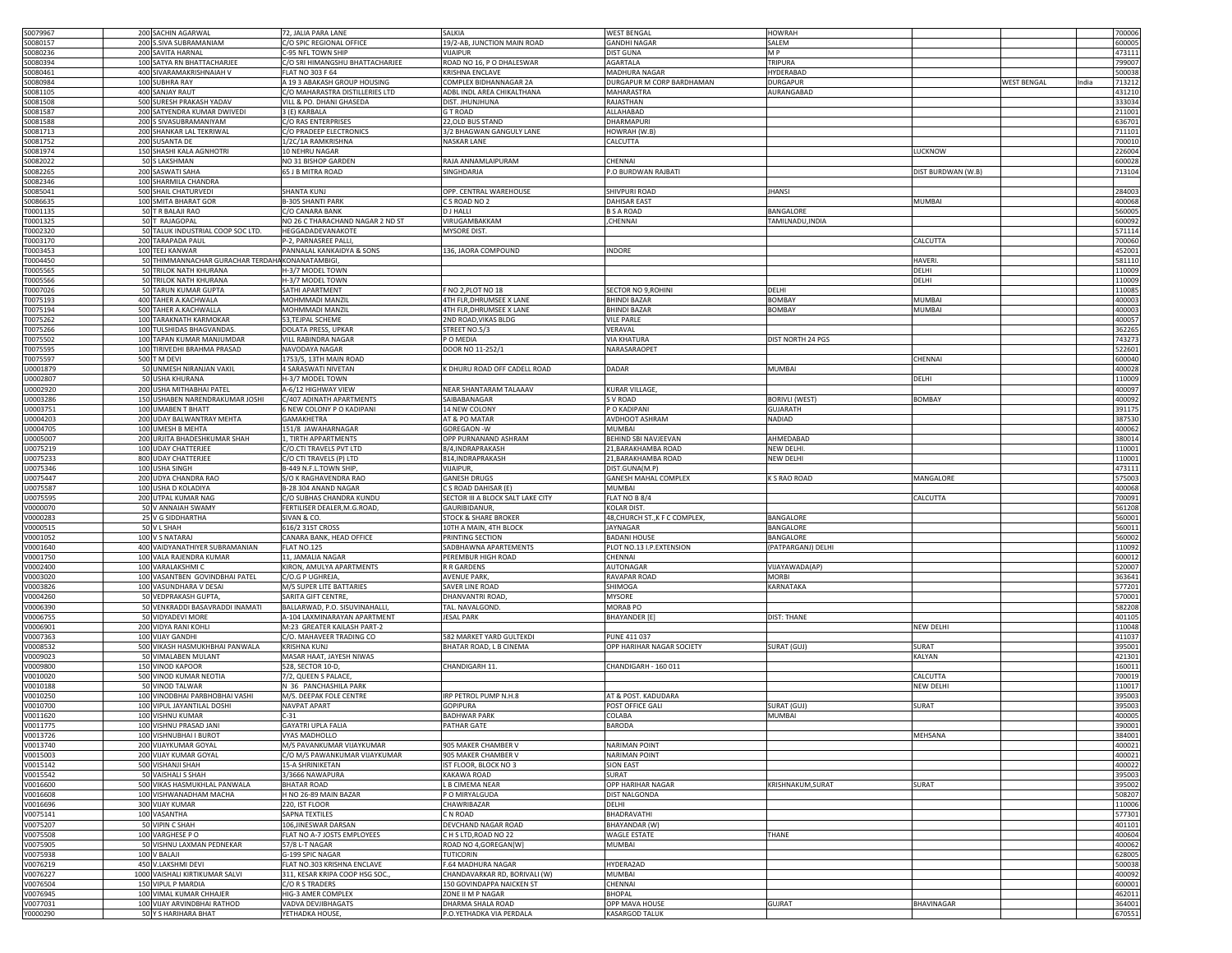| S0079967  | 200 SACHIN AGARWAL                               | 72, JALIA PARA LANE              | SALKIA                            | <b>WEST BENGAL</b>             | <b>HOWRAH</b>      |                    |                      | 700006 |
|-----------|--------------------------------------------------|----------------------------------|-----------------------------------|--------------------------------|--------------------|--------------------|----------------------|--------|
|           |                                                  |                                  |                                   |                                |                    |                    |                      |        |
| S0080157  | 200 S.SIVA SUBRAMANIAM                           | C/O SPIC REGIONAL OFFICE         | 19/2-AB, JUNCTION MAIN ROAD       | <b>GANDHI NAGAR</b>            | SALEM              |                    |                      | 600005 |
| \$0080236 | 200 SAVITA HARNAL                                | C-95 NFL TOWN SHIP               | VIJAIPUR                          | <b>DIST GUNA</b>               | M P                |                    |                      | 473111 |
|           |                                                  |                                  |                                   |                                |                    |                    |                      |        |
| \$0080394 | 100 SATYA RN BHATTACHARJEE                       | C/O SRI HIMANGSHU BHATTACHARJEE  | ROAD NO 16, P O DHALESWAR         | AGARTALA                       | TRIPURA            |                    |                      | 799007 |
| \$0080461 | 400 SIVARAMAKRISHNAIAH V                         | LAT NO 303 F 64                  | KRISHNA ENCLAVE                   | MADHURA NAGAR                  | HYDERABAD          |                    |                      | 500038 |
| 60080984  | 100 SUBHRA RAY                                   |                                  | COMPLEX BIDHANNAGAR 2A            | DURGAPUR M CORP BARDHAMAN      | DURGAPUR           |                    |                      |        |
|           |                                                  | A 19 3 ABAKASH GROUP HOUSING     |                                   |                                |                    |                    | WEST BENGAL<br>India | 713212 |
| \$0081105 | 400 SANJAY RAUT                                  | C/O MAHARASTRA DISTILLERIES LTD  | ADBL INDL AREA CHIKALTHANA        | MAHARASTRA                     | AURANGABAD         |                    |                      | 431210 |
| \$0081508 | 500 SURESH PRAKASH YADAV                         | VILL & PO. DHANI GHASEDA         | DIST. JHUNJHUNA                   | RAJASTHAN                      |                    |                    |                      | 333034 |
|           |                                                  |                                  |                                   |                                |                    |                    |                      |        |
| 60081587  | 200 SATYENDRA KUMAR DWIVEDI                      | 3 (E) KARBALA                    | <b>GT ROAD</b>                    | ALLAHABAD                      |                    |                    |                      | 211001 |
| \$0081588 | 200 S SIVASUBRAMANIYAM                           | C/O RAS ENTERPRISES              | 22, OLD BUS STAND                 | DHARMAPURI                     |                    |                    |                      | 636701 |
| S0081713  | 200 SHANKAR LAL TEKRIWAL                         |                                  | 3/2 BHAGWAN GANGULY LANE          |                                |                    |                    |                      | 711101 |
|           |                                                  | C/O PRADEEP ELECTRONICS          |                                   | HOWRAH (W.B)                   |                    |                    |                      |        |
| S0081752  | 200 SUSANTA DE                                   | 1/2C/1A RAMKRISHNA               | NASKAR LANE                       | CALCUTTA                       |                    |                    |                      | 700010 |
| S0081974  | 150 SHASHI KALA AGNHOTRI                         | 10 NEHRU NAGAR                   |                                   |                                |                    | <b>UCKNOW</b>      |                      | 226004 |
|           |                                                  |                                  |                                   |                                |                    |                    |                      |        |
| 60082022  | 50 S LAKSHMAN                                    | NO 31 BISHOP GARDEN              | RAJA ANNAMLAIPURAM                | CHENNAI                        |                    |                    |                      | 600028 |
| \$0082265 | 200 SASWATI SAHA                                 | 65 J B MITRA ROAD                | SINGHDARJA                        | P.O BURDWAN RAJBATI            |                    | DIST BURDWAN (W.B) |                      | 713104 |
|           |                                                  |                                  |                                   |                                |                    |                    |                      |        |
| \$0082346 | 100 SHARMILA CHANDRA                             |                                  |                                   |                                |                    |                    |                      |        |
| 0085041   | 500 SHAIL CHATURVEDI                             | SHANTA KUNJ                      | OPP. CENTRAL WAREHOUSE            | SHIVPURI ROAD                  | <b>JHANSI</b>      |                    |                      | 284003 |
| 0086635   | 100 SMITA BHARAT GOR                             | <b>B-305 SHANTI PARK</b>         | C S ROAD NO 2                     | <b>DAHISAR EAST</b>            |                    | MUMBAI             |                      | 400068 |
|           |                                                  |                                  |                                   |                                |                    |                    |                      |        |
| 0001135   | 50 T R BALAJI RAO                                | C/O CANARA BANK                  | <b>DJ HALLI</b>                   | <b>B S A ROAD</b>              | BANGALORE          |                    |                      | 560005 |
| T0001325  | 50 T RAJAGOPAL                                   | NO 26 C THARACHAND NAGAR 2 ND ST | VIRUGAMBAKKAM                     | ,CHENNAI                       | TAMILNADU, INDIA   |                    |                      | 600092 |
|           |                                                  |                                  |                                   |                                |                    |                    |                      |        |
| T0002320  | 50 TALUK INDUSTRIAL COOP SOC LTD.                | HEGGADADEVANAKOTE                | MYSORE DIST.                      |                                |                    |                    |                      | 571114 |
| T0003170  | 200 TARAPADA PAUL                                | -2, PARNASREE PALLI,             |                                   |                                |                    | CALCUTTA           |                      | 700060 |
| 0003453   | 100 TEEJ KANWAR                                  | PANNALAL KANKAIDYA & SONS        | 136, JAORA COMPOUND               | INDORE                         |                    |                    |                      | 452001 |
|           |                                                  |                                  |                                   |                                |                    |                    |                      |        |
| T0004450  | 50 THIMMANNACHAR GURACHAR TERDAHA KONANATAMBIGI, |                                  |                                   |                                |                    | <b>HAVERI</b>      |                      | 581110 |
| 0005565   | 50 TRILOK NATH KHURANA                           | H-3/7 MODEL TOWN                 |                                   |                                |                    | DELHI              |                      | 110009 |
|           |                                                  |                                  |                                   |                                |                    |                    |                      |        |
| T0005566  | 50 TRILOK NATH KHURANA                           | H-3/7 MODEL TOWN                 |                                   |                                |                    | DELHI              |                      | 110009 |
| T0007026  | 50 TARUN KUMAR GUPTA                             | SATHI APARTMENT                  | F NO 2, PLOT NO 18                | SECTOR NO 9, ROHINI            | DELHI              |                    |                      | 110085 |
|           |                                                  |                                  |                                   |                                |                    |                    |                      |        |
| T0075193  | 400 TAHER A.KACHWALA                             | MOHMMADI MANZIL                  | 4TH FLR, DHRUMSEE X LANE          | <b>BHINDI BAZAR</b>            | BOMBAY             | <b>MUMBAI</b>      |                      | 400003 |
| T0075194  | 500 TAHER A.KACHWALLA                            | MOHMMADI MANZIL                  | 4TH FLR, DHRUMSEE X LANE          | <b>BHINDI BAZAR</b>            | <b>BOMBAY</b>      | MUMBAI             |                      | 400003 |
|           | 100 TARAKNATH KARMOKAR                           | 53, TEJPAL SCHEME                |                                   | <b>VILE PARLE</b>              |                    |                    |                      | 400057 |
| T0075262  |                                                  |                                  | 2ND ROAD, VIKAS BLDG              |                                |                    |                    |                      |        |
| T0075266  | 100 TULSHIDAS BHAGVANDAS                         | DOLATA PRESS, UPKAR              | STREET NO.5/3                     | VERAVAL                        |                    |                    |                      | 362265 |
| 0075502   | 100 TAPAN KUMAR MANJUMDAR                        | VILL RABINDRA NAGAR              | P O MEDIA                         | <b>VIA KHATURA</b>             | DIST NORTH 24 PGS  |                    |                      | 743273 |
|           |                                                  |                                  |                                   |                                |                    |                    |                      |        |
| 0075595   | 100 TIRIVEDHI BRAHMA PRASAD                      | NAVODAYA NAGAR                   | DOOR NO 11-252/1                  | NARASARAOPET                   |                    |                    |                      | 522601 |
| 0075597   | 500 TM DEVI                                      | 1753/5, 13TH MAIN ROAD           |                                   |                                |                    | CHENNAI            |                      | 600040 |
|           |                                                  |                                  |                                   |                                |                    |                    |                      |        |
| J0001879  | 50 UNMESH NIRANJAN VAKIL                         | 4 SARASWATI NIVETAN              | K DHURU ROAD OFF CADELL ROAD      | DADAR                          | MUMBAI             |                    |                      | 400028 |
| U0002807  | 50 USHA KHURANA                                  | H-3/7 MODEL TOWN                 |                                   |                                |                    | DELHI              |                      | 110009 |
|           | 200 USHA MITHABHAI PATEL                         |                                  |                                   |                                |                    |                    |                      |        |
| U0002920  |                                                  | A-6/12 HIGHWAY VIEW              | NEAR SHANTARAM TALAAAV            | <b>KURAR VILLAGE</b>           |                    |                    |                      | 400097 |
| J0003286  | 150 USHABEN NARENDRAKUMAR JOSHI                  | C/407 ADINATH APARTMENTS         | SAIBABANAGAR                      | S V ROAD                       | BORIVLI (WEST)     | <b>BOMBAY</b>      |                      | 400092 |
| J0003751  | 100 UMABEN T BHATT                               | NEW COLONY PO KADIPANI           | 14 NEW COLONY                     | P O KADIPANI                   | <b>GUJARATH</b>    |                    |                      | 391175 |
|           |                                                  |                                  |                                   |                                |                    |                    |                      |        |
| U0004203  | 200 UDAY BALWANTRAY MEHTA                        | GAMAKHETRA                       | AT & PO MATAR                     | AVDHOOT ASHRAM                 | NADIAD             |                    |                      | 387530 |
| U0004705  | 100 UMESH B MEHTA                                | 151/8 JAWAHARNAGAR               | <b>GOREGAON -W</b>                | MUMBAI                         |                    |                    |                      | 400062 |
|           | 200 URJITA BHADESHKUMAR SHAH                     | 1, TIRTH APPARTMENTS             | OPP PURNANAND ASHRAM              |                                |                    |                    |                      |        |
| U0005007  |                                                  |                                  |                                   | BEHIND SBI NAVJEEVAN           | AHMEDABAD          |                    |                      | 380014 |
| U0075219  | 100 UDAY CHATTERJEE                              | C/O.CTI TRAVELS PVT LTD          | 8/4, INDRAPRAKASH                 | 21, BARAKHAMBA ROAD            | NEW DELHI          |                    |                      | 110001 |
| U0075233  | 800 UDAY CHATTERJEE                              | C/O CTI TRAVELS (P) LTD          | 814, INDRAPRAKASH                 | 21, BARAKHAMBA ROAD            | <b>NEW DELHI</b>   |                    |                      | 110001 |
|           |                                                  |                                  |                                   |                                |                    |                    |                      |        |
| U0075346  | 100 USHA SINGH                                   | B-449 N.F.L.TOWN SHIP,           | VIJAIPUR,                         | DIST.GUNA(M.P)                 |                    |                    |                      | 473111 |
| U0075447  | 200 UDYA CHANDRA RAO                             | S/O K RAGHAVENDRA RAO            | <b>GANESH DRUGS</b>               | GANESH MAHAL COMPLEX           | K S RAO ROAD       | MANGALORE          |                      | 575003 |
|           |                                                  |                                  |                                   |                                |                    |                    |                      |        |
| U0075587  | 100 USHA D KOLADIYA                              | B-28 304 ANAND NAGAR             | C S ROAD DAHISAR (E)              | <b>MUMBAI</b>                  |                    |                    |                      | 400068 |
| U0075595  | 200 UTPAL KUMAR NAG                              | C/O SUBHAS CHANDRA KUNDU         | SECTOR III A BLOCK SALT LAKE CITY | FLAT NO B 8/4                  |                    | <b>ALCUTTA</b>     |                      | 700091 |
| v0000070  | 50 V ANNAIAH SWAMY                               | FERTILISER DEALER, M.G.ROAD,     | GAURIBIDANUR,                     | KOLAR DIST.                    |                    |                    |                      | 561208 |
|           |                                                  |                                  |                                   |                                |                    |                    |                      |        |
| v0000283  | 25 V G SIDDHARTHA                                | SIVAN & CO.                      | <b>STOCK &amp; SHARE BROKER</b>   | 48, CHURCH ST., K F C COMPLEX, | BANGALORE          |                    |                      | 560001 |
| V0000515  | 50 V L SHAH                                      | 616/2 31ST CROSS                 | 10TH A MAIN, 4TH BLOCK            | <b>JAYNAGAR</b>                | BANGALORE          |                    |                      | 560011 |
|           |                                                  |                                  |                                   |                                |                    |                    |                      |        |
| V0001052  | 100 V S NATARAJ                                  | CANARA BANK, HEAD OFFICE         | PRINTING SECTION                  | <b>BADANI HOUSE</b>            | BANGALORE          |                    |                      | 560002 |
| V0001640  | 400 VAIDYANATHIYER SUBRAMANIAN                   | FLAT NO.125                      | SADBHAWNA APARTEMENTS             | PLOT NO.13 I.P.EXTENSION       | (PATPARGANJ) DELHI |                    |                      | 110092 |
|           |                                                  |                                  |                                   |                                |                    |                    |                      |        |
| V0001750  | 100 VALA RAJENDRA KUMAR                          | 11, JAMALIA NAGAR                | PEREMBUR HIGH ROAD                | CHENNAI                        |                    |                    |                      | 600012 |
| V0002400  | 100 VARALAKSHMIC                                 | (IRON, AMULYA APARTMENTS         | R R GARDENS                       | AUTONAGAR                      | VIJAYAWADA(AP)     |                    |                      | 520007 |
| V0003020  | 100 VASANTBEN GOVINDBHAI PATEL                   | C/O.G P UGHREJA                  | <b>AVENUE PARK</b>                | <b>RAVAPAR ROAD</b>            | <b>MORBI</b>       |                    |                      | 363641 |
|           |                                                  |                                  |                                   |                                |                    |                    |                      |        |
| /0003826  | 100 VASUNDHARA V DESAI                           | M/S SUPER LITE BATTARIES         | SAVER LINE ROAD                   | SHIMOGA                        | KARNATAKA          |                    |                      | 577201 |
| v0004260  | 50 VEDPRAKASH GUPTA,                             | SARITA GIFT CENTRE,              | DHANVANTRI ROAD,                  | <b>MYSORE</b>                  |                    |                    |                      | 570001 |
|           | 50 VENKRADDI BASAVRADDI INAMATI                  |                                  |                                   |                                |                    |                    |                      |        |
| V0006390  |                                                  | BALLARWAD, P.O. SISUVINAHALLI    | TAL. NAVALGOND                    | <b>MORAB PO</b>                |                    |                    |                      | 582208 |
| V0006755  | 50 VIDYADEVI MORE                                | A-104 LAXMINARAYAN APARTMENT     | <b>JESAL PARK</b>                 | <b>BHAYANDER</b> [E]           | <b>DIST: THANE</b> |                    |                      | 401105 |
|           |                                                  |                                  |                                   |                                |                    |                    |                      |        |
| V0006901  | 200 VIDYA RANI KOHLI                             | M:23 GREATER KAILASH PART-2      |                                   |                                |                    | NEW DELHI          |                      | 110048 |
| V0007363  | 100 VIJAY GANDHI                                 | C/O. MAHAVEER TRADING CO         | 582 MARKET YARD GULTEKDI          | PUNE 411 037                   |                    |                    |                      | 411037 |
| V0008532  | 500 VIKASH HASMUKHBHAI PANWALA                   | KRISHNA KUNJ                     | BHATAR ROAD, L B CINEMA           | OPP HARIHAR NAGAR SOCIETY      | SURAT (GUJ)        | SURAT              |                      | 395001 |
|           |                                                  |                                  |                                   |                                |                    |                    |                      |        |
| V0009023  | 50 VIMALABEN MULANT                              | MASAR HAAT, JAYESH NIWAS         |                                   |                                |                    | KALYAN             |                      | 421301 |
| v0009800  | 150 VINOD KAPOOR                                 | 528, SECTOR 10-D,                | CHANDIGARH 11.                    | CHANDIGARH - 160 011           |                    |                    |                      | 160011 |
| V0010020  | 500 VINOD KUMAR NEOTIA                           | 7/2, QUEEN S PALACE              |                                   |                                |                    | CALCUTTA           |                      | 700019 |
|           |                                                  |                                  |                                   |                                |                    |                    |                      |        |
| V0010188  | 50 VINOD TALWAR                                  | N 36 PANCHASHILA PARK            |                                   |                                |                    | NEW DELHI          |                      | 110017 |
| V0010250  | 100 VINODBHAI PARBHOBHAI VASHI                   | M/S. DEEPAK FOLE CENTRE          | IRP PETROL PUMP N.H.8             | AT & POST. KADUDARA            |                    |                    |                      | 395003 |
|           |                                                  | <b>NAVPAT APART</b>              |                                   |                                |                    |                    |                      |        |
| V0010700  | 100 VIPUL JAYANTILAL DOSHI                       |                                  | <b>GOPIPURA</b>                   | POST OFFICE GALI               | SURAT (GUJ)        | SURAT              |                      | 395003 |
| V0011620  | 100 VISHNU KUMAR                                 | $C-31$                           | <b>BADHWAR PARK</b>               | COLABA                         | MUMBAI             |                    |                      | 400005 |
|           |                                                  | GAYATRI UPLA FALIA               |                                   |                                |                    |                    |                      |        |
| V0011775  | 100 VISHNU PRASAD JANI                           |                                  | PATHAR GATE                       | BARODA                         |                    |                    |                      | 390001 |
| V0013726  | 100 VISHNUBHAI I BUROT                           | VYAS MADHOLLO                    |                                   |                                |                    | MEHSANA            |                      | 384001 |
| V0013740  | 200 VIJAYKUMAR GOYAL                             | M/S PAVANKUMAR VIJAYKUMAR        | 905 MAKER CHAMBER V               | <b>NARIMAN POINT</b>           |                    |                    |                      | 400021 |
|           |                                                  |                                  |                                   |                                |                    |                    |                      |        |
| V0015003  | 200 VIJAY KUMAR GOYAL                            | C/O M/S PAWANKUMAR VIJAYKUMAR    | 905 MAKER CHAMBER V               | <b>NARIMAN POINT</b>           |                    |                    |                      | 400021 |
| V0015142  | 500 VISHANJI SHAH                                | 15-A SHRINIKETAN                 | IST FLOOR, BLOCK NO 3             | <b>SION EAST</b>               |                    |                    |                      | 400022 |
|           |                                                  |                                  |                                   |                                |                    |                    |                      |        |
| V0015542  | 50 VAISHALI S SHAH                               | 3/3666 NAWAPURA                  | <b>KAKAWA ROAD</b>                | SURAT                          |                    |                    |                      | 395003 |
| V0016600  | 500 VIKAS HASMUKHLAL PANWALA                     | <b>BHATAR ROAD</b>               | L B CIMEMA NEAR                   | OPP HARIHAR NAGAR              | KRISHNAKUM, SURAT  | SURAT              |                      | 395002 |
| V0016608  | 100 VISHWANADHAM MACHA                           | H NO 26-89 MAIN BAZAR            | P O MIRYALGUDA                    | <b>DIST NALGONDA</b>           |                    |                    |                      | 508207 |
|           |                                                  |                                  |                                   |                                |                    |                    |                      |        |
| V0016696  | 300 VIJAY KUMAR                                  | 220, IST FLOOR                   | CHAWRIBAZAR                       | DELHI                          |                    |                    |                      | 110006 |
| V0075141  | 100 VASANTHA                                     | SAPNA TEXTILES                   | C N ROAD                          | BHADRAVATHI                    |                    |                    |                      | 577301 |
|           |                                                  |                                  |                                   |                                |                    |                    |                      |        |
| V0075207  | 50 VIPIN C SHAH                                  | 106, JINESWAR DARSAN             | DEVCHAND NAGAR ROAD               | <b>BHAYANDAR (W)</b>           |                    |                    |                      | 401101 |
| V0075508  | 100 VARGHESE P O                                 | FLAT NO A-7 JOSTS EMPLOYEES      | CH S LTD, ROAD NO 22              | <b>WAGLE ESTATE</b>            | THANE              |                    |                      | 400604 |
|           | 50 VISHNU LAXMAN PEDNEKAR                        |                                  |                                   |                                |                    |                    |                      |        |
| V0075905  |                                                  | 57/8 L-T NAGAR                   | ROAD NO 4, GOREGAN [W]            | <b>MUMBAI</b>                  |                    |                    |                      | 400062 |
| V0075938  | 100 V BALAJI                                     | G-199 SPIC NAGAR                 | <b>TUTICORIN</b>                  |                                |                    |                    |                      | 628005 |
| V0076219  | 450 V.LAKSHMI DEVI                               | FLAT NO.303 KRISHNA ENCLAVE      | F.64 MADHURA NAGAR                | HYDERA2AD                      |                    |                    |                      | 500038 |
|           |                                                  |                                  |                                   |                                |                    |                    |                      |        |
| V0076227  | 1000 VAISHALI KIRTIKUMAR SALVI                   | 311, KESAR KRIPA COOP HSG SOC.   | CHANDAVARKAR RD, BORIVALI (W)     | <b>MUMBAI</b>                  |                    |                    |                      | 400092 |
| V0076504  | 150 VIPUL P MARDIA                               | C/O R S TRADERS                  | 150 GOVINDAPPA NAICKEN ST         | CHENNAI                        |                    |                    |                      | 600001 |
|           |                                                  |                                  |                                   |                                |                    |                    |                      |        |
| V0076945  | 100 VIMAL KUMAR CHHAJER                          | HIG-3 AMER COMPLEX               | ZONE II M P NAGAR                 | BHOPAL                         |                    |                    |                      | 462011 |
| V0077031  | 100 VIJAY ARVINDBHAI RATHOD                      | VADVA DEVJIBHAGATS               | DHARMA SHALA ROAD                 | OPP MAVA HOUSE                 | GUJRAT             | BHAVINAGAR         |                      | 364001 |
| Y0000290  | 50 Y S HARIHARA BHAT                             | YETHADKA HOUSE,                  | P.O.YETHADKA VIA PERDALA          | <b>KASARGOD TALUK</b>          |                    |                    |                      | 670551 |
|           |                                                  |                                  |                                   |                                |                    |                    |                      |        |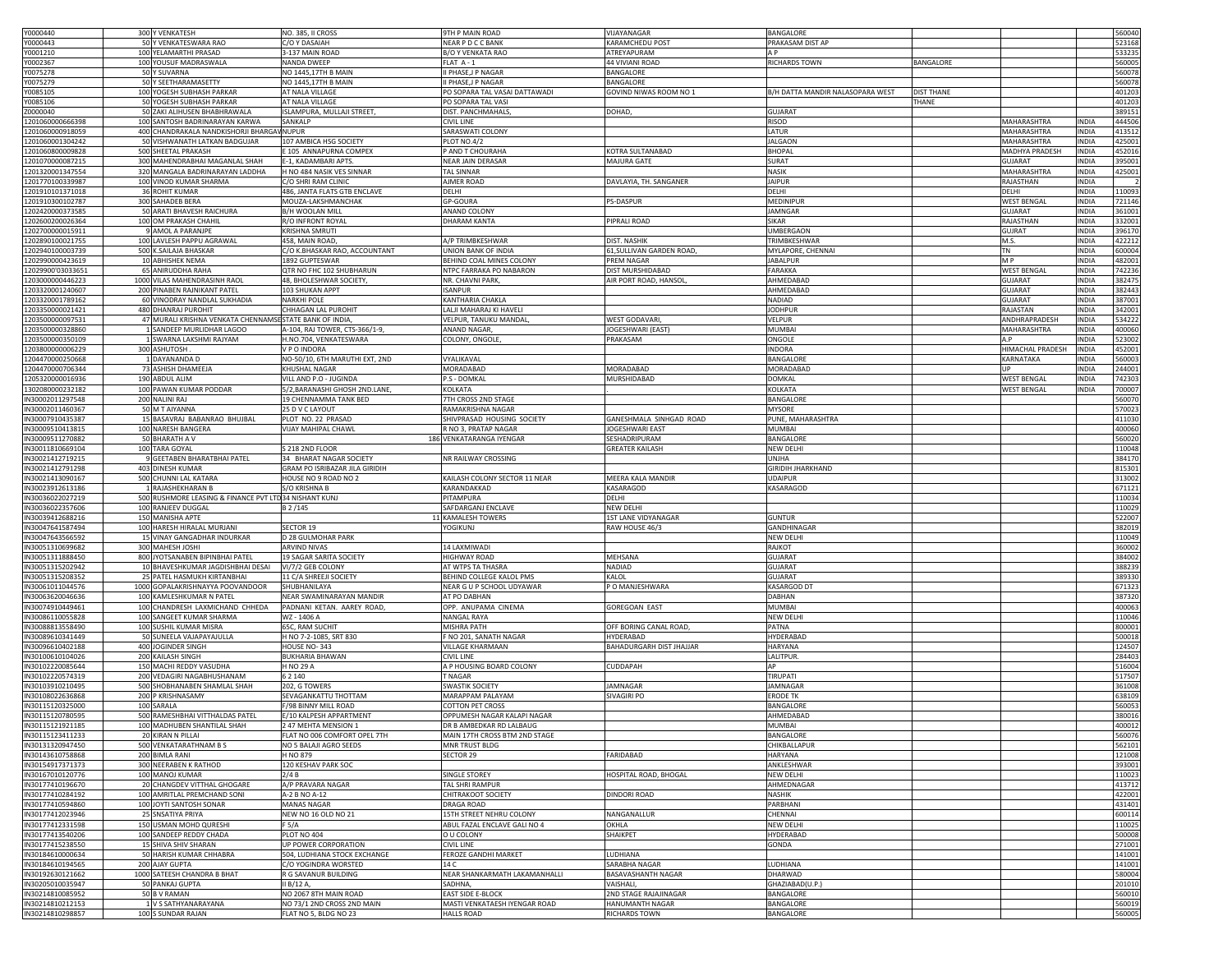| Y0000440                             | 300 Y VENKATESH                                        | NO. 385, II CROSS                                   | 9TH P MAIN ROAD                             | VIJAYANAGAR                      | BANGALORE                        |                   |                    |              | 560040           |
|--------------------------------------|--------------------------------------------------------|-----------------------------------------------------|---------------------------------------------|----------------------------------|----------------------------------|-------------------|--------------------|--------------|------------------|
| 0000443                              | 50 Y VENKATESWARA RAO                                  | C/O Y DASAIAH                                       | NEAR P D C C BANK                           | KARAMCHEDU POST                  | PRAKASAM DIST AP                 |                   |                    |              | 523168           |
|                                      |                                                        |                                                     |                                             |                                  |                                  |                   |                    |              |                  |
| 0001210                              | 100 YELAMARTHI PRASAD                                  | 3-137 MAIN ROAD                                     | B/O Y VENKATA RAO                           | ATREYAPURAM                      |                                  |                   |                    |              | 53323            |
| 0002367                              | 100 YOUSUF MADRASWALA                                  | NANDA DWEEP                                         | FLAT A-1                                    | 44 VIVIANI ROAD                  | RICHARDS TOWN                    | BANGALORE         |                    |              | 56000            |
| 0075278                              | 50 Y SUVARNA                                           | NO 1445,17TH B MAIN                                 | II PHASE, J P NAGAR                         | BANGALORE                        |                                  |                   |                    |              | 56007            |
| 0075279                              | 50 Y SEETHARAMASETTY                                   |                                                     | II PHASE, JP NAGAR                          | BANGALORE                        |                                  |                   |                    |              | 560078           |
|                                      |                                                        | NO 1445,17TH B MAIN                                 |                                             |                                  |                                  |                   |                    |              |                  |
| 0085105                              | 100 YOGESH SUBHASH PARKAR                              | AT NALA VILLAGE                                     | PO SOPARA TAL VASAI DATTAWADI               | GOVIND NIWAS ROOM NO 1           | B/H DATTA MANDIR NALASOPARA WEST | <b>DIST THANE</b> |                    |              | 401203           |
| 0085106                              | 50 YOGESH SUBHASH PARKAR                               | AT NALA VILLAGE                                     | PO SOPARA TAL VASI                          |                                  |                                  | THANE             |                    |              | 401203           |
| 0000040                              | 50 ZAKI ALIHUSEN BHABHRAWALA                           | ISLAMPURA, MULLAJI STREET,                          | DIST. PANCHMAHALS,                          | DOHAD,                           | <b>GUJARAT</b>                   |                   |                    |              | 389151           |
|                                      | 100 SANTOSH BADRINARAYAN KARWA                         | SANKALP                                             | <b>CIVIL LINE</b>                           |                                  | RISOD                            |                   | MAHARASHTRA        | INDIA        | 444506           |
| 1201060000666398                     |                                                        |                                                     |                                             |                                  |                                  |                   |                    |              |                  |
| 1201060000918059                     | 400 CHANDRAKALA NANDKISHORJI BHARGAV NUPUR             |                                                     | SARASWATI COLONY                            |                                  | LATUR                            |                   | MAHARASHTRA        | INDIA        | 413512           |
| 1201060001304242                     | 50 VISHWANATH LATKAN BADGUJAR                          | 107 AMBICA HSG SOCIETY                              | PLOT NO.4/2                                 |                                  | <b>JALGAON</b>                   |                   | MAHARASHTRA        | <b>INDIA</b> | 425001           |
| 1201060800009828                     | 500 SHEETAL PRAKASH                                    | E 105 ANNAPURNA COMPEX                              | P AND T CHOURAHA                            | KOTRA SULTANABAD                 | <b>BHOPAI</b>                    |                   | MADHYA PRADESH     | INDIA        | 452016           |
| 1201070000087215                     | 300 MAHENDRABHAI MAGANLAL SHAH                         | E-1, KADAMBARI APTS.                                | NEAR JAIN DERASAR                           | MAJURA GATE                      | SURAT                            |                   | <b>GUJARAT</b>     | INDIA        | 395001           |
|                                      |                                                        |                                                     |                                             |                                  |                                  |                   |                    |              |                  |
| 1201320001347554                     | 320 MANGALA BADRINARAYAN LADDHA                        | H NO 484 NASIK VES SINNAR                           | <b>TAL SINNAR</b>                           |                                  | NASIK                            |                   | MAHARASHTRA        | INDIA        | 425001           |
| 1201770100339987                     | 100 VINOD KUMAR SHARMA                                 | C/O SHRI RAM CLINIC                                 | AJMER ROAD                                  | DAVLAYIA, TH. SANGANER           | <b>JAIPUR</b>                    |                   | RAJASTHAN          | INDIA        |                  |
| 1201910101371018                     | 36 ROHIT KUMAR                                         | 486, JANTA FLATS GTB ENCLAVE                        | DELHI                                       |                                  | DELHI                            |                   | DELHI              | INDIA        | 110093           |
|                                      |                                                        |                                                     |                                             |                                  | MEDINIPUR                        |                   |                    | INDIA        |                  |
| 1201910300102787                     | 300 SAHADEB BERA                                       | MOUZA-LAKSHMANCHAK                                  | GP-GOURA                                    | PS-DASPUR                        |                                  |                   | <b>WEST BENGAL</b> |              | 721146           |
| 1202420000373585                     | 50 ARATI BHAVESH RAICHURA                              | B/H WOOLAN MILL                                     | ANAND COLONY                                |                                  | JAMNGAR                          |                   | <b>GUJARAT</b>     | <b>INDIA</b> | 361001           |
| 1202600200026364                     | 100 OM PRAKASH CHAHIL                                  | R/O INFRONT ROYAL                                   | DHARAM KANTA                                | PIPRALI ROAD                     | SIKAR                            |                   | RAJASTHAN          | <b>INDIA</b> | 332001           |
| 1202700000015911                     | 9 AMOL A PARANJPE                                      | <b>KRISHNA SMRUTI</b>                               |                                             |                                  | UMBERGAON                        |                   | <b>GUJRAT</b>      | <b>INDIA</b> | 39617            |
|                                      |                                                        |                                                     |                                             |                                  |                                  |                   |                    |              |                  |
| 1202890100021755                     | 100 LAVLESH PAPPU AGRAWAL                              | 458, MAIN ROAD                                      | A/P TRIMBKESHWAR                            | DIST. NASHIK                     | TRIMBKESHWAR                     |                   | M.S.               | INDIA        | 42221            |
| 1202940100003739                     | 500 K.SAILAJA BHASKAR                                  | C/O K.BHASKAR RAO, ACCOUNTANT                       | <b>UNION BANK OF INDIA</b>                  | 61, SULLIVAN GARDEN ROAD,        | MYLAPORE, CHENNAI                |                   | TN                 | <b>INDIA</b> | 600004           |
| 1202990000423619                     | 10 ABHISHEK NEMA                                       | 1892 GUPTESWAR                                      | BEHIND COAL MINES COLONY                    | PREM NAGAR                       | <b>JABALPUR</b>                  |                   | M P                | INDIA        | 482001           |
|                                      |                                                        |                                                     |                                             |                                  |                                  |                   |                    |              | 742236           |
| 12029900'03033651                    | 65 ANIRUDDHA RAHA                                      | QTR NO FHC 102 SHUBHARUN                            | NTPC FARRAKA PO NABARON                     | DIST MURSHIDABAD                 | FARAKKA                          |                   | <b>WEST BENGAL</b> | INDIA        |                  |
| 1203000000446223                     | 1000 VILAS MAHENDRASINH RAOL                           | 48, BHOLESHWAR SOCIETY                              | NR. CHAVNI PARK,                            | AIR PORT ROAD, HANSOL            | AHMEDABAD                        |                   | <b>GUJARAT</b>     | INDIA        | 382475           |
| 1203320001240607                     | 200 PINABEN RAJNIKANT PATEL                            | 103 SHUKAN APPT                                     | <b>ISANPUR</b>                              |                                  | AHMEDABAD                        |                   | <b>GUJARAT</b>     | INDIA        | 382443           |
| 1203320001789162                     | 60 VINODRAY NANDLAL SUKHADIA                           | <b>NARKHI POLE</b>                                  | KANTHARIA CHAKLA                            |                                  | NADIAD                           |                   | <b>GUJARAT</b>     | INDIA        | 387001           |
|                                      |                                                        |                                                     |                                             |                                  |                                  |                   |                    |              |                  |
| 1203350000021421                     | 480 DHANRAJ PUROHIT                                    | CHHAGAN LAL PUROHIT                                 | LALJI MAHARAJ KI HAVELI                     |                                  | <b>JODHPUR</b>                   |                   | RAJASTAN           | <b>INDIA</b> | 342001           |
| 1203500000097531                     | 47 MURALI KRISHNA VENKATA CHENNAMSESTATE BANK OF INDIA |                                                     | VELPUR, TANUKU MANDAL                       | WEST GODAVARI                    | VELPUR                           |                   | ANDHRAPRADESH      | INDIA        | 534222           |
| 1203500000328860                     | 1 SANDEEP MURLIDHAR LAGOO                              | A-104, RAJ TOWER, CTS-366/1-9,                      | <b>ANAND NAGAR</b>                          | <b>JOGESHWARI (EAST)</b>         | MUMBAI                           |                   | MAHARASHTRA        | INDIA        | 400060           |
|                                      |                                                        |                                                     |                                             |                                  |                                  |                   |                    |              |                  |
| 1203500000350109                     | 1 SWARNA LAKSHMI RAJYAM                                | H.NO.704, VENKATESWARA                              | COLONY, ONGOLE                              | PRAKASAM                         | ONGOLE                           |                   | A.P                | INDIA        | 523002           |
| 1203800000006229                     | 300 ASHUTOSH                                           | V P O INDORA                                        |                                             |                                  | INDORA                           |                   | HIMACHAL PRADESH   | INDIA        | 452001           |
| 1204470000250668                     | 1 DAYANANDA D                                          | NO-50/10, 6TH MARUTHI EXT, 2ND                      | VYALIKAVAL                                  |                                  | BANGALOR                         |                   | KARNATAKA          | <b>INDIA</b> | 560003           |
| 1204470000706344                     | 73 ASHISH DHAMEEJA                                     | KHUSHAL NAGAR                                       | MORADABAD                                   | MORADABAD                        | MORADABAD                        |                   |                    | INDIA        | 244001           |
|                                      |                                                        |                                                     |                                             |                                  |                                  |                   |                    |              |                  |
| 1205320000016936                     | 190 ABDUL ALIM                                         | VILL AND P.O - JUGINDA                              | P.S - DOMKAL                                | MURSHIDABAD                      | <b>DOMKAL</b>                    |                   | <b>WEST BENGAL</b> | <b>INDIA</b> | 742303           |
| 1302080000232182                     | 100 PAWAN KUMAR PODDAR                                 | 5/2, BARANASHI GHOSH 2ND.LANE                       | KOLKATA                                     |                                  | KOLKATA                          |                   | <b>WEST BENGAL</b> | <b>INDIA</b> | 70000            |
| IN30002011297548                     | 200 NALINI RAJ                                         | 19 CHENNAMMA TANK BED                               | 7TH CROSS 2ND STAGE                         |                                  | BANGALORE                        |                   |                    |              | 56007            |
|                                      |                                                        |                                                     |                                             |                                  |                                  |                   |                    |              |                  |
| IN30002011460367                     | 50 M T AIYANNA                                         | 25 D V C LAYOUT                                     | RAMAKRISHNA NAGAR                           |                                  | <b>MYSORE</b>                    |                   |                    |              | 570023           |
| IN30007910435387                     | 15 BASAVRAJ BABANRAO BHUJBAL                           | PLOT NO. 22 PRASAD                                  | SHIVPRASAD HOUSING SOCIETY                  | GANESHMALA SINHGAD ROAD          | PUNE, MAHARASHTRA                |                   |                    |              | 411030           |
| IN30009510413815                     | 100 NARESH BANGERA                                     | VIJAY MAHIPAL CHAWL                                 | R NO 3, PRATAP NAGAR                        | <b>JOGESHWARI EAST</b>           | MUMBAI                           |                   |                    |              | 400060           |
|                                      |                                                        |                                                     |                                             |                                  |                                  |                   |                    |              |                  |
| IN30009511270882                     | 50 BHARATH A V                                         |                                                     | 186 VENKATARANGA IYENGAR                    | SESHADRIPURAM                    | BANGALORE                        |                   |                    |              | 560020           |
| IN30011810669104                     | 100 TARA GOYAL                                         | S 218 2ND FLOOR                                     |                                             | <b>GREATER KAILASH</b>           | NEW DELHI                        |                   |                    |              | 110048           |
| IN30021412719215                     | 9 GEETABEN BHARATBHAI PATEL                            | 34 BHARAT NAGAR SOCIETY                             | NR RAILWAY CROSSING                         |                                  | UNJHA                            |                   |                    |              | 384170           |
| IN30021412791298                     | 403 DINESH KUMAR                                       | GRAM PO ISRIBAZAR JILA GIRIDIH                      |                                             |                                  | <b>GIRIDIH JHARKHAND</b>         |                   |                    |              | 815301           |
|                                      |                                                        |                                                     |                                             |                                  |                                  |                   |                    |              |                  |
| IN30021413090167                     | 500 CHUNNI LAL KATARA                                  | HOUSE NO 9 ROAD NO 2                                | KAILASH COLONY SECTOR 11 NEAR               | MEERA KALA MANDIR                | <b>UDAIPUR</b>                   |                   |                    |              | 313002           |
| IN30023912613186                     | 1 RAJASHEKHARAN B                                      | S/O KRISHNA B                                       | KARANDAKKAD                                 | KASARAGOD                        | KASARAGOD                        |                   |                    |              | 671121           |
| IN30036022027219                     | 500 RUSHMORE LEASING & FINANCE PVT LTD 34 NISHANT KUNJ |                                                     | PITAMPURA                                   | DELHI                            |                                  |                   |                    |              | 110034           |
|                                      |                                                        |                                                     |                                             |                                  |                                  |                   |                    |              |                  |
| IN30036022357606                     | 100 RANJEEV DUGGAL                                     | B 2/145                                             | SAFDARGANJ ENCLAVE                          | NEW DELHI                        |                                  |                   |                    |              | 110029           |
| IN30039412688216                     | 150 MANISHA APTE                                       |                                                     | 11 KAMALESH TOWERS                          | <b>1ST LANE VIDYANAGAR</b>       | GUNTUR                           |                   |                    |              | 522007           |
| N30047641587494                      | 100 HARESH HIRALAL MURJANI                             | <b>SECTOR 19</b>                                    | <b>YOGIKUNJ</b>                             | RAW HOUSE 46/3                   | GANDHINAGAF                      |                   |                    |              | 382019           |
|                                      |                                                        |                                                     |                                             |                                  |                                  |                   |                    |              | 110049           |
| IN30047643566592                     | 15 VINAY GANGADHAR INDURKAR                            | D 28 GULMOHAR PARK                                  |                                             |                                  | NEW DELHI                        |                   |                    |              |                  |
| IN30051310699682                     | 300 MAHESH JOSHI                                       | ARVIND NIVAS                                        | 14 LAXMIWADI                                |                                  | RAJKOT                           |                   |                    |              | 360002           |
| IN30051311888450                     | 800 JYOTSANABEN BIPINBHAI PATEL                        | 19 SAGAR SARITA SOCIETY                             | <b>HIGHWAY ROAD</b>                         | MEHSANA                          | GUJARAT                          |                   |                    |              | 384002           |
| IN30051315202942                     | 10 BHAVESHKUMAR JAGDISHBHAI DESAI                      | VI/7/2 GEB COLONY                                   | AT WTPS TA THASRA                           | NADIAD                           | <b>GUJARAT</b>                   |                   |                    |              | 38823            |
|                                      |                                                        |                                                     |                                             |                                  |                                  |                   |                    |              |                  |
| IN30051315208352                     | 25 PATEL HASMUKH KIRTANBHAI                            | 11 C/A SHREEJI SOCIETY                              | BEHIND COLLEGE KALOL PMS                    | ALOI                             | GUJARAT                          |                   |                    |              | 389330           |
| IN30061011044576                     | 1000 GOPALAKRISHNAYYA POOVANDOOR                       | SHUBHANILAYA                                        | NEAR G U P SCHOOL UDYAWAR                   | P O MANJESHWARA                  | <b>KASARGOD DT</b>               |                   |                    |              | 671323           |
| IN30063620046636                     | 100 KAMLESHKUMAR N PATEL                               | NEAR SWAMINARAYAN MANDIR                            | AT PO DABHAN                                |                                  | DABHAN                           |                   |                    |              | 387320           |
|                                      |                                                        |                                                     |                                             |                                  |                                  |                   |                    |              |                  |
| IN30074910449461                     | 100 CHANDRESH LAXMICHAND CHHEDA                        | PADNANI KETAN. AAREY ROAD                           | OPP. ANUPAMA CINEMA                         | GOREGOAN EAST                    | MUMBAI                           |                   |                    |              | 400063           |
| IN30086110055828                     | 100 SANGEET KUMAR SHARMA                               | WZ - 1406 A                                         | <b>NANGAL RAYA</b>                          |                                  | NEW DELHI                        |                   |                    |              | 110046           |
| IN30088813558490                     | 100 SUSHIL KUMAR MISRA                                 | 65C, RAM SUCHIT                                     | MISHRA PATH                                 | OFF BORING CANAL ROAD,           | PATNA                            |                   |                    |              | 800001           |
| IN30089610341449                     | 50 SUNEELA VAJAPAYAJULLA                               | H NO 7-2-1085, SRT 830                              | F NO 201, SANATH NAGAR                      | HYDERABAD                        | HYDERABAD                        |                   |                    |              | 500018           |
|                                      |                                                        |                                                     |                                             |                                  |                                  |                   |                    |              |                  |
| IN30096610402188                     | 400 JOGINDER SINGH                                     | HOUSE NO-343                                        | <b>VILLAGE KHARMAAN</b>                     | BAHADURGARH DIST JHAJJAR         | HARYANA                          |                   |                    |              | 124507           |
| IN30100610104026                     | 200 KAILASH SINGH                                      | <b>BUKHARIA BHAWAN</b>                              | <b>CIVIL LINE</b>                           |                                  | LALITPUR.                        |                   |                    |              | 284403           |
| IN30102220085644                     | 150 MACHI REDDY VASUDHA                                | H NO 29 A                                           | A P HOUSING BOARD COLONY                    | CUDDAPAH                         | AР                               |                   |                    |              | 516004           |
|                                      |                                                        |                                                     |                                             |                                  |                                  |                   |                    |              |                  |
| IN30102220574319                     | 200 VEDAGIRI NAGABHUSHANAM                             | 62140                                               | T NAGAR                                     |                                  | TIRUPATI                         |                   |                    |              | 517507           |
| IN30103910210495                     | 500 SHOBHANABEN SHAMLAL SHAH                           | 202, G TOWERS                                       | <b>SWASTIK SOCIETY</b>                      | JAMNAGAR                         | JAMNAGAF                         |                   |                    |              | 361008           |
| N30108022636868                      | 200 P KRISHNASAMY                                      | SEVAGANKATTU THOTTAM                                | MARAPPAM PALAYAM                            | SIVAGIRI PO                      | <b>ERODE TK</b>                  |                   |                    |              | 63810            |
| IN30115120325000                     | 100 SARALA                                             | F/98 BINNY MILL ROAD                                | <b>COTTON PET CROSS</b>                     |                                  | BANGALORE                        |                   |                    |              | 56005            |
|                                      |                                                        |                                                     |                                             |                                  |                                  |                   |                    |              |                  |
| IN30115120780595                     | 500 RAMESHBHAI VITTHALDAS PATEL                        | E/10 KALPESH APPARTMENT                             | OPPUMESH NAGAR KALAPI NAGAR                 |                                  | AHMEDABAD                        |                   |                    |              | 38001            |
| IN30115121921185                     | 100 MADHUBEN SHANTILAL SH                              | ! 47 MEHTA MENSION 1                                | R B AMBEDKAR RD LALBAUG                     |                                  |                                  |                   |                    |              | 400012           |
| IN30115123411233                     | 20 KIRAN N PILLAI                                      | FLAT NO 006 COMFORT OPEL 7TH                        | MAIN 17TH CROSS BTM 2ND STAGE               |                                  | BANGALORE                        |                   |                    |              | 560076           |
| IN30131320947450                     | 500 VENKATARATHNAM B S                                 | NO 5 BALAJI AGRO SEEDS                              | MNR TRUST BLDG                              |                                  | CHIKBALLAPUR                     |                   |                    |              | 562101           |
|                                      |                                                        |                                                     |                                             |                                  |                                  |                   |                    |              |                  |
| IN30143610758868                     | 200 BIMLA RANI                                         | H NO 879                                            | SECTOR 29                                   | FARIDABAD                        | HARYANA                          |                   |                    |              | 121008           |
| IN30154917371373                     | 300 NEERABEN K RATHOD                                  | 120 KESHAV PARK SOC                                 |                                             |                                  | ANKLESHWAR                       |                   |                    |              | 393001           |
|                                      | 100 MANOJ KUMAR                                        | 2/4B                                                |                                             | HOSPITAL ROAD, BHOGAL            |                                  |                   |                    |              |                  |
| IN30167010120776                     |                                                        |                                                     | <b>SINGLE STOREY</b>                        |                                  | NEW DELHI                        |                   |                    |              | 110023           |
| IN30177410196670                     | 20 CHANGDEV VITTHAL GHOGARE                            | A/P PRAVARA NAGAR                                   | TAL SHRI RAMPUR                             |                                  | AHMEDNAGAR                       |                   |                    |              | 413712           |
| IN30177410284192                     | 100 AMRITLAL PREMCHAND SONI                            | A-2 B NO A-12                                       | CHITRAKOOT SOCIETY                          | DINDORI ROAD                     | NASHIK                           |                   |                    |              | 422001           |
| IN30177410594860                     | 100 JOYTI SANTOSH SONAR                                | MANAS NAGAR                                         | DRAGA ROAD                                  |                                  | PARBHANI                         |                   |                    |              | 431401           |
|                                      |                                                        |                                                     |                                             |                                  |                                  |                   |                    |              |                  |
| IN30177412023946                     | 25 SNSATIYA PRIYA                                      | NEW NO 16 OLD NO 21                                 | 15TH STREET NEHRU COLONY                    | NANGANALLUR                      | CHENNAI                          |                   |                    |              | 600114           |
| IN30177412331598                     | 150 USMAN MOHD QURESHI                                 | F 5/A                                               | ABUL FAZAL ENCLAVE GALI NO 4                | OKHLA                            | NEW DELHI                        |                   |                    |              | 110025           |
| IN30177413540206                     | 100 SANDEEP REDDY CHADA                                | PLOT NO 404                                         | O U COLONY                                  | SHAIKPET                         | HYDERABAD                        |                   |                    |              | 500008           |
|                                      |                                                        |                                                     |                                             |                                  |                                  |                   |                    |              |                  |
| IN30177415238550                     | 15 SHIVA SHIV SHARAN                                   | UP POWER CORPORATION                                | <b>CIVIL LINE</b>                           |                                  | GONDA                            |                   |                    |              | 271001           |
| IN30184610000634                     | 50 HARISH KUMAR CHHABRA                                | 504, LUDHIANA STOCK EXCHANGE                        | FEROZE GANDHI MARKET                        | LUDHIANA                         |                                  |                   |                    |              | 141001           |
| IN30184610194565                     | 200 AJAY GUPTA                                         | C/O YOGINDRA WORSTED                                | 14 C                                        | SARABHA NAGAR                    | LUDHIANA                         |                   |                    |              | 141001           |
| IN30192630121662                     |                                                        |                                                     |                                             |                                  |                                  |                   |                    |              |                  |
|                                      | 1000 SATEESH CHANDRA B BHAT                            | R G SAVANUR BUILDING                                | NEAR SHANKARMATH LAKAMANHALLI               | BASAVASHANTH NAGAR               | DHARWAD                          |                   |                    |              | 580004           |
|                                      |                                                        |                                                     |                                             |                                  |                                  |                   |                    |              | 201010           |
| IN30205010035947                     | 50 PANKAJ GUPTA                                        | II B/12 A,                                          | SADHNA,                                     | VAISHALI                         | GHAZIABAD(U.P.)                  |                   |                    |              |                  |
|                                      |                                                        | NO 2067 8TH MAIN ROAD                               |                                             |                                  |                                  |                   |                    |              |                  |
| IN30214810085952                     | 50 B V RAMAN                                           |                                                     | <b>EAST SIDE E-BLOCK</b>                    | 2ND STAGE RAJAJINAGAR            | BANGALORE                        |                   |                    |              | 560010           |
| IN30214810212153<br>IN30214810298857 | 1 V S SATHYANARAYANA<br>100 S SUNDAR RAJAN             | NO 73/1 2ND CROSS 2ND MAIN<br>FLAT NO 5, BLDG NO 23 | MASTI VENKATAESH IYENGAR ROAD<br>HALLS ROAD | HANUMANTH NAGAR<br>RICHARDS TOWN | BANGALORE<br>BANGALORE           |                   |                    |              | 560019<br>560005 |